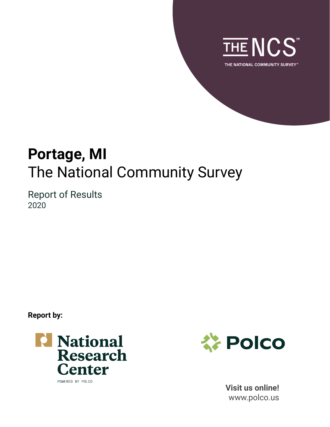

**Portage, MI** The National Community Survey

Report of Results 2020

**Report by:**





**Visit us online!** www.polco.us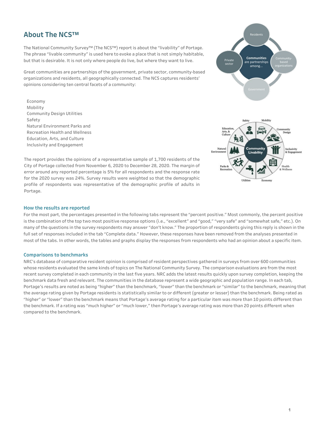## **About The NCS™**

The National Community Survey™ (The NCS™) report is about the "livability" of Portage. The phrase "livable community" is used here to evoke a place that is not simply habitable, but that is desirable. It is not only where people do live, but where they want to live.

Great communities are partnerships of the government, private sector, community-based organizations and residents, all geographically connected. The NCS captures residents' opinions considering ten central facets of a community:

Economy Mobility Community Design Utilities Safety Natural Fnyironment Parks and Recreation Health and Wellness Education, Arts, and Culture Inclusivity and Engagement





The report provides the opinions of a representative sample of 1,700 residents of the City of Portage collected from November 6, 2020 to December 28, 2020. The margin of error around any reported percentage is 5% for all respondents and the response rate for the 2020 survey was 24%. Survey results were weighted so that the demographic profile of respondents was representative of the demographic profile of adults in Portage.

### **How the results are reported**

For the most part, the percentages presented in the following tabs represent the "percent positive." Most commonly, the percent positive is the combination of the top two most positive response options (i.e., "excellent" and "good," "very safe" and "somewhat safe," etc.). On many of the questions in the survey respondents may answer "don't know." The proportion of respondents giving this reply is shown in the full set of responses included in the tab "Complete data." However, these responses have been removed from the analyses presented in most of the tabs. In other words, the tables and graphs display the responses from respondents who had an opinion about a specific item.

### **Comparisons to benchmarks**

NRC's database of comparative resident opinion is comprised of resident perspectives gathered in surveys from over 600 communities whose residents evaluated the same kinds of topics on The National Community Survey. The comparison evaluations are from the most recent survey completed in each community in the last five years. NRC adds the latest results quickly upon survey completion, keeping the benchmark data fresh and relevant. The communities in the database represent a wide geographic and population range. In each tab, Portage's results are noted as being "higher" than the benchmark, "lower" than the benchmark or "similar" to the benchmark, meaning that the average rating given by Portage residents is statistically similar to or different (greater or lesser) than the benchmark. Being rated as "higher" or "lower" than the benchmark means that Portage's average rating for a particular item was more than 10 points different than the benchmark. If a rating was "much higher" or "much lower," then Portage's average rating was more than 20 points different when compared to the benchmark.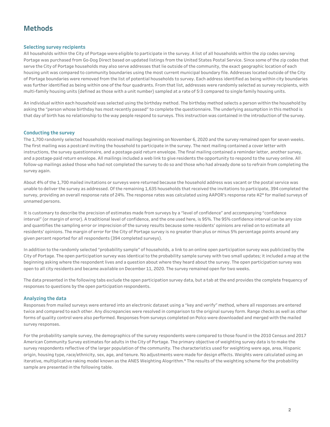## **Methods**

### **Selecting survey recipients**

All households within the City of Portage were eligible to participate in the survey. A list of all households within the zip codes serving Portage was purchased from Go-Dog Direct based on updated listings from the United States Postal Service. Since some of the zip codes that serve the City of Portage households may also serve addresses that lie outside of the community, the exact geographic location of each housing unit was compared to community boundaries using the most current municipal boundary file. Addresses located outside of the City of Portage boundaries were removed from the list of potential households to survey. Each address identified as being within city boundaries was further identified as being within one of the four quadrants. From that list, addresses were randomly selected as survey recipients, with multi-family housing units (defined as those with a unit number) sampled at a rate of 5:3 compared to single family housing units.

An individual within each household was selected using the birthday method. The birthday method selects a person within the household by asking the "person whose birthday has most recently passed" to complete the questionnaire. The underlying assumption in this method is that day of birth has no relationship to the way people respond to surveys. This instruction was contained in the introduction of the survey.

### **Conducting the survey**

The 1,700 randomly selected households received mailings beginning on November 6, 2020 and the survey remained open for seven weeks. The first mailing was a postcard inviting the household to participate in the survey. The next mailing contained a cover letter with instructions, the survey questionnaire, and a postage-paid return envelope. The final mailing contained a reminder letter, another survey, and a postage-paid return envelope. All mailings included a web link to give residents the opportunity to respond to the survey online. All follow-up mailings asked those who had not completed the survey to do so and those who had already done so to refrain from completing the survey again.

About 4% of the 1,700 mailed invitations or surveys were returned because the household address was vacant or the postal service was unable to deliver the survey as addressed. Of the remaining 1,635 households that received the invitations to participate, 394 completed the survey, providing an overall response rate of 24%. The response rates was calculated using AAPOR's response rate #2\* for mailed surveys of unnamed persons.

It is customary to describe the precision of estimates made from surveys by a "level of confidence" and accompanying "confidence interval" (or margin of error). A traditional level of confidence, and the one used here, is 95%. The 95% confidence interval can be any size and quantifies the sampling error or imprecision of the survey results because some residents' opinions are relied on to estimate all residents' opinions. The margin of error for the City of Portage survey is no greater than plus or minus 5% percentage points around any given percent reported for all respondents (394 completed surveys).

In addition to the randomly selected "probability sample" of households, a link to an online open participation survey was publicized by the City of Portage. The open participation survey was identical to the probability sample survey with two small updates; it included a map at the beginning asking where the respondent lives and a question about where they heard about the survey. The open participation survey was open to all city residents and became available on December 11, 2020. The survey remained open for two weeks.

The data presented in the following tabs exclude the open participation survey data, but a tab at the end provides the complete frequency of responses to questions by the open participation respondents.

### **Analyzing the data**

Responses from mailed surveys were entered into an electronic dataset using a "key and verify" method, where all responses are entered twice and compared to each other. Any discrepancies were resolved in comparison to the original survey form. Range checks as well as other forms of quality control were also performed. Responses from surveys completed on Polco were downloaded and merged with the mailed survey responses.

For the probability sample survey, the demographics of the survey respondents were compared to those found in the 2010 Census and 2017 American Community Survey estimates for adults in the City of Portage. The primary objective of weighting survey data is to make the survey respondents reflective of the larger population of the community. The characteristics used for weighting were age, area, Hispanic origin, housing type, race/ethnicity, sex, age, and tenure. No adjustments were made for design effects. Weights were calculated using an iterative, multiplicative raking model known as the ANES Weighting Alogrithm.\* The results of the weighting scheme for the probability sample are presented in the following table.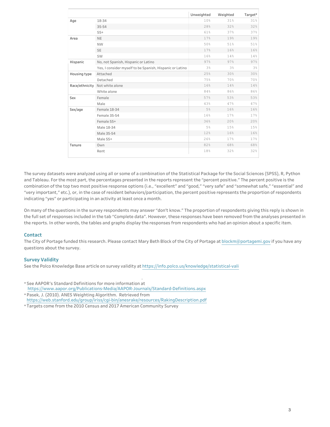|                |                                                          | Unweighted | Weighted | Target* |
|----------------|----------------------------------------------------------|------------|----------|---------|
| Age            | 18-34                                                    | 10%        | 31%      | 31%     |
|                | 35-54                                                    | 28%        | 32%      | 32%     |
|                | $55+$                                                    | 61%        | 37%      | 37%     |
| Area           | <b>NE</b>                                                | 17%        | 19%      | 19%     |
|                | <b>NW</b>                                                | 50%        | 51%      | 51%     |
|                | <b>SE</b>                                                | 17%        | 16%      | 16%     |
|                | SW                                                       | 16%        | 14%      | 14%     |
| Hispanic       | No, not Spanish, Hispanic or Latino                      | 97%        | 97%      | 97%     |
|                | Yes, I consider myself to be Spanish, Hispanic or Latino | 3%         | 3%       | 3%      |
| Housing type   | Attached                                                 | 25%        | 30%      | 30%     |
|                | Detached                                                 | 75%        | 70%      | 70%     |
| Race/ethnicity | Not white alone                                          | 16%        | 14%      | 14%     |
|                | White alone                                              | 84%        | 86%      | 86%     |
| Sex            | Female                                                   | 57%        | 53%      | 53%     |
|                | Male                                                     | 43%        | 47%      | 47%     |
| Sex/age        | Female 18-34                                             | 5%         | 16%      | 16%     |
|                | Female 35-54                                             | 16%        | 17%      | 17%     |
|                | Female 55+                                               | 36%        | 20%      | 20%     |
|                | Male 18-34                                               | 5%         | 15%      | 15%     |
|                | Male 35-54                                               | 12%        | 16%      | 16%     |
|                | Male 55+                                                 | 26%        | 17%      | 17%     |
| Tenure         | Own                                                      | 82%        | 68%      | 68%     |
|                | Rent                                                     | 18%        | 32%      | 32%     |

The survey datasets were analyzed using all or some of a combination of the Statistical Package for the Social Sciences (SPSS), R, Python and Tableau. For the most part, the percentages presented in the reports represent the "percent positive." The percent positive is the combination of the top two most positive response options (i.e., "excellent" and "good," "very safe" and "somewhat safe," "essential" and "very important," etc.), or, in the case of resident behaviors/participation, the percent positive represents the proportion of respondents indicating "yes" or participating in an activity at least once a month.

On many of the questions in the survey respondents may answer "don't know." The proportion of respondents giving this reply is shown in the full set of responses included in the tab "Complete data". However, these responses have been removed from the analyses presented in the reports. In other words, the tables and graphs display the responses from respondents who had an opinion about a specific item.

### **Contact**

The City of Portage funded this research. Please contact Mary Beth Block of the City of Portage at blockm@portagemi.gov if you have any questions about the survey.

### **Survey Validity**

See the Polco Knowledge Base article on survey validity at https://info.polco.us/knowledge/statistical-vali

- \* See AAPOR's Standard Definitions for more information at https://www.aapor.org/Publications-Media/AAPOR-Journals/Standard-Definitions.aspx
- \* Pasek, J. (2010). ANES Weighting Algorithm. Retrieved from https://web.stanford.edu/group/iriss/cgi-bin/anesrake/resources/RakingDescription.pdf
- \* Targets come from the 2010 Census and 2017 American Community Survey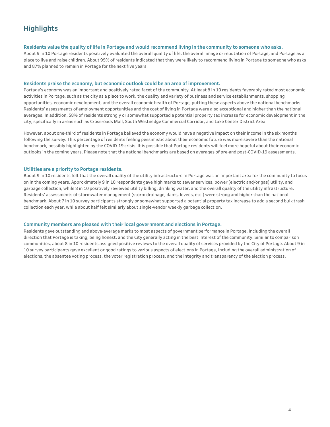## **Highlights**

#### Residents value the quality of life in Portage and would recommend living in the community to someone who asks.

About 9 in 10 Portage residents positively evaluated the overall quality of life, the overall image or reputation of Portage, and Portage as a place to live and raise children. About 95% of residents indicated that they were likely to recommend living in Portage to someone who asks and 87% planned to remain in Portage for the next five years.

#### Residents praise the economy, but economic outlook could be an area of improvement.

Portage's economy was an important and positively rated facet of the community. At least 8 in 10 residents favorably rated most economic activities in Portage, such as the city as a place to work, the quality and variety of business and service establishments, shopping opportunities, economic development, and the overall economic health of Portage, putting these aspects above the national benchmarks. Residents' assessments of employment opportunities and the cost of living in Portage were also exceptional and higher than the national averages. In addition, 58% of residents strongly or somewhat supported a potential property tax increase for economic development in the city, specifically in areas such as Crossroads Mall, South Westnedge Commercial Corridor, and Lake Center District Area.

However, about one-third of residents in Portage believed the economy would have a negative impact on their income in the six months following the survey. This percentage of residents feeling pessimistic about their economic future was more severe than the national benchmark, possibly highlighted by the COVID-19 crisis. It is possible that Portage residents will feel more hopeful about their economic outlooks in the coming years. Please note that the national benchmarks are based on averages of pre-and post-COVID-19 assessments.

#### **Utilities are a priority to Portage residents.**

About 9 in 10 residents felt that the overall quality of the utility infrastructure in Portage was an important area for the community to focus on in the coming years. Approximately 9 in 10 respondents gave high marks to sewer services, power (electric and/or gas) utility, and garbage collection, while 8 in 10 positively reviewed utility billing, drinking water, and the overall quality of the utility infrastructure. Residents' assessments of stormwater management (storm drainage, dams, levees, etc.) were strong and higher than the national benchmark. About 7 in 10 survey participants strongly or somewhat supported a potential property tax increase to add a second bulk trash collection each year, while about half felt similarly about single-vendor weekly garbage collection.

#### Community members are pleased with their local government and elections in Portage.

Residents gave outstanding and above-average marks to most aspects of government performance in Portage, including the overall direction that Portage is taking, being honest, and the City generally acting in the best interest of the community. Similar to comparison communities, about 8 in 10 residents assigned positive reviews to the overall quality of services provided by the City of Portage. About 9 in 10 survey participants gave excellent or good ratings to various aspects of elections in Portage, including the overall administration of elections, the absentee voting process, the voter registration process, and the integrity and transparency of the election process.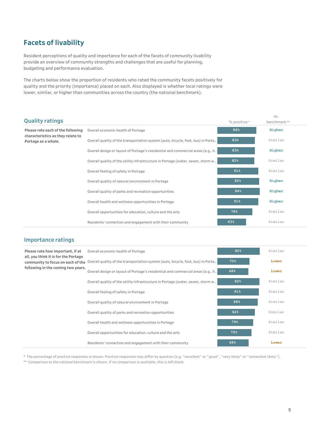## **Facets of livability**

Resident perceptions of quality and importance for each of the facets of community livability provide an overview of community strengths and challenges that are useful for planning, budgeting and performance evaluation.

The charts below show the proportion of residents who rated the community facets positively for quality and the priority (importance) placed on each. Also displayed is whether local ratings were lower, similar, or higher than communities across the country (the national benchmark).

|                                                                        |                                                                                  |              | VS.         |  |
|------------------------------------------------------------------------|----------------------------------------------------------------------------------|--------------|-------------|--|
| <b>Quality ratings</b>                                                 |                                                                                  | % positive * | benchmark** |  |
| Please rate each of the following<br>characteristics as they relate to | Overall economic health of Portage                                               | 86%          | Higher      |  |
| Portage as a whole.                                                    | Overall quality of the transportation system (auto, bicycle, foot, bus) in Porta | 83%          | Similar     |  |
|                                                                        | Overall design or layout of Portage's residential and commercial areas (e.g., h  | 83%          | Higher      |  |
|                                                                        | Overall quality of the utility infrastructure in Portage (water, sewer, storm w  | 82%          | Similar     |  |
|                                                                        | Overall feeling of safety in Portage                                             | 91%          | Similar     |  |
|                                                                        | Overall quality of natural environment in Portage                                | 92%          | Higher      |  |
|                                                                        | Overall quality of parks and recreation opportunities                            | 94%          | Higher      |  |
|                                                                        | Overall health and wellness opportunities in Portage                             | 91%          | Higher      |  |
|                                                                        | Overall opportunities for education, culture and the arts                        | 78%          | Similar     |  |
|                                                                        | Residents' connection and engagement with their community                        | 63%          | Similar     |  |

### **Importance ratings**

| Please rate how important, if at     | Overall economic health of Portage                                                                                 | 92% | Similar |  |
|--------------------------------------|--------------------------------------------------------------------------------------------------------------------|-----|---------|--|
| all, you think it is for the Portage | community to focus on each of the Overall quality of the transportation system (auto, bicycle, foot, bus) in Porta | 70% | Lower   |  |
| following in the coming two years.   | Overall design or layout of Portage's residential and commercial areas (e.g., h                                    | 68% | Lower   |  |
|                                      | Overall quality of the utility infrastructure in Portage (water, sewer, storm w                                    | 92% | Similar |  |
|                                      | Overall feeling of safety in Portage                                                                               | 91% | Similar |  |
|                                      | Overall quality of natural environment in Portage                                                                  | 88% | Similar |  |
|                                      | Overall quality of parks and recreation opportunities                                                              | 82% | Similar |  |
|                                      | Overall health and wellness opportunities in Portage                                                               | 79% | Similar |  |
|                                      | Overall opportunities for education, culture and the arts                                                          | 75% | Similar |  |
|                                      | Residents' connection and engagement with their community                                                          | 68% | Lower   |  |

\* The percentage of positive responses is shown. Positive responses may differ by question (e.g. "excellent" or "good", "very likely" or "somewhat likely").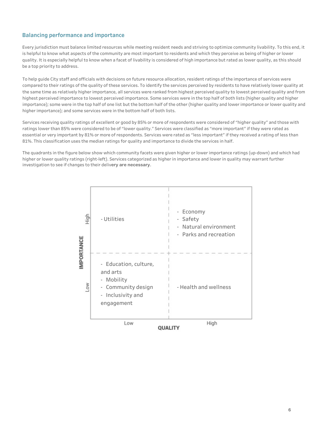## **Balancing performance and importance**

Every jurisdiction must balance limited resources while meeting resident needs and striving to optimize community livability. To this end, it is helpful to know what aspects of the community are most important to residents and which they perceive as being of higher or lower quality. It is especially helpful to know when a facet of livability is considered of high importance but rated as lower quality, as this should be a top priority to address.

To help quide City staff and officials with decisions on future resource allocation, resident ratings of the importance of services were compared to their ratings of the quality of these services. To identify the services perceived by residents to have relatively lower quality at the same time as relatively higher importance, all services were ranked from highest perceived quality to lowest perceived quality and from highest perceived importance to lowest perceived importance. Some services were in the top half of both lists (higher quality and higher importance); some were in the top half of one list but the bottom half of the other (higher quality and lower importance or lower quality and higher importance); and some services were in the bottom half of both lists.

Services receiving quality ratings of excellent or good by 85% or more of respondents were considered of "higher quality" and those with ratings lower than 85% were considered to be of "lower quality." Services were classified as "more important" if they were rated as essential or very important by 81% or more of respondents. Services were rated as "less important" if they received a rating of less than 81%. This classification uses the median ratings for quality and importance to divide the services in half.

The quadrants in the figure below show which community facets were given higher or lower importance ratings (up-down) and which had higher or lower quality ratings (right-left). Services categorized as higher in importance and lower in quality may warrant further investigation to see if changes to their delivery are necessary.

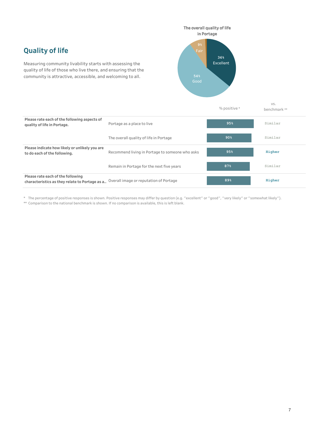# **Quality of life**

Measuring community livability starts with assessing the quality of life of those who live there, and ensuring that the community is attractive, accessible, and welcoming to all.

quality of life in Portage. **Portage as a place to live** 

Please rate each of the following aspects of



**Similar Similar 95% 90%** % positive \* vs. benchmark \*\*

|                                                                                     | The overall quality of life in Portage          | 90 <sub>8</sub> | Similar |
|-------------------------------------------------------------------------------------|-------------------------------------------------|-----------------|---------|
| Please indicate how likely or unlikely you are<br>to do each of the following.      | Recommend living in Portage to someone who asks | 95%             | Higher  |
|                                                                                     | Remain in Portage for the next five years       | 87%             | Similar |
| Please rate each of the following<br>characteristics as they relate to Portage as a | Overall image or reputation of Portage          | 89%             | Higher  |

\* The percentage of positive responses is shown. Positive responses may differ by question (e.g. "excellent" or "good", "very likely" or "somewhat likely").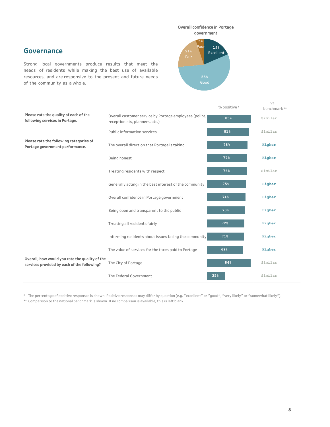## **Governance**

Strong local governments produce results that meet the needs of residents while making the best use of available resources, and are responsive to the present and future needs of the community as a whole.



|                                                                                               |                                                                                          | % positive * | VS.<br>benchmark ** |
|-----------------------------------------------------------------------------------------------|------------------------------------------------------------------------------------------|--------------|---------------------|
| Please rate the quality of each of the<br>following services in Portage.                      | Overall customer service by Portage employees (police,<br>receptionists, planners, etc.) | 85%          | Similar             |
|                                                                                               | Public information services                                                              | 81%          | Similar             |
| Please rate the following categories of<br>Portage government performance.                    | The overall direction that Portage is taking                                             | 78%          | Higher              |
|                                                                                               | Being honest                                                                             | 77%          | Higher              |
|                                                                                               | Treating residents with respect                                                          | 76%          | Similar             |
|                                                                                               | Generally acting in the best interest of the community                                   | 75%          | Higher              |
|                                                                                               | Overall confidence in Portage government                                                 | 74%          | Higher              |
|                                                                                               | Being open and transparent to the public                                                 | 73%          | Higher              |
|                                                                                               | Treating all residents fairly                                                            | 72%          | Higher              |
|                                                                                               | Informing residents about issues facing the community                                    | 71%          | Higher              |
|                                                                                               | The value of services for the taxes paid to Portage                                      | 69%          | Higher              |
| Overall, how would you rate the quality of the<br>services provided by each of the following? | The City of Portage                                                                      | 84%          | Similar             |
|                                                                                               | The Federal Government                                                                   | 35%          | Similar             |

\* The percentage of positive responses is shown. Positive responses may differ by question (e.g. "excellent" or "good", "very likely" or "somewhat likely").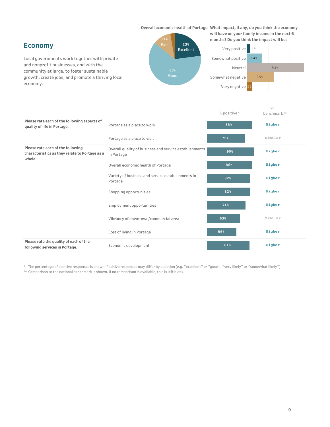**Overall economic health of Portage** What impact, if any, do you think the economy

## **Economy**

Local governments work together with private and nonprofit businesses, and with the community at large, to foster sustainable growth, create jobs, and promote a thriving local economy.



will have on your family income in the next 6 months? Do you think the impact will be:



|                                                                                               |                                                                      | % positive * | VS.<br>benchmark** |
|-----------------------------------------------------------------------------------------------|----------------------------------------------------------------------|--------------|--------------------|
| Please rate each of the following aspects of<br>quality of life in Portage.                   | Portage as a place to work                                           | 85%          | Higher             |
|                                                                                               | Portage as a place to visit                                          | 72%          | Similar            |
| Please rate each of the following<br>characteristics as they relate to Portage as a<br>whole. | Overall quality of business and service establishments<br>in Portage | 90%          | Higher             |
|                                                                                               | Overall economic health of Portage                                   | 86%          | Higher             |
|                                                                                               | Variety of business and service establishments in<br>Portage         | 82%          | Higher             |
|                                                                                               | Shopping opportunities                                               | 82%          | Higher             |
|                                                                                               | <b>Employment opportunities</b>                                      | 74%          | Higher             |
|                                                                                               | Vibrancy of downtown/commercial area                                 | 63%          | Similar            |
|                                                                                               | Cost of living in Portage                                            | 56%          | Higher             |
| Please rate the quality of each of the<br>following services in Portage.                      | Economic development                                                 | 81%          | Higher             |

\* The percentage of positive responses is shown. Positive responses may differ by question (e.g. "excellent" or "good", "very likely" or "somewhat likely").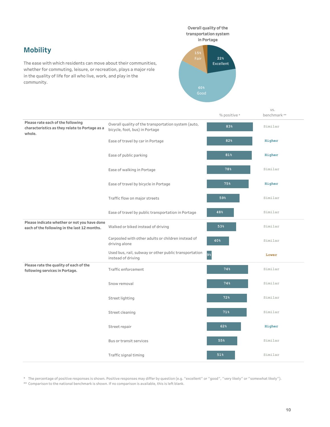**Mobility**

The ease with which residents can move about their communities, whether for commuting, leisure, or recreation, plays a major role in the quality of life for all who live, work, and play in the community.



vs.

|                                                                                               |                                                                                       | % positive * | benchmark ** |
|-----------------------------------------------------------------------------------------------|---------------------------------------------------------------------------------------|--------------|--------------|
| Please rate each of the following<br>characteristics as they relate to Portage as a<br>whole. | Overall quality of the transportation system (auto,<br>bicycle, foot, bus) in Portage | 83%          | Similar      |
|                                                                                               | Ease of travel by car in Portage                                                      | 82%          | Higher       |
|                                                                                               | Ease of public parking                                                                | 81%          | Higher       |
|                                                                                               | Ease of walking in Portage                                                            | 78%          | Similar      |
|                                                                                               | Ease of travel by bicycle in Portage                                                  | 75%          | Higher       |
|                                                                                               | Traffic flow on major streets                                                         | 59%          | Similar      |
|                                                                                               | Ease of travel by public transportation in Portage                                    | 48%          | Similar      |
| Please indicate whether or not you have done<br>each of the following in the last 12 months.  | Walked or biked instead of driving                                                    | 53%          | Similar      |
|                                                                                               | Carpooled with other adults or children instead of<br>driving alone                   | 40%          | Similar      |
|                                                                                               | Used bus, rail, subway or other public transportation<br>instead of driving           | 9%           | Lower        |
| Please rate the quality of each of the<br>following services in Portage.                      | Traffic enforcement                                                                   | 74%          | Similar      |
|                                                                                               | Snow removal                                                                          | 74%          | Similar      |
|                                                                                               | Street lighting                                                                       | 72%          | Similar      |
|                                                                                               | Street cleaning                                                                       | 71%          | Similar      |
|                                                                                               | Street repair                                                                         | 62%          | Higher       |
|                                                                                               | Bus or transit services                                                               | 55%          | Similar      |
|                                                                                               | Traffic signal timing                                                                 | 51%          | Similar      |

\* The percentage of positive responses is shown. Positive responses may differ by question (e.g. "excellent" or "good", "very likely" or "somewhat likely"). \*\* Comparison to the national benchmark is shown. If no comparison is available, this is left blank.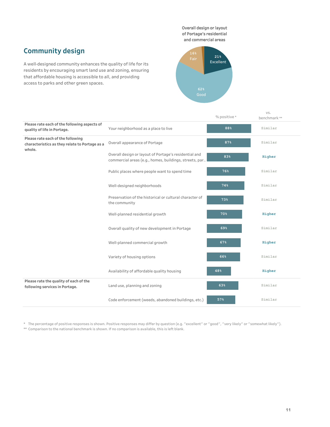Overall design or layout of Portage's residential and commercial areas

# **Community design**

A well-designed community enhances the quality of life for its residents by encouraging smart land use and zoning, ensuring that affordable housing is accessible to all, and providing access to parks and other green spaces.



|                                                                                               |                                                                                                                 | % positive * | VS.<br>benchmark** |
|-----------------------------------------------------------------------------------------------|-----------------------------------------------------------------------------------------------------------------|--------------|--------------------|
| Please rate each of the following aspects of<br>quality of life in Portage.                   | Your neighborhood as a place to live                                                                            | 88%          | Similar            |
| Please rate each of the following<br>characteristics as they relate to Portage as a<br>whole. | Overall appearance of Portage                                                                                   | 87%          | Similar            |
|                                                                                               | Overall design or layout of Portage's residential and<br>commercial areas (e.g., homes, buildings, streets, par | 83%          | Higher             |
|                                                                                               | Public places where people want to spend time                                                                   | 76%          | Similar            |
|                                                                                               | Well-designed neighborhoods                                                                                     | 74%          | Similar            |
|                                                                                               | Preservation of the historical or cultural character of<br>the community                                        | 73%          | Similar            |
|                                                                                               | Well-planned residential growth                                                                                 | 70%          | Higher             |
|                                                                                               | Overall quality of new development in Portage                                                                   | 69%          | Similar            |
|                                                                                               | Well-planned commercial growth                                                                                  | 67%          | Higher             |
|                                                                                               | Variety of housing options                                                                                      | 66%          | Similar            |
|                                                                                               | Availability of affordable quality housing                                                                      | 48%          | Higher             |
| Please rate the quality of each of the<br>following services in Portage.                      | Land use, planning and zoning                                                                                   | 63%          | Similar            |
|                                                                                               | Code enforcement (weeds, abandoned buildings, etc.)                                                             | 57%          | Similar            |

\* The percentage of positive responses is shown. Positive responses may differ by question (e.g. "excellent" or "good", "very likely" or "somewhat likely"). \*\* Comparison to the national benchmark is shown. If no comparison is available, this is left blank.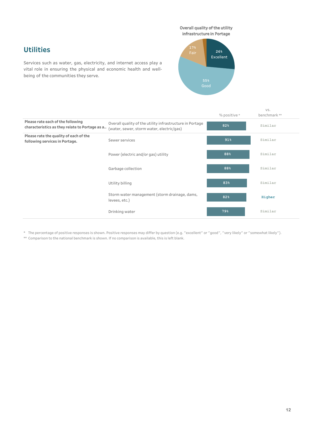## Overall quality of the utility

infrastructure in Portage

# **Utilities**

Services such as water, gas, electricity, and internet access play a vital role in ensuring the physical and economic health and wellbeing of the communities they serve.



vs.

|                                                                                     |                                                                                                       | % positive * | benchmark** |
|-------------------------------------------------------------------------------------|-------------------------------------------------------------------------------------------------------|--------------|-------------|
| Please rate each of the following<br>characteristics as they relate to Portage as a | Overall quality of the utility infrastructure in Portage<br>(water, sewer, storm water, electric/gas) | 82%          | Similar     |
| Please rate the quality of each of the<br>following services in Portage.            | Sewer services                                                                                        | 91%          | Similar     |
|                                                                                     | Power (electric and/or gas) utility                                                                   | 88%          | Similar     |
|                                                                                     | Garbage collection                                                                                    | 88%          | Similar     |
|                                                                                     | Utility billing                                                                                       | 83%          | Similar     |
|                                                                                     | Storm water management (storm drainage, dams,<br>levees, etc.)                                        | 82%          | Higher      |
|                                                                                     | Drinking water                                                                                        | 79%          | Similar     |

\* The percentage of positive responses is shown. Positive responses may differ by question (e.g. "excellent" or "good", "very likely" or "somewhat likely").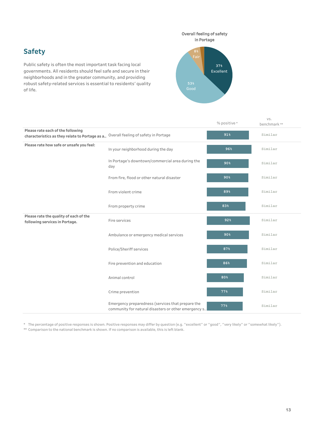# **Safety**

Public safety is often the most important task facing local governments. All residents should feel safe and secure in their neighborhoods and in the greater community, and providing robust safety-related services is essential to residents' quality of life.



|                                                                                     |                                                                                                           | % positive *    | VS.<br>benchmark ** |
|-------------------------------------------------------------------------------------|-----------------------------------------------------------------------------------------------------------|-----------------|---------------------|
| Please rate each of the following<br>characteristics as they relate to Portage as a | Overall feeling of safety in Portage                                                                      | 91%             | Similar             |
| Please rate how safe or unsafe you feel:                                            | In your neighborhood during the day                                                                       | 96%             | Similar             |
|                                                                                     | In Portage's downtown/commercial area during the<br>day                                                   | 90%             | Similar             |
|                                                                                     | From fire, flood or other natural disaster                                                                | 90 <sub>8</sub> | Similar             |
|                                                                                     | From violent crime                                                                                        | 89%             | Similar             |
|                                                                                     | From property crime                                                                                       | 83%             | Similar             |
| Please rate the quality of each of the<br>following services in Portage.            | Fire services                                                                                             | 92%             | Similar             |
|                                                                                     | Ambulance or emergency medical services                                                                   | 90 <sub>8</sub> | Similar             |
|                                                                                     | Police/Sheriff services                                                                                   | 87%             | Similar             |
|                                                                                     | Fire prevention and education                                                                             | 86%             | Similar             |
|                                                                                     | Animal control                                                                                            | 80%             | Similar             |
|                                                                                     | Crime prevention                                                                                          | 77%             | Similar             |
|                                                                                     | Emergency preparedness (services that prepare the<br>community for natural disasters or other emergency s | 77%             | Similar             |

\* The percentage of positive responses is shown. Positive responses may differ by question (e.g. "excellent" or "good", "very likely" or "somewhat likely"). \*\* Comparison to the national benchmark is shown. If no comparison is available, this is left blank.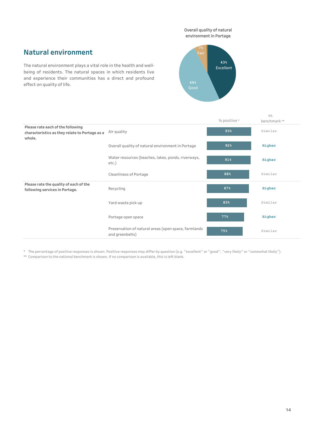Overall quality of natural environment in Portage

# **Natural environment**

The natural environment plays a vital role in the health and wellbeing of residents. The natural spaces in which residents live and experience their communities has a direct and profound effect on quality of life.



|                                                                                               |                                                                         | % positive * | VS.<br>benchmark** |
|-----------------------------------------------------------------------------------------------|-------------------------------------------------------------------------|--------------|--------------------|
| Please rate each of the following<br>characteristics as they relate to Portage as a<br>whole. | Air quality                                                             | 93%          | Similar            |
|                                                                                               | Overall quality of natural environment in Portage                       | 92%          | Higher             |
|                                                                                               | Water resources (beaches, lakes, ponds, riverways,<br>$etc.$ )          | 91%          | Higher             |
|                                                                                               | <b>Cleanliness of Portage</b>                                           | 88%          | Similar            |
| Please rate the quality of each of the<br>following services in Portage.                      | Recycling                                                               | 87%          | Higher             |
|                                                                                               | Yard waste pick-up                                                      | 83%          | Similar            |
|                                                                                               | Portage open space                                                      | 77%          | Higher             |
|                                                                                               | Preservation of natural areas (open space, farmlands<br>and greenbelts) | 75%          | Similar            |

\* The percentage of positive responses is shown. Positive responses may differ by question (e.g. "excellent" or "good", "very likely" or "somewhat likely").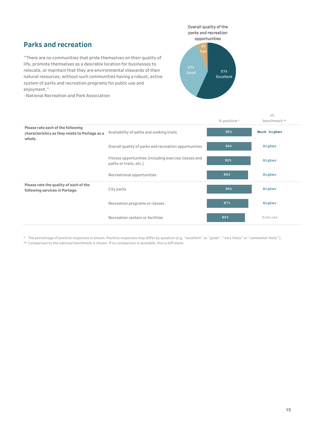## **Parks and recreation**

"There are no communities that pride themselves on their quality of life, promote themselves as a desirable location for businesses to relocate, or maintain that they are environmental stewards of their natural resources, without such communities having a robust, active system of parks and recreation programs for public use and enjoyment."

- National Recreation and Park Association

**57%** Excellent **6%** Fai Overall quality of the parks and recreation opportunities

|                                                                                               |                                                                                 | % positive * | VS.<br>benchmark** |
|-----------------------------------------------------------------------------------------------|---------------------------------------------------------------------------------|--------------|--------------------|
| Please rate each of the following<br>characteristics as they relate to Portage as a<br>whole. | Availability of paths and walking trails                                        | 95%          | Much higher        |
|                                                                                               | Overall quality of parks and recreation opportunities                           | 94%          | Higher             |
|                                                                                               | Fitness opportunities (including exercise classes and<br>paths or trails, etc.) | 92%          | Higher             |
|                                                                                               | Recreational opportunities                                                      | 86%          | Higher             |
| Please rate the quality of each of the<br>following services in Portage.                      | City parks                                                                      | 94%          | Higher             |
|                                                                                               | Recreation programs or classes                                                  | 87%          | Higher             |
|                                                                                               | Recreation centers or facilities                                                | 80%          | Similar            |

\* The percentage of positive responses is shown. Positive responses may differ by question (e.g. "excellent" or "good", "very likely" or "somewhat likely").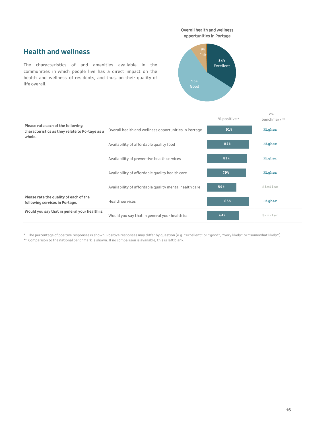**Overall health and wellness** opportunities in Portage

# **Health and wellness**

The characteristics of and amenities available in the communities in which people live has a direct impact on the health and wellness of residents, and thus, on their quality of life overall.



|                                                                                               |                                                       | % positive * | VS.<br>benchmark** |
|-----------------------------------------------------------------------------------------------|-------------------------------------------------------|--------------|--------------------|
| Please rate each of the following<br>characteristics as they relate to Portage as a<br>whole. | Overall health and wellness opportunities in Portage  | 91%          | Higher             |
|                                                                                               | Availability of affordable quality food               | 84%          | Higher             |
|                                                                                               | Availability of preventive health services            | 81%          | Higher             |
|                                                                                               | Availability of affordable quality health care        | 79%          | Higher             |
|                                                                                               | Availability of affordable quality mental health care | 59%          | Similar            |
| Please rate the quality of each of the<br>following services in Portage.                      | <b>Health services</b>                                | 85%          | Higher             |
| Would you say that in general your health is:                                                 | Would you say that in general your health is:         | 64%          | Similar            |

\* The percentage of positive responses is shown. Positive responses may differ by question (e.g. "excellent" or "good", "very likely" or "somewhat likely").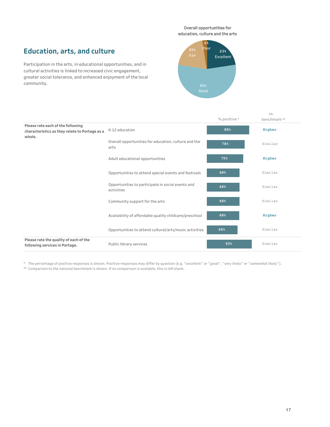Overall opportunities for education, culture and the arts

## **Education, arts, and culture**

Participation in the arts, in educational opportunities, and in cultural activities is linked to increased civic engagement, greater social tolerance, and enhanced enjoyment of the local community.



|                                                                                               |                                                                 | % positive * | VS.<br>benchmark ** |
|-----------------------------------------------------------------------------------------------|-----------------------------------------------------------------|--------------|---------------------|
| Please rate each of the following<br>characteristics as they relate to Portage as a<br>whole. | K-12 education                                                  | 88%          | Higher              |
|                                                                                               | Overall opportunities for education, culture and the<br>arts    | 78%          | Similar             |
|                                                                                               | Adult educational opportunities                                 | 75%          | Higher              |
|                                                                                               | Opportunities to attend special events and festivals            | 68%          | Similar             |
|                                                                                               | Opportunities to participate in social events and<br>activities | 68%          | Similar             |
|                                                                                               | Community support for the arts                                  | 68%          | Similar             |
|                                                                                               | Availability of affordable quality childcare/preschool          | 68%          | Higher              |
|                                                                                               | Opportunities to attend cultural/arts/music activities          | 64%          | Similar             |
| Please rate the quality of each of the<br>following services in Portage.                      | Public library services                                         | 93%          | Similar             |

\* The percentage of positive responses is shown. Positive responses may differ by question (e.g. "excellent" or "good", "very likely" or "somewhat likely").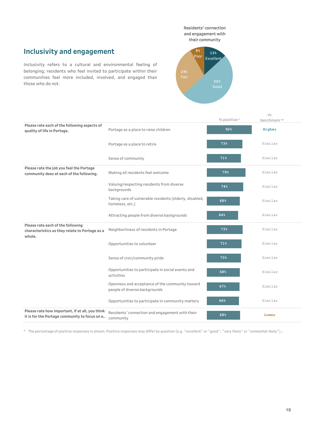Residents' connection and engagement with their community

# **Inclusivity and engagement**

Inclusivity refers to a cultural and environmental feeling of belonging; residents who feel invited to participate within their communities feel more included, involved, and engaged than those who do not.



|                                                                                                  |                                                                                  | % positive * | VS.<br>benchmark** |
|--------------------------------------------------------------------------------------------------|----------------------------------------------------------------------------------|--------------|--------------------|
| Please rate each of the following aspects of<br>quality of life in Portage.                      | Portage as a place to raise children                                             | 92%          | Higher             |
|                                                                                                  | Portage as a place to retire                                                     | 73%          | Similar            |
|                                                                                                  | Sense of community                                                               | 71%          | Similar            |
| Please rate the job you feel the Portage<br>community does at each of the following.             | Making all residents feel welcome                                                | 79%          | Similar            |
|                                                                                                  | Valuing/respecting residents from diverse<br>backgrounds                         | 74%          | Similar            |
|                                                                                                  | Taking care of vulnerable residents (elderly, disabled,<br>homeless, etc.)       | 68%          | Similar            |
|                                                                                                  | Attracting people from diverse backgrounds                                       | 64%          | Similar            |
| Please rate each of the following<br>characteristics as they relate to Portage as a<br>whole.    | Neighborliness of residents in Portage                                           | 73%          | Similar            |
|                                                                                                  | Opportunities to volunteer                                                       | 71%          | Similar            |
|                                                                                                  | Sense of civic/community pride                                                   | 70%          | Similar            |
|                                                                                                  | Opportunities to participate in social events and<br>activities                  | 68%          | Similar            |
|                                                                                                  | Openness and acceptance of the community toward<br>people of diverse backgrounds | 67%          | Similar            |
|                                                                                                  | Opportunities to participate in community matters                                | 66%          | Similar            |
| Please rate how important, if at all, you think<br>it is for the Portage community to focus on e | Residents' connection and engagement with their<br>community                     | 68%          | Lower              |

\* The percentage of positive responses is shown. Positive responses may differ by question (e.g. "excellent" or "good", "very likely" or "somewhat likely")...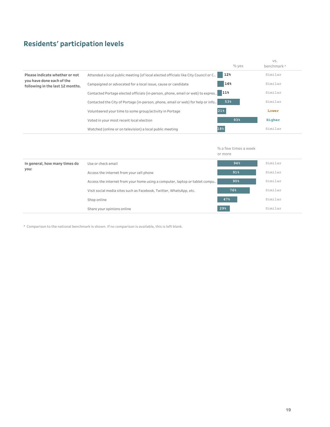# **Residents' participation levels**

|                                                               |                                                                                    | % yes           | VS.<br>benchmark * |
|---------------------------------------------------------------|------------------------------------------------------------------------------------|-----------------|--------------------|
| Please indicate whether or not                                | Attended a local public meeting (of local elected officials like City Council or C | 12%             | Similar            |
| you have done each of the<br>following in the last 12 months. | Campaigned or advocated for a local issue, cause or candidate                      | 16%             | Similar            |
|                                                               | Contacted Portage elected officials (in-person, phone, email or web) to expres.    | 11 <sup>8</sup> | Similar            |
|                                                               | Contacted the City of Portage (in-person, phone, email or web) for help or info    | 53%             | Similar            |
|                                                               | Volunteered your time to some group/activity in Portage                            | 21%             | Lower              |
|                                                               | Voted in your most recent local election                                           | 93%             | Higher             |
|                                                               | Watched (online or on television) a local public meeting                           | 18%             | Similar            |

|                               |                                                                             | or more         |         |
|-------------------------------|-----------------------------------------------------------------------------|-----------------|---------|
| In general, how many times do | Use or check email                                                          | 94%             | Similar |
| you:                          | Access the internet from your cell phone                                    | 91%             | Similar |
|                               | Access the internet from your home using a computer, laptop or tablet compu | 90 <sub>8</sub> | Similar |
|                               | Visit social media sites such as Facebook, Twitter, WhatsApp, etc.          | 76%             | Similar |
|                               | Shop online                                                                 | 47%             | Similar |
|                               | Share your opinions online                                                  | 29%             | Similar |

% a few times a week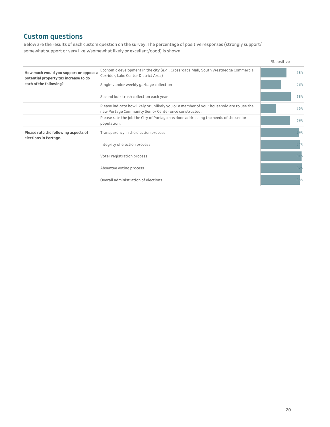## **Custom questions**

Below are the results of each custom question on the survey. The percentage of positive responses (strongly support/ somewhat support or very likely/somewhat likely or excellent/good) is shown.

|                                                                                 |                                                                                                                                                  | % positive      |
|---------------------------------------------------------------------------------|--------------------------------------------------------------------------------------------------------------------------------------------------|-----------------|
| How much would you support or oppose a<br>potential property tax increase to do | Economic development in the city (e.g., Crossroads Mall, South Westnedge Commercial<br>Corridor, Lake Center District Area)                      | 58%             |
| each of the following?                                                          | Single-vendor weekly garbage collection                                                                                                          | 46%             |
|                                                                                 | Second bulk trash collection each year                                                                                                           | 68%             |
|                                                                                 | Please indicate how likely or unlikely you or a member of your household are to use the<br>new Portage Community Senior Center once constructed. | 35%             |
|                                                                                 | Please rate the job the City of Portage has done addressing the needs of the senior<br>population.                                               | 66%             |
| Please rate the following aspects of<br>elections in Portage.                   | Transparency in the election process                                                                                                             | 86%             |
|                                                                                 | Integrity of election process                                                                                                                    | 87%             |
|                                                                                 | Voter registration process                                                                                                                       | $91\frac{6}{5}$ |
|                                                                                 | Absentee voting process                                                                                                                          | 92 <sup>5</sup> |
|                                                                                 | Overall administration of elections                                                                                                              | 88%             |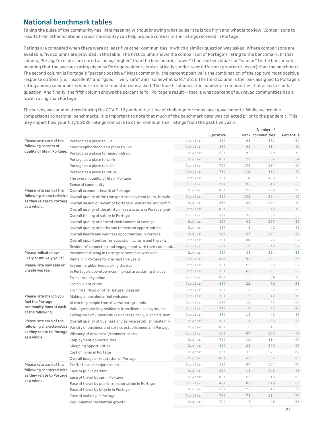## **National benchmark tables**

Taking the pulse of the community has little meaning without knowing what pulse rate is too high and what is too low. Comparisons to results from other locations across the country can help provide context to the ratings received in Portage.

Ratings are compared when there were at least five other communities in which a similar question was asked. Where comparisons are available, five columns are provided in the table. The first column shows the comparison of Portage's rating to the benchmark. In that column, Portage's results are noted as being "higher" than the benchmark, "lower" than the benchmark or "similar" to the benchmark, meaning that the average rating given by Portage residents is statistically similar to or different (greater or lesser) than the benchmark. The second column is Portage's "percent positive." Most commonly, the percent positive is the combination of the top two most positive response options (i.e., "excellent" and "good," "very safe" and "somewhat safe," etc.). The third column is the rank assigned to Portage's rating among communities where a similar question was asked. The fourth column is the number of communities that asked a similar question. And finally, the fifth column shows the percentile for Portage's result -- that is what percent of surveyed communities had a lower rating than Portage.

The survey was administered during the COVID-19 pandemic, a time of challenge for many local governments. While we provide comparisons to national benchmarks, it is important to note that much of the benchmark data was collected prior to the pandemic. This may impact how your City's 2020 ratings compare to other communities' ratings from the past five years.

|                                                                                                 |                                                               |         |            |                | Number of        |            |
|-------------------------------------------------------------------------------------------------|---------------------------------------------------------------|---------|------------|----------------|------------------|------------|
|                                                                                                 |                                                               |         | % positive |                | Rank communities | Percentile |
| Please rate each of the                                                                         | Portage as a place to live                                    | Similar | 95%        | 63             | 382              | 84         |
| following aspects of                                                                            | Your neighborhood as a place to live                          | Similar | 88%        | 98             | 314              | 69         |
| quality of life in Portage.                                                                     | Portage as a place to raise children                          | Higher  | 92%        | 96             | 379              | 75         |
|                                                                                                 | Portage as a place to work                                    | Higher  | 85%        | 22             | 362              | 94         |
|                                                                                                 | Portage as a place to visit                                   | Similar | 72%        | 108            | 297              | 64         |
|                                                                                                 | Portage as a place to retire                                  | Similar | 73%        | 112            | 363              | 70         |
|                                                                                                 | The overall quality of life in Portage                        | Similar | 90%        | 118            | 439              | 73         |
|                                                                                                 | Sense of community                                            | Similar | 71%        | 106            | 310              | 66         |
| Please rate each of the                                                                         | Overall economic health of Portage                            | Higher  | 86%        | 59             | 279              | 79         |
| following characteristics                                                                       | Overall quality of the transportation system (auto, bicycle,  | Similar | 83%        | 103            | 284              | 64         |
| as they relate to Portage                                                                       | Overall design or layout of Portage's residential and comm    | Higher  | 83%        | 28             | 274              | 90         |
| as a whole.                                                                                     | Overall quality of the utility infrastructure in Portage (wat | Similar | 82%        | 12             | 42               | 70         |
|                                                                                                 | Overall feeling of safety in Portage                          | Similar | 91%        | 136            | 360              | 63         |
|                                                                                                 | Overall quality of natural environment in Portage             | Higher  | 92%        | 44             | 285              | 85         |
|                                                                                                 | Overall quality of parks and recreation opportunities         | Higher  | 94%        | 3              | 42               | 93         |
|                                                                                                 | Overall health and wellness opportunities in Portage          | Higher  | 91%        | 27             | 277              | 91         |
|                                                                                                 | Overall opportunities for education, culture and the arts     | Similar | 78%        | 100            | 276              | 64         |
|                                                                                                 | Residents' connection and engagement with their communi       | Similar | 63%        | 17             | 42               | 57         |
| Please indicate how<br>likely or unlikely you ar<br>Please rate how safe or<br>unsafe you feel: | Recommend living in Portage to someone who asks               | Higher  | 95%        | 44             | 294              | 85         |
|                                                                                                 | Remain in Portage for the next five years                     | Similar | 87%        | 99             | 287              | 66         |
|                                                                                                 | In your neighborhood during the day                           | Similar | 96%        | 151            | 353              | 57         |
|                                                                                                 | In Portage's downtown/commercial area during the day          | Similar | 90%        | 165            | 327              | 50         |
|                                                                                                 | From property crime                                           | Similar | 83%        | 16             | 56               | 70         |
|                                                                                                 | From violent crime                                            | Similar | 89%        | 22             | 56               | 58         |
|                                                                                                 | From fire, flood or other natural disaster                    | Similar | 90%        | 14             | 42               | 65         |
| Please rate the job you                                                                         | Making all residents feel welcome                             | Similar | 79%        | 12             | 42               | 70         |
| feel the Portage                                                                                | Attracting people from diverse backgrounds                    | Similar | 64%        | 13             | 42               | 67         |
| community does at each                                                                          | Valuing/respecting residents from diverse backgrounds         | Similar | 74%        | $\overline{7}$ | 42               | 83         |
| of the following.                                                                               | Taking care of vulnerable residents (elderly, disabled, hom   | Similar | 68%        | 14             | 42               | 65         |
| Please rate each of the                                                                         | Overall quality of business and service establishments in P   | Higher  | 90%        | 14             | 283              | 96         |
| following characteristics                                                                       | Variety of business and service establishments in Portage     | Higher  | 82%        | 2              | 41               | 95         |
| as they relate to Portage<br>as a whole.                                                        | Vibrancy of downtown/commercial area                          | Similar | 63%        | 87             | 260              | 67         |
|                                                                                                 | Employment opportunities                                      | Higher  | 74%        | 12             | 314              | 97         |
|                                                                                                 | Shopping opportunities                                        | Higher  | 82%        | 25             | 300              | 92         |
|                                                                                                 | Cost of living in Portage                                     | Higher  | 56%        | 36             | 277              | 87         |
|                                                                                                 | Overall image or reputation of Portage                        | Higher  | 89%        | 61             | 352              | 83         |
| Please rate each of the                                                                         | Traffic flow on major streets                                 | Similar | 59%        | 87             | 337              | 75         |
| following characteristics                                                                       | Ease of public parking                                        | Higher  | 81%        | 14             | 245              | 95         |
| as they relate to Portage                                                                       | Ease of travel by car in Portage                              | Higher  | 82%        | 55             | 313              | 83         |
| as a whole.                                                                                     | Ease of travel by public transportation in Portage            | Similar | 48%        | 81             | 249              | 68         |
|                                                                                                 | Ease of travel by bicycle in Portage                          | Higher  | 75%        | 29             | 313              | 91         |
|                                                                                                 | Ease of walking in Portage                                    | Similar | 78%        | 74             | 314              | 77         |
|                                                                                                 | Well-planned residential growth                               | Higher  | 70%        | 6              | 45               | 86         |
|                                                                                                 |                                                               |         |            |                |                  |            |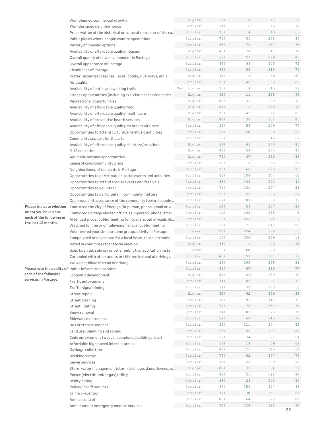|                          | Well-planned commercial growth                                  | Higher      | 67%   | $\overline{4}$ | 45  | 91     |
|--------------------------|-----------------------------------------------------------------|-------------|-------|----------------|-----|--------|
|                          | Well-designed neighborhoods                                     | Similar     | 74%   | 10             | 46  | 77     |
|                          | Preservation of the historical or cultural character of the co  | Similar     | 73%   | 14             | 40  | 63     |
|                          | Public places where people want to spend time                   | Similar     | 76%   | 55             | 268 | 80     |
|                          | Variety of housing options                                      | Similar     | 66%   | 70             | 287 | 76     |
|                          | Availability of affordable quality housing                      | Higher      | 48%   | 74             | 311 | 77     |
|                          | Overall quality of new development in Portage                   | Similar     | 69%   | 51             | 299 | 83     |
|                          | Overall appearance of Portage                                   | Similar     | 87%   | 98             | 345 | 72     |
|                          | <b>Cleanliness of Portage</b>                                   | Similar     | 88%   | 95             | 310 | 70     |
|                          | Water resources (beaches, lakes, ponds, riverways, etc.)        | Higher      | 91%   | 4              | 38  | 89     |
|                          | Air quality                                                     | Similar     | 93%   | 48             | 258 | 82     |
|                          | Availability of paths and walking trails                        | Much higher | 95%   | $\overline{4}$ | 315 | 99     |
|                          | Fitness opportunities (including exercise classes and paths     | Higher      | 92%   | 11             | 265 | 96     |
|                          | Recreational opportunities                                      | Higher      | 86%   | 31             | 299 | 90     |
|                          | Availability of affordable quality food                         | Higher      | 84%   | 12             | 258 | 96     |
|                          | Availability of affordable quality health care                  | Higher      | 79%   | 42             | 272 | 85     |
|                          | Availability of preventive health services                      | Higher      | 81%   | 38             | 254 | 85     |
|                          | Availability of affordable quality mental health care           | Similar     | 59%   | 58             | 249 | 77     |
|                          | Opportunities to attend cultural/arts/music activities          | Similar     | 64%   | 128            | 298 | 57     |
|                          | Community support for the arts                                  | Similar     | 68%   | 13             | 42  | 67     |
|                          | Availability of affordable quality childcare/preschool          | Higher      | 68%   | 41             | 270 | 85     |
|                          | K-12 education                                                  | Higher      | 88%   | 54             | 274 | 81     |
|                          | Adult educational opportunities                                 | Higher      | 75%   | 47             | 256 | 82     |
|                          | Sense of civic/community pride                                  | Similar     | 70%   | 18             | 42  | 54     |
|                          | Neighborliness of residents in Portage                          | Similar     | 73%   | 68             | 270 | 75     |
|                          | Opportunities to participate in social events and activities    | Similar     | 68%   | 108            | 274 | 61     |
|                          | Opportunities to attend special events and festivals            | Similar     | 68%   | 149            | 292 | 49     |
|                          | Opportunities to volunteer                                      | Similar     | 71%   | 131            | 277 | 53     |
|                          | Opportunities to participate in community matters               | Similar     | 66%   | 123            | 283 | 57     |
|                          | Openness and acceptance of the community toward people          | Similar     | 67%   | 87             | 303 | 72     |
| Please indicate whether  | Contacted the City of Portage (in-person, phone, email or w     | Similar     | 53%   | 59             | 337 | 83     |
| or not you have done     | Contacted Portage elected officials (in-person, phone, emai     | Similar     | 11%   | 248            | 268 | 8      |
| each of the following in | Attended a local public meeting (of local elected officials lik | Similar     | 12%   | 255            | 274 | $\tau$ |
| the last 12 months.      | Watched (online or on television) a local public meeting        | Similar     | 18%   | 175            | 245 | 29     |
|                          | Volunteered your time to some group/activity in Portage         | Lower       | 21%   | 254            | 276 | 8      |
|                          | Campaigned or advocated for a local issue, cause or candid      | Similar     | 16%   | 206            | 256 | 19     |
|                          | Voted in your most recent local election                        | Higher      | 93%   | $\mathbf{1}$   | 42  | 98     |
|                          | Used bus, rail, subway or other public transportation inste     | Lower       | $9\%$ | 168            | 229 | 26     |
|                          | Carpooled with other adults or children instead of driving a    | Similar     | 40%   | 159            | 261 | 39     |
|                          | Walked or biked instead of driving                              | Similar     | 53%   | 166            | 269 | 39     |
|                          | Please rate the quality of Public information services          | Similar     | 81%   | 67             | 290 | 77     |
| each of the following    | Economic development                                            | Higher      | 81%   | 24             | 289 | 92     |
| services in Portage.     | Traffic enforcement                                             | Similar     | 74%   | 102            | 361 | 72     |
|                          | Traffic signal timing                                           | Similar     | 51%   | 137            | 273 | 50     |
|                          | Street repair                                                   | Higher      | 62%   | 62             | 356 | 83     |
|                          | Street cleaning                                                 | Similar     | 71%   | 96             | 314 | 70     |
|                          | Street lighting                                                 | Similar     | 72%   | 78             | 334 | 77     |
|                          | Snow removal                                                    | Similar     | 74%   | 82             | 275 | 71     |
|                          | Sidewalk maintenance                                            | Similar     | 69%   | 68             | 313 | 79     |
|                          | Bus or transit services                                         | Similar     | 55%   | 111            | 244 | 55     |
|                          | Land use, planning and zoning                                   | Similar     | 63%   | 50             | 304 | 84     |
|                          | Code enforcement (weeds, abandoned buildings, etc.)             | Similar     | 57%   | 134            | 371 | 64     |
|                          | Affordable high-speed internet access                           | Similar     | 58%   | 14             | 39  | 62     |
|                          | Garbage collection                                              | Similar     | 88%   | 125            | 340 | 64     |
|                          | Drinking water                                                  | Similar     | 79%   | 82             | 307 | 74     |
|                          | Sewer services                                                  | Similar     | 91%   | 28             | 309 | 91     |
|                          | Storm water management (storm drainage, dams, levees, e         | Higher      | 82%   | 31             | 334 | 91     |
|                          | Power (electric and/or gas) utility                             | Similar     | 88%   | 25             | 198 | 88     |
|                          | Utility billing                                                 | Similar     | 83%   | 28             | 243 | 89     |
|                          | Police/Sheriff services                                         | Similar     | 87%   | 159            | 427 | 63     |
|                          | Crime prevention                                                | Similar     | 77%   | 130            | 357 | 64     |
|                          | Animal control                                                  | Similar     | 80%   | 64             | 325 | 81     |
|                          | Ambulance or emergency medical services                         | Similar     | 90%   | 228            | 328 | 31     |
|                          |                                                                 |             |       |                |     | 22     |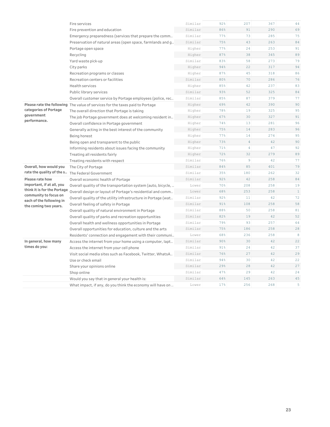|                                                   | Fire services                                                 | Similar | 92% | 207            | 367 | 44           |
|---------------------------------------------------|---------------------------------------------------------------|---------|-----|----------------|-----|--------------|
|                                                   | Fire prevention and education                                 | Similar | 86% | 91             | 290 | 69           |
|                                                   | Emergency preparedness (services that prepare the comm        | Similar | 77% | 73             | 285 | 75           |
|                                                   | Preservation of natural areas (open space, farmlands and g    | Similar | 75% | 43             | 263 | 84           |
|                                                   | Portage open space                                            | Higher  | 77% | 24             | 253 | 91           |
|                                                   | Recycling                                                     | Higher  | 87% | 38             | 345 | 89           |
|                                                   | Yard waste pick-up                                            | Similar | 83% | 58             | 273 | 79           |
|                                                   | City parks                                                    | Higher  | 94% | 22             | 317 | 94           |
|                                                   | Recreation programs or classes                                | Higher  | 87% | 45             | 318 | 86           |
|                                                   | Recreation centers or facilities                              | Similar | 80% | 70             | 286 | 76           |
|                                                   | <b>Health services</b>                                        | Higher  | 85% | 42             | 237 | 83           |
|                                                   | Public library services                                       | Similar | 93% | 52             | 325 | 84           |
|                                                   | Overall customer service by Portage employees (police, rec    | Similar | 85% | 87             | 379 | 77           |
| Please rate the following                         | The value of services for the taxes paid to Portage           | Higher  | 69% | 42             | 390 | 90           |
| categories of Portage                             | The overall direction that Portage is taking                  | Higher  | 78% | 19             | 325 | 95           |
| government                                        | The job Portage government does at welcoming resident in      | Higher  | 67% | 30             | 327 | 91           |
| performance.                                      | Overall confidence in Portage government                      | Higher  | 74% | 13             | 281 | 96           |
|                                                   | Generally acting in the best interest of the community        | Higher  | 75% | 14             | 283 | 96           |
|                                                   | Being honest                                                  | Higher  | 77% | 14             | 274 | 95           |
|                                                   | Being open and transparent to the public                      | Higher  | 73% | $\overline{4}$ | 42  | 90           |
|                                                   | Informing residents about issues facing the community         | Higher  | 71% | $\overline{4}$ | 47  | 92           |
|                                                   | Treating all residents fairly                                 | Higher  | 72% | 32             | 279 | 89           |
|                                                   | Treating residents with respect                               | Similar | 76% | $\overline{9}$ | 42  | 77           |
| Overall, how would you                            | The City of Portage                                           | Similar | 84% | 85             | 401 | 79           |
| rate the quality of the s                         | The Federal Government                                        | Similar | 35% | 180            | 262 | 32           |
| Please rate how                                   | Overall economic health of Portage                            | Similar | 92% | 42             | 258 | 84           |
| important, if at all, you                         | Overall quality of the transportation system (auto, bicycle,  | Lower   | 70% | 208            | 258 | 19           |
| think it is for the Portage                       | Overall design or layout of Portage's residential and comm    | Lower   | 68% | 253            | 258 | $\mathbf{1}$ |
| community to focus on<br>each of the following in | Overall quality of the utility infrastructure in Portage (wat | Similar | 92% | 11             | 42  | 72           |
| the coming two years.                             | Overall feeling of safety in Portage                          | Similar | 91% | 108            | 258 | 58           |
|                                                   | Overall quality of natural environment in Portage             | Similar | 88% | 50             | 258 | 81           |
|                                                   | Overall quality of parks and recreation opportunities         | Similar | 82% | 19             | 42  | 52           |
|                                                   | Overall health and wellness opportunities in Portage          | Similar | 79% | 93             | 257 | 64           |
|                                                   | Overall opportunities for education, culture and the arts     | Similar | 75% | 186            | 258 | 28           |
|                                                   | Residents' connection and engagement with their communi       | Lower   | 68% | 236            | 258 | 8            |
| In general, how many                              | Access the internet from your home using a computer, lapt     | Similar | 90% | 30             | 42  | 22           |
| times do you:                                     | Access the internet from your cell phone                      | Similar | 91% | 24             | 42  | 37           |
|                                                   | Visit social media sites such as Facebook, Twitter, WhatsA    | Similar | 76% | 27             | 42  | 29           |
|                                                   | Use or check email                                            | Similar | 94% | 30             | 42  | 22           |
|                                                   | Share your opinions online                                    | Similar | 29% | 28             | 42  | 27           |
|                                                   | Shop online                                                   | Similar | 47% | 29             | 42  | 24           |
|                                                   | Would you say that in general your health is:                 | Similar | 64% | 145            | 263 | 45           |
|                                                   | What impact, if any, do you think the economy will have on    | Lower   | 17% | 256            | 268 | 5            |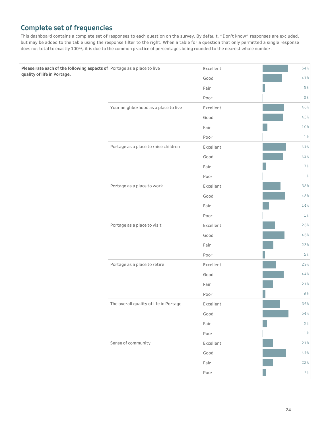# **Complete set of frequencies**

This dashboard contains a complete set of responses to each question on the survey. By default, "Don't know" responses are excluded, but may be added to the table using the response filter to the right. When a table for a question that only permitted a single response does not total to exactly 100%, it is due to the common practice of percentages being rounded to the nearest whole number.

| Please rate each of the following aspects of Portage as a place to live |                                        | Excellent | 54%            |
|-------------------------------------------------------------------------|----------------------------------------|-----------|----------------|
| quality of life in Portage.                                             |                                        | Good      | $41\,$         |
|                                                                         |                                        | Fair      | $5\,$ %        |
|                                                                         |                                        | Poor      | $0\,$ %        |
|                                                                         | Your neighborhood as a place to live   | Excellent | 46%            |
|                                                                         |                                        | Good      | 43%            |
|                                                                         |                                        | Fair      | 10%            |
|                                                                         |                                        | Poor      | 1 <sup>°</sup> |
|                                                                         | Portage as a place to raise children   | Excellent | 49%            |
|                                                                         |                                        | Good      | 43%            |
|                                                                         |                                        | Fair      | $7\%$          |
|                                                                         |                                        | Poor      | 1 <sup>°</sup> |
|                                                                         | Portage as a place to work             | Excellent | 38%            |
|                                                                         |                                        | Good      | 48%            |
|                                                                         |                                        | Fair      | $14\,$         |
|                                                                         |                                        | Poor      | $1\%$          |
|                                                                         | Portage as a place to visit            | Excellent | 26%            |
|                                                                         |                                        | Good      | 46%            |
|                                                                         |                                        | Fair      | 23%            |
|                                                                         |                                        | Poor      | 5%             |
|                                                                         | Portage as a place to retire           | Excellent | 29%            |
|                                                                         |                                        | Good      | $4\,4\, \%$    |
|                                                                         |                                        | Fair      | 21%            |
|                                                                         |                                        | Poor      | 6%             |
|                                                                         | The overall quality of life in Portage | Excellent | 36%            |
|                                                                         |                                        | Good      | $54\,$         |
|                                                                         |                                        | Fair      | $9\,$          |
|                                                                         |                                        | Poor      | $1\%$          |
|                                                                         | Sense of community                     | Excellent | 21%            |
|                                                                         |                                        | Good      | 49%            |
|                                                                         |                                        | Fair      | 22%            |
|                                                                         |                                        | Poor      | 7%             |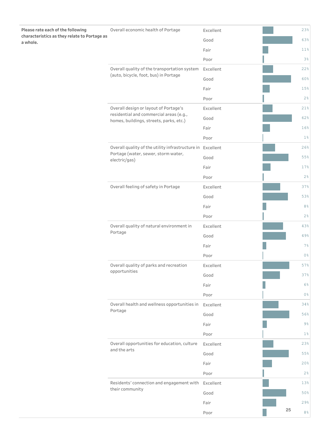| Please rate each of the following                        | Overall economic health of Portage                                                 | Excellent |    | 23%            |
|----------------------------------------------------------|------------------------------------------------------------------------------------|-----------|----|----------------|
| characteristics as they relate to Portage as<br>a whole. |                                                                                    | Good      |    | 63%            |
|                                                          |                                                                                    | Fair      |    | 11%            |
|                                                          |                                                                                    | Poor      |    | 3%             |
|                                                          | Overall quality of the transportation system                                       | Excellent |    | 22%            |
|                                                          | (auto, bicycle, foot, bus) in Portage                                              | Good      |    | 60%            |
|                                                          |                                                                                    | Fair      |    | 15%            |
|                                                          |                                                                                    | Poor      |    | 2 <sup>°</sup> |
|                                                          | Overall design or layout of Portage's                                              | Excellent |    | 21%            |
|                                                          | residential and commercial areas (e.g.,<br>homes, buildings, streets, parks, etc.) | Good      |    | 62%            |
|                                                          |                                                                                    | Fair      |    | 16%            |
|                                                          |                                                                                    | Poor      |    | $1\%$          |
|                                                          | Overall quality of the utility infrastructure in Excellent                         |           |    | 26%            |
|                                                          | Portage (water, sewer, storm water,<br>electric/gas)                               | Good      |    | 55%            |
|                                                          |                                                                                    | Fair      |    | 17%            |
|                                                          |                                                                                    | Poor      |    | 2%             |
|                                                          | Overall feeling of safety in Portage                                               | Excellent |    | 37%            |
|                                                          |                                                                                    | Good      |    | 53%            |
|                                                          |                                                                                    | Fair      |    | 8%             |
|                                                          |                                                                                    | Poor      |    | 2%             |
|                                                          | Overall quality of natural environment in<br>Portage                               | Excellent |    | 43%            |
|                                                          |                                                                                    | Good      |    | 49%            |
|                                                          |                                                                                    | Fair      |    | 7%             |
|                                                          |                                                                                    | Poor      |    | $0\,$ %        |
|                                                          | Overall quality of parks and recreation                                            | Excellent |    | 57%            |
|                                                          | opportunities                                                                      | Good      |    | 37%            |
|                                                          |                                                                                    | Fair      |    | 6%             |
|                                                          |                                                                                    | Poor      |    | 0 <sup>°</sup> |
|                                                          | Overall health and wellness opportunities in                                       | Excellent |    | 34%            |
|                                                          | Portage                                                                            | Good      |    | 56%            |
|                                                          |                                                                                    | Fair      |    | 9%             |
|                                                          |                                                                                    | Poor      |    | $1\%$          |
|                                                          | Overall opportunities for education, culture<br>and the arts                       | Excellent |    | 23%            |
|                                                          |                                                                                    | Good      |    | 55%            |
|                                                          |                                                                                    | Fair      |    | 20%            |
|                                                          |                                                                                    | Poor      |    | 2%             |
|                                                          | Residents' connection and engagement with<br>their community                       | Excellent |    | 13%            |
|                                                          |                                                                                    | Good      |    | 50%            |
|                                                          |                                                                                    | Fair      |    | 29%            |
|                                                          |                                                                                    | Poor      | 25 | 8%             |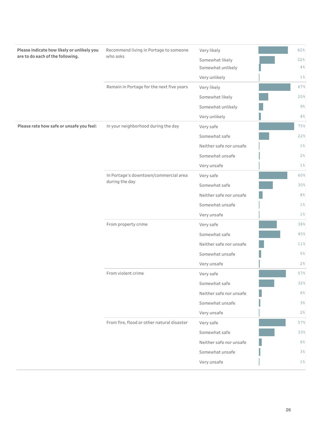| Please indicate how likely or unlikely you<br>are to do each of the following. | Recommend living in Portage to someone     | Very likely             | 62%            |
|--------------------------------------------------------------------------------|--------------------------------------------|-------------------------|----------------|
|                                                                                | who asks                                   | Somewhat likely         | 32%            |
|                                                                                |                                            | Somewhat unlikely       | 4%             |
|                                                                                |                                            | Very unlikely           | $1\%$          |
|                                                                                | Remain in Portage for the next five years  | Very likely             | 67%            |
|                                                                                |                                            | Somewhat likely         | 20%            |
|                                                                                |                                            | Somewhat unlikely       | $9\%$          |
|                                                                                |                                            | Very unlikely           | 4%             |
| Please rate how safe or unsafe you feel:                                       | In your neighborhood during the day        | Very safe               | 75%            |
|                                                                                |                                            | Somewhat safe           | 22%            |
|                                                                                |                                            | Neither safe nor unsafe | $1\%$          |
|                                                                                |                                            | Somewhat unsafe         | 2%             |
|                                                                                |                                            | Very unsafe             | $1\%$          |
|                                                                                | In Portage's downtown/commercial area      | Very safe               | 60%            |
|                                                                                | during the day                             | Somewhat safe           | 30%            |
|                                                                                |                                            | Neither safe nor unsafe | 8 <sup>°</sup> |
|                                                                                |                                            | Somewhat unsafe         | $1\%$          |
|                                                                                |                                            | Very unsafe             | 1 <sup>°</sup> |
|                                                                                | From property crime                        | Very safe               | 38%            |
|                                                                                |                                            | Somewhat safe           | 45%            |
|                                                                                |                                            | Neither safe nor unsafe | 11%            |
|                                                                                |                                            | Somewhat unsafe         | 5 <sup>°</sup> |
|                                                                                |                                            | Very unsafe             | 2%             |
|                                                                                | From violent crime                         | Very safe               | 57%            |
|                                                                                |                                            | Somewhat safe           | 32%            |
|                                                                                |                                            | Neither safe nor unsafe | 6%             |
|                                                                                |                                            | Somewhat unsafe         | 3%             |
|                                                                                |                                            | Very unsafe             | $2\frac{6}{6}$ |
|                                                                                | From fire, flood or other natural disaster | Very safe               | 57%            |
|                                                                                |                                            | Somewhat safe           | 33%            |
|                                                                                |                                            | Neither safe nor unsafe | 6 <sup>°</sup> |
|                                                                                |                                            | Somewhat unsafe         | 3%             |
|                                                                                |                                            | Very unsafe             | $1\%$          |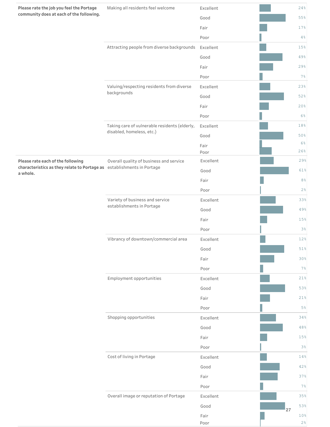| Please rate the job you feel the Portage<br>community does at each of the following. | Making all residents feel welcome                                          | Excellent    |    | 24%<br>55%     |
|--------------------------------------------------------------------------------------|----------------------------------------------------------------------------|--------------|----|----------------|
|                                                                                      |                                                                            | Good         |    |                |
|                                                                                      |                                                                            | Fair         |    | 17%            |
|                                                                                      |                                                                            | Poor         |    | 4%             |
|                                                                                      | Attracting people from diverse backgrounds                                 | Excellent    |    | 15%            |
|                                                                                      |                                                                            | Good         |    | 49%            |
|                                                                                      |                                                                            | Fair         |    | 29%            |
|                                                                                      |                                                                            | Poor         |    | 7%             |
|                                                                                      | Valuing/respecting residents from diverse<br>backgrounds                   | Excellent    |    | 23%            |
|                                                                                      |                                                                            | Good         |    | 52%            |
|                                                                                      |                                                                            | Fair         |    | 20%            |
|                                                                                      |                                                                            | Poor         |    | $6\%$          |
|                                                                                      | Taking care of vulnerable residents (elderly,<br>disabled, homeless, etc.) | Excellent    |    | 18%            |
|                                                                                      |                                                                            | Good         |    | 50%<br>$6\%$   |
|                                                                                      |                                                                            | Fair<br>Poor |    | 26%            |
| Please rate each of the following                                                    | Overall quality of business and service                                    | Excellent    |    | 29%            |
| characteristics as they relate to Portage as establishments in Portage<br>a whole.   |                                                                            | Good         |    | 61%            |
|                                                                                      |                                                                            | Fair         |    | 8%             |
|                                                                                      |                                                                            | Poor         |    | 2%             |
|                                                                                      | Variety of business and service                                            | Excellent    |    | 33%            |
|                                                                                      | establishments in Portage                                                  | Good         |    | 49%            |
|                                                                                      |                                                                            | Fair         |    | 15%            |
|                                                                                      |                                                                            | Poor         |    | 3%             |
|                                                                                      | Vibrancy of downtown/commercial area                                       | Excellent    |    | 12%            |
|                                                                                      |                                                                            | Good         |    | $51\,$         |
|                                                                                      |                                                                            | Fair         |    | 30%            |
|                                                                                      |                                                                            | Poor         |    | 7%             |
|                                                                                      | Employment opportunities                                                   | Excellent    |    | 21%            |
|                                                                                      |                                                                            | Good         |    | 53%            |
|                                                                                      |                                                                            | Fair         |    | 21%            |
|                                                                                      |                                                                            | Poor         |    | $5\%$          |
|                                                                                      | Shopping opportunities                                                     | Excellent    |    | 34%            |
|                                                                                      |                                                                            | Good         |    | 48%            |
|                                                                                      |                                                                            | Fair         |    | 15%            |
|                                                                                      |                                                                            | Poor         |    | 3%             |
|                                                                                      | Cost of living in Portage                                                  | Excellent    |    | 14%            |
|                                                                                      |                                                                            | Good         |    | 42%            |
|                                                                                      |                                                                            | Fair         |    | 37%            |
|                                                                                      |                                                                            | Poor         |    | 7%             |
|                                                                                      | Overall image or reputation of Portage                                     | Excellent    |    | 35%            |
|                                                                                      |                                                                            | Good         | 27 | 53%            |
|                                                                                      |                                                                            | Fair         |    | 10%            |
|                                                                                      |                                                                            | Poor         |    | 2 <sup>°</sup> |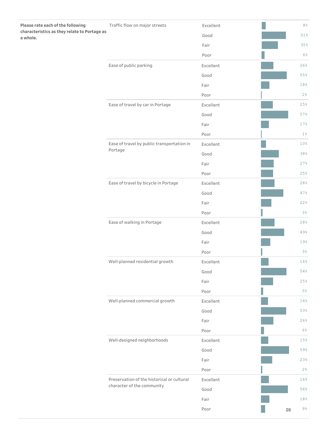| Please rate each of the following                        | Traffic flow on major streets                                            | Excellent |    | $8\,$ % |
|----------------------------------------------------------|--------------------------------------------------------------------------|-----------|----|---------|
| characteristics as they relate to Portage as<br>a whole. |                                                                          | Good      |    | 51%     |
|                                                          |                                                                          | Fair      |    | 35%     |
|                                                          |                                                                          | Poor      |    | $6\%$   |
|                                                          | Ease of public parking                                                   | Excellent |    | 26%     |
|                                                          |                                                                          | Good      |    | 55%     |
|                                                          |                                                                          | Fair      |    | 18%     |
|                                                          |                                                                          | Poor      |    | 2%      |
|                                                          | Ease of travel by car in Portage                                         | Excellent |    | 25%     |
|                                                          |                                                                          | Good      |    | 57%     |
|                                                          |                                                                          | Fair      |    | 17%     |
|                                                          |                                                                          | Poor      |    | $1\%$   |
|                                                          | Ease of travel by public transportation in                               | Excellent |    | 10%     |
|                                                          | Portage                                                                  | Good      |    | 38%     |
|                                                          |                                                                          | Fair      |    | 27%     |
|                                                          |                                                                          | Poor      |    | 25%     |
|                                                          | Ease of travel by bicycle in Portage                                     | Excellent |    | 28%     |
|                                                          |                                                                          | Good      |    | 47%     |
|                                                          |                                                                          | Fair      |    | 22%     |
|                                                          |                                                                          | Poor      |    | 3%      |
|                                                          | Ease of walking in Portage                                               | Excellent |    | 28%     |
|                                                          |                                                                          | Good      |    | 49%     |
|                                                          |                                                                          | Fair      |    | 19%     |
|                                                          |                                                                          | Poor      |    | 3%      |
|                                                          | Well-planned residential growth                                          | Excellent |    | 16%     |
|                                                          |                                                                          | Good      |    | $54\,$  |
|                                                          |                                                                          | Fair      |    | 25%     |
|                                                          |                                                                          | Poor      |    | 5%      |
|                                                          | Well-planned commercial growth                                           | Excellent |    | $14\,$  |
|                                                          |                                                                          | Good      |    | 53%     |
|                                                          |                                                                          | Fair      |    | 26%     |
|                                                          |                                                                          | Poor      |    | $6\%$   |
|                                                          | Well-designed neighborhoods                                              | Excellent |    | 15%     |
|                                                          |                                                                          | Good      |    | 59%     |
|                                                          |                                                                          | Fair      |    | 23%     |
|                                                          |                                                                          | Poor      |    | 2%      |
|                                                          | Preservation of the historical or cultural<br>character of the community | Excellent |    | 16%     |
|                                                          |                                                                          | Good      |    | 56%     |
|                                                          |                                                                          | Fair      |    | 18%     |
|                                                          |                                                                          | Poor      | 28 | $9\,$   |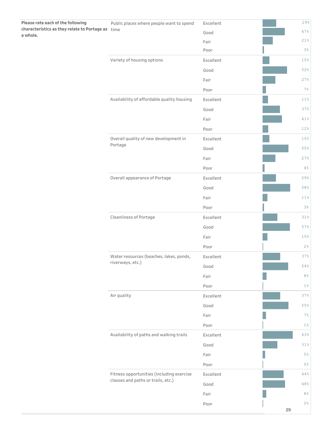| Please rate each of the following                             | Public places where people want to spend   | Excellent |    | 29%            |
|---------------------------------------------------------------|--------------------------------------------|-----------|----|----------------|
| characteristics as they relate to Portage as time<br>a whole. |                                            | Good      |    | 47%            |
|                                                               |                                            | Fair      |    | 21%            |
|                                                               |                                            | Poor      |    | 3%             |
|                                                               | Variety of housing options                 | Excellent |    | 15%            |
|                                                               |                                            | Good      |    | 52%            |
|                                                               |                                            | Fair      |    | 27%            |
|                                                               |                                            | Poor      |    | 7%             |
|                                                               | Availability of affordable quality housing | Excellent |    | 11%            |
|                                                               |                                            | Good      |    | 37%            |
|                                                               |                                            | Fair      |    | 41%            |
|                                                               |                                            | Poor      |    | 12%            |
|                                                               | Overall quality of new development in      | Excellent |    | 15%            |
|                                                               | Portage                                    | Good      |    | 55%            |
|                                                               |                                            | Fair      |    | 27%            |
|                                                               |                                            | Poor      |    | 4%             |
|                                                               | Overall appearance of Portage              | Excellent |    | 29%            |
|                                                               |                                            | Good      |    | 58%            |
|                                                               |                                            | Fair      |    | 11%            |
|                                                               |                                            | Poor      |    | 3%             |
|                                                               | Cleanliness of Portage                     | Excellent |    | 31%            |
|                                                               |                                            | Good      |    | 57%            |
|                                                               |                                            | Fair      |    | 10%            |
|                                                               |                                            | Poor      |    | 2%             |
|                                                               | Water resources (beaches, lakes, ponds,    | Excellent |    | 37%            |
|                                                               | riverways, etc.)                           | Good      |    | $54\,$         |
|                                                               |                                            | Fair      |    | 8%             |
|                                                               |                                            | Poor      |    | $1\%$          |
|                                                               | Air quality                                | Excellent |    | 37%            |
|                                                               |                                            | Good      |    | 55%            |
|                                                               |                                            | Fair      |    | 7%             |
|                                                               |                                            | Poor      |    | $1\%$          |
|                                                               | Availability of paths and walking trails   | Excellent |    | 63%            |
|                                                               |                                            | Good      |    | 31%            |
|                                                               |                                            | Fair      |    | 5%             |
|                                                               |                                            | Poor      |    | $0\,$          |
|                                                               | Fitness opportunities (including exercise  | Excellent |    | $4\,4\,$ %     |
|                                                               | classes and paths or trails, etc.)         | Good      |    | 48%            |
|                                                               |                                            | Fair      |    | $8\,$ %        |
|                                                               |                                            | Poor      |    | 0 <sup>°</sup> |
|                                                               |                                            |           | 29 |                |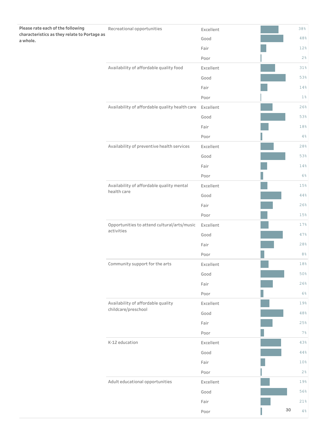| Please rate each of the following                        | Recreational opportunities                                | Excellent      |        | 38%            |
|----------------------------------------------------------|-----------------------------------------------------------|----------------|--------|----------------|
| characteristics as they relate to Portage as<br>a whole. |                                                           | Good           |        | 48%            |
|                                                          |                                                           | Fair           |        | 12%            |
|                                                          |                                                           | Poor           |        | 2%             |
|                                                          | Availability of affordable quality food                   | Excellent      |        | 31%            |
|                                                          |                                                           | Good           |        | 53%            |
|                                                          |                                                           | Fair           |        | 14%            |
|                                                          |                                                           | Poor           |        | $1\%$          |
|                                                          | Availability of affordable quality health care            | Excellent      |        | 26%            |
|                                                          |                                                           | Good           |        | 53%            |
|                                                          |                                                           | Fair           |        | 18%            |
|                                                          |                                                           | Poor           |        | $4\,$ %        |
|                                                          | Availability of preventive health services                | Excellent      |        | 28%            |
|                                                          |                                                           | Good           |        | 53%            |
|                                                          |                                                           | Fair           |        | 14%            |
|                                                          |                                                           | Poor           |        | 6%             |
|                                                          | Availability of affordable quality mental                 | Excellent      |        | 15%            |
|                                                          | health care                                               | Good           |        | 44%            |
|                                                          |                                                           | Fair           |        | 26%            |
|                                                          |                                                           | Poor           |        | 15%            |
|                                                          | Opportunities to attend cultural/arts/music<br>activities | Excellent      |        | 17%            |
|                                                          |                                                           | Good           |        | 47%            |
|                                                          |                                                           | Fair           |        | 28%            |
|                                                          |                                                           | Poor           |        | 8 <sup>°</sup> |
|                                                          | Community support for the arts                            | Excellent      |        | 18%            |
|                                                          |                                                           | Good           |        | 50%            |
|                                                          |                                                           | Fair           |        | 26%            |
|                                                          |                                                           | Poor           |        | 6%             |
|                                                          | Availability of affordable quality<br>childcare/preschool | Excellent      |        | 19%            |
|                                                          |                                                           | Good           |        | $48\,$         |
|                                                          |                                                           | Fair           |        | 25%            |
|                                                          |                                                           | Poor           |        | 7%             |
|                                                          | K-12 education                                            | Excellent      |        | 43%            |
|                                                          |                                                           | $44\,$<br>Good |        |                |
|                                                          |                                                           | Fair           |        | 10%            |
|                                                          |                                                           | Poor           |        | 2%             |
|                                                          | Adult educational opportunities                           | Excellent      |        | 19%            |
|                                                          | Good                                                      |                | 56%    |                |
|                                                          |                                                           | Fair           |        | 21%            |
|                                                          |                                                           | Poor           | $30\,$ | $4\,$ %        |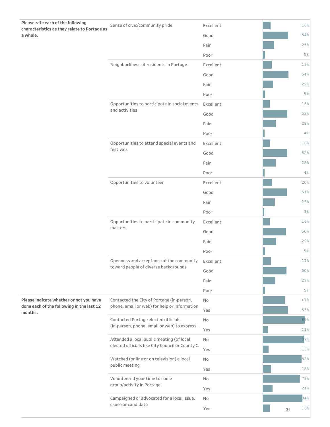| Please rate each of the following                    |                                                 |           |    |       |
|------------------------------------------------------|-------------------------------------------------|-----------|----|-------|
| characteristics as they relate to Portage as         | Sense of civic/community pride                  | Excellent |    | 16%   |
| a whole.                                             |                                                 | Good      |    | 54%   |
|                                                      |                                                 | Fair      |    | 25%   |
|                                                      |                                                 | Poor      |    | $5\%$ |
|                                                      | Neighborliness of residents in Portage          | Excellent |    | 19%   |
|                                                      |                                                 | Good      |    | 54%   |
|                                                      |                                                 | Fair      |    | 22%   |
|                                                      |                                                 | Poor      |    | 5%    |
|                                                      | Opportunities to participate in social events   | Excellent |    | 15%   |
|                                                      | and activities                                  | Good      |    | 53%   |
|                                                      |                                                 | Fair      |    | 28%   |
|                                                      |                                                 | Poor      |    | 4%    |
|                                                      | Opportunities to attend special events and      | Excellent |    | 16%   |
|                                                      | festivals                                       | Good      |    | 52%   |
|                                                      |                                                 | Fair      |    | 28%   |
|                                                      |                                                 | Poor      |    | 4%    |
|                                                      | Opportunities to volunteer                      | Excellent |    | 20%   |
|                                                      |                                                 | Good      |    | 51%   |
|                                                      |                                                 | Fair      |    | 26%   |
|                                                      |                                                 | Poor      |    | 3%    |
|                                                      | Opportunities to participate in community       | Excellent |    | 16%   |
|                                                      | matters                                         | Good      |    | 50%   |
|                                                      |                                                 | Fair      |    | 29%   |
|                                                      |                                                 | Poor      |    | $5\%$ |
|                                                      | Openness and acceptance of the community        | Excellent |    | 17%   |
|                                                      | toward people of diverse backgrounds            | Good      |    | 50%   |
|                                                      |                                                 | Fair      |    | 27%   |
|                                                      |                                                 | Poor      |    | 5%    |
| Please indicate whether or not you have              | Contacted the City of Portage (in-person,       | No        |    | 47%   |
| done each of the following in the last 12<br>months. | phone, email or web) for help or information    | Yes       |    | 53%   |
|                                                      | Contacted Portage elected officials             | No        |    | 89%   |
|                                                      | (in-person, phone, email or web) to express     | Yes       |    | 11%   |
|                                                      | Attended a local public meeting (of local       | No        |    | 87%   |
|                                                      | elected officials like City Council or County C | Yes       |    | 13%   |
|                                                      | Watched (online or on television) a local       | No        |    | 82%   |
|                                                      | public meeting                                  | Yes       |    | 18%   |
|                                                      | Volunteered your time to some                   | No        |    | 79%   |
|                                                      | group/activity in Portage                       | Yes       |    | 21%   |
|                                                      | Campaigned or advocated for a local issue,      | No        |    | 84%   |
|                                                      | cause or candidate                              | Yes       | 31 | 16%   |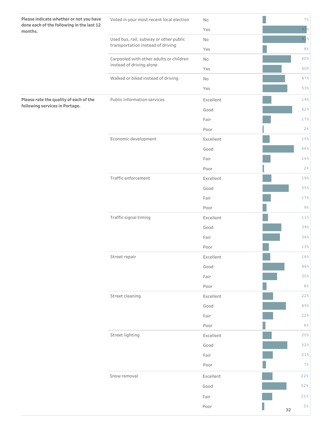| Please indicate whether or not you have<br>done each of the following in the last 12 | Voted in your most recent local election                                    | No        | 7%              |
|--------------------------------------------------------------------------------------|-----------------------------------------------------------------------------|-----------|-----------------|
| months.                                                                              |                                                                             | Yes       | $93\frac{6}{5}$ |
|                                                                                      | Used bus, rail, subway or other public<br>transportation instead of driving | No        | 91              |
|                                                                                      |                                                                             | Yes       | $9\frac{6}{6}$  |
|                                                                                      | Carpooled with other adults or children                                     | No        | 60%             |
|                                                                                      | instead of driving alone                                                    | Yes       | 40%             |
|                                                                                      | Walked or biked instead of driving                                          | No        | 47%             |
|                                                                                      |                                                                             | Yes       | 53%             |
| Please rate the quality of each of the                                               | Public information services                                                 | Excellent | 19%             |
| following services in Portage.                                                       |                                                                             | Good      | 62%             |
|                                                                                      |                                                                             | Fair      | 17%             |
|                                                                                      |                                                                             | Poor      | 2%              |
|                                                                                      | Economic development                                                        | Excellent | 15%             |
|                                                                                      |                                                                             | Good      | 66%             |
|                                                                                      |                                                                             | Fair      | 16%             |
|                                                                                      |                                                                             | Poor      | 2%              |
|                                                                                      | Traffic enforcement                                                         | Excellent | 19%             |
|                                                                                      |                                                                             | Good      | 55%             |
|                                                                                      |                                                                             | Fair      | 17%             |
|                                                                                      |                                                                             | Poor      | $9\frac{6}{6}$  |
|                                                                                      | Traffic signal timing                                                       | Excellent | 11%             |
|                                                                                      |                                                                             | Good      | 39%             |
|                                                                                      |                                                                             | Fair      | 36%             |
|                                                                                      |                                                                             | Poor      | 13%             |
|                                                                                      | Street repair                                                               | Excellent | 16%             |
|                                                                                      |                                                                             | Good      | 46%             |
|                                                                                      |                                                                             | Fair      | 30%             |
|                                                                                      |                                                                             | Poor      | 8%              |
|                                                                                      | Street cleaning                                                             | Excellent | 22%             |
|                                                                                      |                                                                             | Good      | 49%             |
|                                                                                      |                                                                             | Fair      | 22%             |
|                                                                                      |                                                                             | Poor      | 6%              |
|                                                                                      | Street lighting                                                             | Excellent | 20%             |
|                                                                                      |                                                                             | Good      | 52%             |
|                                                                                      |                                                                             | Fair      | 21%             |
|                                                                                      |                                                                             | Poor      | 7%              |
|                                                                                      | Snow removal                                                                | Excellent | 22%             |
|                                                                                      |                                                                             | Good      | 52%             |
|                                                                                      |                                                                             | Fair      | 21%             |
|                                                                                      |                                                                             | Poor      | $5\,$<br>32     |
|                                                                                      |                                                                             |           |                 |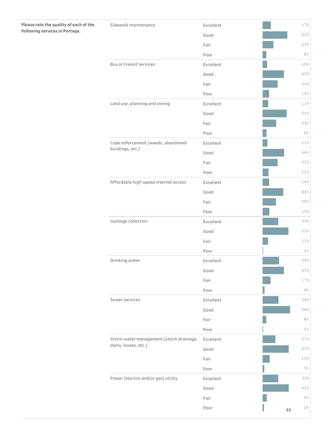| Please rate the quality of each of the | Sidewalk maintenance                    | Excellent |    | 17%            |
|----------------------------------------|-----------------------------------------|-----------|----|----------------|
| following services in Portage.         |                                         | Good      |    | 52%            |
|                                        |                                         | Fair      |    | 23%            |
|                                        |                                         | Poor      |    | $8\,$ %        |
|                                        | Bus or transit services                 | Excellent |    | 10%            |
|                                        |                                         | Good      |    | 45%            |
|                                        |                                         | Fair      |    | 32%            |
|                                        |                                         | Poor      |    | 14%            |
|                                        | Land use, planning and zoning           | Excellent |    | 11%            |
|                                        |                                         | Good      |    | 51%            |
|                                        |                                         | Fair      |    | 29%            |
|                                        |                                         | Poor      |    | 8%             |
|                                        | Code enforcement (weeds, abandoned      | Excellent |    | 11%            |
|                                        | buildings, etc.)                        | Good      |    | 46%            |
|                                        |                                         | Fair      |    | 31%            |
|                                        |                                         | Poor      |    | 12%            |
|                                        | Affordable high-speed internet access   | Excellent |    | 14%            |
|                                        |                                         | Good      |    | 44%            |
|                                        |                                         | Fair      |    | 28%            |
|                                        |                                         | Poor      |    | 15%            |
|                                        | Garbage collection                      | Excellent |    | 33%            |
|                                        |                                         | Good      |    | 55%            |
|                                        |                                         | Fair      |    | 11%            |
|                                        |                                         | Poor      |    | 1 <sup>°</sup> |
|                                        | Drinking water                          | Excellent |    | 34%            |
|                                        |                                         | Good      |    | 45%            |
|                                        |                                         | Fair      |    | 17%            |
|                                        |                                         | Poor      |    | 4%             |
|                                        | Sewer services                          | Excellent |    | 34%            |
|                                        |                                         | Good      |    | 58%            |
|                                        |                                         | Fair      |    | $8\,$ %        |
|                                        |                                         | Poor      |    | 1 <sup>°</sup> |
|                                        | Storm water management (storm drainage, | Excellent |    | 27%            |
|                                        | dams, levees, etc.)                     | Good      |    | $55\%$         |
|                                        |                                         | Fair      |    | $15\,$         |
|                                        |                                         | Poor      |    | 3%             |
|                                        | Power (electric and/or gas) utility     | Excellent |    | 33%            |
|                                        |                                         | Good      |    | 55%            |
|                                        |                                         | Fair      |    | $9\,$          |
|                                        |                                         | Poor      | 33 | $2\,$          |
|                                        |                                         |           |    |                |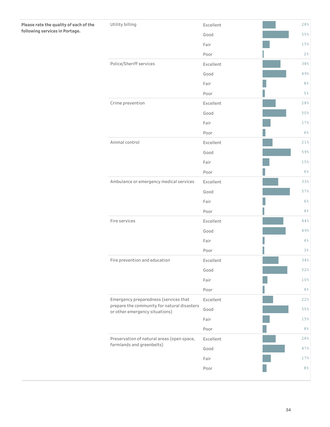| Please rate the quality of each of the | Utility billing                                                               | Excellent | 28%            |
|----------------------------------------|-------------------------------------------------------------------------------|-----------|----------------|
| following services in Portage.         |                                                                               | Good      | 55%            |
|                                        |                                                                               | Fair      | 15%            |
|                                        |                                                                               | Poor      | $2\frac{6}{6}$ |
|                                        | Police/Sheriff services                                                       | Excellent | 38%            |
|                                        |                                                                               | Good      | 49%            |
|                                        |                                                                               | Fair      | $8\,$ %        |
|                                        |                                                                               | Poor      | $5\%$          |
|                                        | Crime prevention                                                              | Excellent | 28%            |
|                                        |                                                                               | Good      | 50%            |
|                                        |                                                                               | Fair      | 17%            |
|                                        |                                                                               | Poor      | $6\%$          |
|                                        | Animal control                                                                | Excellent | 21%            |
|                                        |                                                                               | Good      | 59%            |
|                                        |                                                                               | Fair      | 15%            |
|                                        |                                                                               | Poor      | 6%             |
|                                        | Ambulance or emergency medical services                                       | Excellent | 33%            |
|                                        |                                                                               | Good      | 57%            |
|                                        |                                                                               | Fair      | 6%             |
|                                        |                                                                               | Poor      | $4\%$          |
|                                        | Fire services                                                                 | Excellent | $4\,4\,$ %     |
|                                        |                                                                               | Good      | 49%            |
|                                        |                                                                               | Fair      | $4\%$          |
|                                        |                                                                               | Poor      | 3%             |
|                                        | Fire prevention and education                                                 | Excellent | 34%            |
|                                        |                                                                               | Good      | 52%            |
|                                        |                                                                               | Fair      | 10%            |
|                                        |                                                                               | Poor      | 4%             |
|                                        | Emergency preparedness (services that                                         | Excellent | 22%            |
|                                        | prepare the community for natural disasters<br>or other emergency situations) | Good      | 55%            |
|                                        |                                                                               | Fair      | 15%            |
|                                        |                                                                               | Poor      | $8\,$          |
|                                        | Preservation of natural areas (open space,                                    | Excellent | 28%            |
|                                        | farmlands and greenbelts)                                                     | Good      | 47%            |
|                                        |                                                                               | Fair      | 17%            |
|                                        |                                                                               | Poor      | $8\,$ %        |
|                                        |                                                                               |           |                |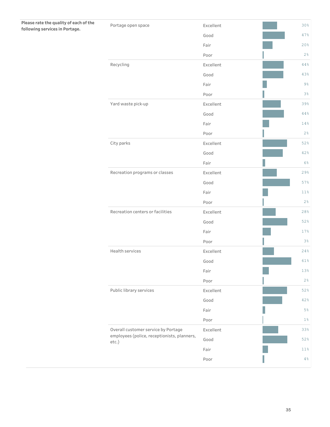| Good<br>Fair<br>Poor<br>Recycling<br>Excellent<br>Good<br>Fair<br>Poor<br>Yard waste pick-up<br>Excellent<br>Good<br>Fair<br>Poor<br>City parks<br>Excellent<br>Good<br>Fair<br>Recreation programs or classes<br>Excellent<br>Good<br>Fair<br>Poor<br>Recreation centers or facilities<br>Excellent<br>Good<br>Fair<br>Poor<br>Health services<br>Excellent<br>Good<br>Fair<br>Poor<br>Public library services<br>Excellent<br>Good<br>Fair<br>Poor<br>Overall customer service by Portage<br>Excellent<br>employees (police, receptionists, planners,<br>Good<br>etc.) | Please rate the quality of each of the<br>following services in Portage. | Portage open space | Excellent | 30%     |
|--------------------------------------------------------------------------------------------------------------------------------------------------------------------------------------------------------------------------------------------------------------------------------------------------------------------------------------------------------------------------------------------------------------------------------------------------------------------------------------------------------------------------------------------------------------------------|--------------------------------------------------------------------------|--------------------|-----------|---------|
|                                                                                                                                                                                                                                                                                                                                                                                                                                                                                                                                                                          |                                                                          |                    |           | 47%     |
|                                                                                                                                                                                                                                                                                                                                                                                                                                                                                                                                                                          |                                                                          |                    |           | 20%     |
|                                                                                                                                                                                                                                                                                                                                                                                                                                                                                                                                                                          |                                                                          |                    |           | 2%      |
|                                                                                                                                                                                                                                                                                                                                                                                                                                                                                                                                                                          |                                                                          |                    |           | 44%     |
|                                                                                                                                                                                                                                                                                                                                                                                                                                                                                                                                                                          |                                                                          |                    |           | 43%     |
|                                                                                                                                                                                                                                                                                                                                                                                                                                                                                                                                                                          |                                                                          |                    |           | $9\%$   |
|                                                                                                                                                                                                                                                                                                                                                                                                                                                                                                                                                                          |                                                                          |                    |           | $3\,$   |
|                                                                                                                                                                                                                                                                                                                                                                                                                                                                                                                                                                          |                                                                          |                    |           | 39%     |
|                                                                                                                                                                                                                                                                                                                                                                                                                                                                                                                                                                          |                                                                          |                    |           | 44%     |
|                                                                                                                                                                                                                                                                                                                                                                                                                                                                                                                                                                          |                                                                          |                    |           | 14%     |
|                                                                                                                                                                                                                                                                                                                                                                                                                                                                                                                                                                          |                                                                          |                    |           | 2%      |
|                                                                                                                                                                                                                                                                                                                                                                                                                                                                                                                                                                          |                                                                          |                    |           | 52%     |
|                                                                                                                                                                                                                                                                                                                                                                                                                                                                                                                                                                          |                                                                          |                    |           | 42%     |
|                                                                                                                                                                                                                                                                                                                                                                                                                                                                                                                                                                          |                                                                          |                    |           | $6\%$   |
|                                                                                                                                                                                                                                                                                                                                                                                                                                                                                                                                                                          |                                                                          |                    |           | 29%     |
|                                                                                                                                                                                                                                                                                                                                                                                                                                                                                                                                                                          |                                                                          |                    |           | 57%     |
|                                                                                                                                                                                                                                                                                                                                                                                                                                                                                                                                                                          |                                                                          |                    |           | 11%     |
|                                                                                                                                                                                                                                                                                                                                                                                                                                                                                                                                                                          |                                                                          |                    |           | 2%      |
|                                                                                                                                                                                                                                                                                                                                                                                                                                                                                                                                                                          |                                                                          |                    |           | 28%     |
|                                                                                                                                                                                                                                                                                                                                                                                                                                                                                                                                                                          |                                                                          |                    |           | 52%     |
|                                                                                                                                                                                                                                                                                                                                                                                                                                                                                                                                                                          |                                                                          |                    |           | 17%     |
|                                                                                                                                                                                                                                                                                                                                                                                                                                                                                                                                                                          |                                                                          |                    |           | 3%      |
|                                                                                                                                                                                                                                                                                                                                                                                                                                                                                                                                                                          |                                                                          |                    |           | 24%     |
|                                                                                                                                                                                                                                                                                                                                                                                                                                                                                                                                                                          |                                                                          |                    |           | 61%     |
|                                                                                                                                                                                                                                                                                                                                                                                                                                                                                                                                                                          |                                                                          |                    |           | 13%     |
|                                                                                                                                                                                                                                                                                                                                                                                                                                                                                                                                                                          |                                                                          |                    |           | 2%      |
|                                                                                                                                                                                                                                                                                                                                                                                                                                                                                                                                                                          |                                                                          |                    |           | 52%     |
|                                                                                                                                                                                                                                                                                                                                                                                                                                                                                                                                                                          |                                                                          |                    |           | 42%     |
|                                                                                                                                                                                                                                                                                                                                                                                                                                                                                                                                                                          |                                                                          |                    |           | $5\,$   |
|                                                                                                                                                                                                                                                                                                                                                                                                                                                                                                                                                                          |                                                                          |                    |           | $1\%$   |
|                                                                                                                                                                                                                                                                                                                                                                                                                                                                                                                                                                          |                                                                          |                    |           | 33%     |
|                                                                                                                                                                                                                                                                                                                                                                                                                                                                                                                                                                          |                                                                          |                    |           | 52%     |
|                                                                                                                                                                                                                                                                                                                                                                                                                                                                                                                                                                          |                                                                          |                    | Fair      | $11\,$  |
| Poor                                                                                                                                                                                                                                                                                                                                                                                                                                                                                                                                                                     |                                                                          |                    |           | $4\,$ % |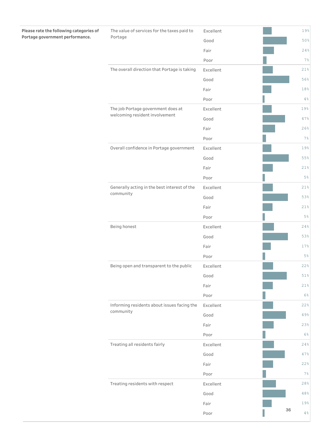| Please rate the following categories of | The value of services for the taxes paid to  | Excellent |                  |       | 19%    |
|-----------------------------------------|----------------------------------------------|-----------|------------------|-------|--------|
| Portage government performance.         | Portage                                      | Good      | 19%<br>47%<br>7% | 50%   |        |
|                                         |                                              | Fair      |                  |       | 24%    |
|                                         |                                              | Poor      |                  |       | 7%     |
|                                         | The overall direction that Portage is taking | Excellent |                  |       | 21%    |
|                                         |                                              | Good      |                  |       | 56%    |
|                                         |                                              | Fair      |                  |       | 18%    |
|                                         |                                              | Poor      |                  |       | 4%     |
|                                         | The job Portage government does at           | Excellent |                  |       |        |
|                                         | welcoming resident involvement               | Good      |                  |       |        |
|                                         |                                              | Fair      |                  |       | 26%    |
|                                         |                                              | Poor      |                  |       |        |
|                                         | Overall confidence in Portage government     | Excellent |                  |       | 19%    |
|                                         |                                              | Good      |                  |       | 55%    |
|                                         |                                              | Fair      |                  |       | 21%    |
|                                         |                                              | Poor      |                  |       | $5\%$  |
|                                         | Generally acting in the best interest of the | Excellent |                  |       | 21%    |
|                                         | community                                    | Good      |                  |       | 53%    |
|                                         |                                              | Fair      |                  |       | 21%    |
|                                         |                                              | Poor      |                  | $5\%$ |        |
|                                         | Being honest                                 | Excellent |                  |       | 24%    |
|                                         |                                              | Good      |                  |       | 53%    |
|                                         |                                              | Fair      |                  |       | 17%    |
|                                         |                                              | Poor      |                  |       | $5\%$  |
|                                         | Being open and transparent to the public     | Excellent |                  |       | 22%    |
|                                         |                                              | Good      |                  |       | $51\,$ |
|                                         |                                              | Fair      |                  |       | 21%    |
|                                         |                                              | Poor      |                  |       | 6%     |
|                                         | Informing residents about issues facing the  | Excellent |                  |       | 22%    |
|                                         | community                                    | Good      |                  |       | 49%    |
|                                         |                                              | Fair      |                  |       | 23%    |
|                                         |                                              | Poor      |                  |       | 6%     |
|                                         | Treating all residents fairly                | Excellent |                  |       | 24%    |
|                                         |                                              | Good      |                  |       | 47%    |
|                                         |                                              | Fair      |                  |       | 22%    |
|                                         |                                              | Poor      |                  |       | 7%     |
|                                         | Treating residents with respect              | Excellent |                  |       | 28%    |
|                                         |                                              | Good      |                  |       | 48%    |
|                                         |                                              | Fair      |                  |       | 19%    |
|                                         |                                              | Poor      |                  | 36    | 4%     |

**Contract**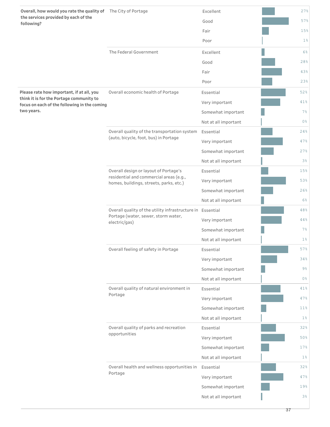| Overall, how would you rate the quality of The City of Portage<br>the services provided by each of the<br>following? |                                                                                                                    | Excellent            | 27%            |
|----------------------------------------------------------------------------------------------------------------------|--------------------------------------------------------------------------------------------------------------------|----------------------|----------------|
|                                                                                                                      |                                                                                                                    | Good                 | 57%            |
|                                                                                                                      |                                                                                                                    | Fair                 | 15%            |
|                                                                                                                      |                                                                                                                    | Poor                 | $1\%$          |
|                                                                                                                      | The Federal Government                                                                                             | Excellent            | 6%             |
|                                                                                                                      |                                                                                                                    | Good                 | 28%            |
|                                                                                                                      |                                                                                                                    | Fair                 | 43%            |
|                                                                                                                      |                                                                                                                    | Poor                 | 23%            |
| Please rate how important, if at all, you                                                                            | Overall economic health of Portage                                                                                 | Essential            | 52%            |
| think it is for the Portage community to<br>focus on each of the following in the coming                             |                                                                                                                    | Very important       | 41%            |
| two years.                                                                                                           |                                                                                                                    | Somewhat important   | $7\%$          |
|                                                                                                                      |                                                                                                                    | Not at all important | 0 <sup>8</sup> |
|                                                                                                                      | Overall quality of the transportation system                                                                       | Essential            | 24%            |
|                                                                                                                      | (auto, bicycle, foot, bus) in Portage                                                                              | Very important       | 47%            |
|                                                                                                                      |                                                                                                                    | Somewhat important   | 27%            |
|                                                                                                                      |                                                                                                                    | Not at all important | 3 <sup>°</sup> |
|                                                                                                                      | Overall design or layout of Portage's                                                                              | Essential            | 15%            |
|                                                                                                                      | residential and commercial areas (e.g.,<br>homes, buildings, streets, parks, etc.)                                 | Very important       | 53%            |
|                                                                                                                      |                                                                                                                    | Somewhat important   | 26%            |
|                                                                                                                      |                                                                                                                    | Not at all important | $6\%$          |
|                                                                                                                      | Overall quality of the utility infrastructure in Essential<br>Portage (water, sewer, storm water,<br>electric/gas) |                      | 48%            |
|                                                                                                                      |                                                                                                                    | Very important       | 44%            |
|                                                                                                                      |                                                                                                                    | Somewhat important   | $7\%$          |
|                                                                                                                      |                                                                                                                    | Not at all important | $1\%$          |
|                                                                                                                      | Overall feeling of safety in Portage                                                                               | Essential            | 57%            |
|                                                                                                                      |                                                                                                                    | Very important       | 34%            |
|                                                                                                                      |                                                                                                                    | Somewhat important   | $9\frac{6}{6}$ |
|                                                                                                                      |                                                                                                                    | Not at all important | $0\%$          |
|                                                                                                                      | Overall quality of natural environment in<br>Portage                                                               | Essential            | 41%            |
|                                                                                                                      |                                                                                                                    | Very important       | 47%            |
|                                                                                                                      |                                                                                                                    | Somewhat important   | 11%            |
|                                                                                                                      |                                                                                                                    | Not at all important | $1\%$          |
|                                                                                                                      | Overall quality of parks and recreation<br>opportunities                                                           | Essential            | 32%            |
|                                                                                                                      |                                                                                                                    | Very important       | 50%            |
|                                                                                                                      |                                                                                                                    | Somewhat important   | 17%            |
|                                                                                                                      |                                                                                                                    | Not at all important | $1\%$          |
|                                                                                                                      | Overall health and wellness opportunities in<br>Portage                                                            | Essential            | 32%            |
|                                                                                                                      |                                                                                                                    | Very important       | 47%            |
|                                                                                                                      |                                                                                                                    | Somewhat important   | 19%            |
|                                                                                                                      |                                                                                                                    | Not at all important | 3%             |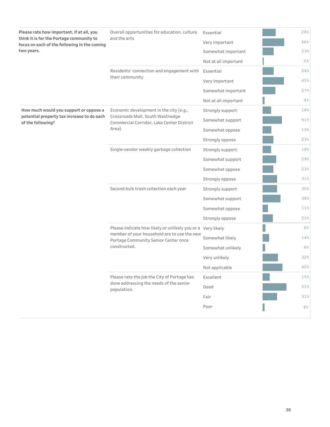| think it is for the Portage community to<br>and the arts<br>Very important<br>focus on each of the following in the coming<br>two years.<br>Somewhat important<br>Not at all important<br>Residents' connection and engagement with<br>Essential<br>their community<br>Very important<br>Somewhat important<br>Not at all important<br>How much would you support or oppose a<br>Economic development in the city (e.g.,<br>Strongly support<br>Crossroads Mall, South Westnedge<br>potential property tax increase to do each<br>Somewhat support<br>of the following?<br>Commercial Corridor, Lake Center District<br>Area)<br>Somewhat oppose<br>Strongly oppose<br>Single-vendor weekly garbage collection<br>Strongly support<br>Somewhat support<br>Somewhat oppose<br>Strongly oppose<br>Second bulk trash collection each year<br>Strongly support<br>Somewhat support<br>Somewhat oppose<br>Strongly oppose<br>Please indicate how likely or unlikely you or a Very likely<br>member of your household are to use the new<br>Somewhat likely<br>Portage Community Senior Center once<br>constructed.<br>Somewhat unlikely<br>Very unlikely<br>Not applicable<br>Please rate the job the City of Portage has<br>Excellent<br>done addressing the needs of the senior<br>Good<br>population.<br>Fair<br>Poor | Please rate how important, if at all, you | Overall opportunities for education, culture | Essential | 29%    |
|---------------------------------------------------------------------------------------------------------------------------------------------------------------------------------------------------------------------------------------------------------------------------------------------------------------------------------------------------------------------------------------------------------------------------------------------------------------------------------------------------------------------------------------------------------------------------------------------------------------------------------------------------------------------------------------------------------------------------------------------------------------------------------------------------------------------------------------------------------------------------------------------------------------------------------------------------------------------------------------------------------------------------------------------------------------------------------------------------------------------------------------------------------------------------------------------------------------------------------------------------------------------------------------------------------------------|-------------------------------------------|----------------------------------------------|-----------|--------|
|                                                                                                                                                                                                                                                                                                                                                                                                                                                                                                                                                                                                                                                                                                                                                                                                                                                                                                                                                                                                                                                                                                                                                                                                                                                                                                                     |                                           |                                              |           | 46%    |
|                                                                                                                                                                                                                                                                                                                                                                                                                                                                                                                                                                                                                                                                                                                                                                                                                                                                                                                                                                                                                                                                                                                                                                                                                                                                                                                     |                                           |                                              |           | 23%    |
|                                                                                                                                                                                                                                                                                                                                                                                                                                                                                                                                                                                                                                                                                                                                                                                                                                                                                                                                                                                                                                                                                                                                                                                                                                                                                                                     |                                           |                                              |           | $2\%$  |
|                                                                                                                                                                                                                                                                                                                                                                                                                                                                                                                                                                                                                                                                                                                                                                                                                                                                                                                                                                                                                                                                                                                                                                                                                                                                                                                     |                                           |                                              |           | 24%    |
|                                                                                                                                                                                                                                                                                                                                                                                                                                                                                                                                                                                                                                                                                                                                                                                                                                                                                                                                                                                                                                                                                                                                                                                                                                                                                                                     |                                           |                                              |           | 45%    |
|                                                                                                                                                                                                                                                                                                                                                                                                                                                                                                                                                                                                                                                                                                                                                                                                                                                                                                                                                                                                                                                                                                                                                                                                                                                                                                                     |                                           |                                              |           | 27%    |
|                                                                                                                                                                                                                                                                                                                                                                                                                                                                                                                                                                                                                                                                                                                                                                                                                                                                                                                                                                                                                                                                                                                                                                                                                                                                                                                     |                                           |                                              |           | 4%     |
|                                                                                                                                                                                                                                                                                                                                                                                                                                                                                                                                                                                                                                                                                                                                                                                                                                                                                                                                                                                                                                                                                                                                                                                                                                                                                                                     |                                           |                                              |           | 18%    |
|                                                                                                                                                                                                                                                                                                                                                                                                                                                                                                                                                                                                                                                                                                                                                                                                                                                                                                                                                                                                                                                                                                                                                                                                                                                                                                                     |                                           |                                              |           | 41%    |
|                                                                                                                                                                                                                                                                                                                                                                                                                                                                                                                                                                                                                                                                                                                                                                                                                                                                                                                                                                                                                                                                                                                                                                                                                                                                                                                     |                                           |                                              |           | 19%    |
|                                                                                                                                                                                                                                                                                                                                                                                                                                                                                                                                                                                                                                                                                                                                                                                                                                                                                                                                                                                                                                                                                                                                                                                                                                                                                                                     |                                           |                                              |           | 23%    |
|                                                                                                                                                                                                                                                                                                                                                                                                                                                                                                                                                                                                                                                                                                                                                                                                                                                                                                                                                                                                                                                                                                                                                                                                                                                                                                                     |                                           |                                              |           | 18%    |
|                                                                                                                                                                                                                                                                                                                                                                                                                                                                                                                                                                                                                                                                                                                                                                                                                                                                                                                                                                                                                                                                                                                                                                                                                                                                                                                     |                                           |                                              |           | 29%    |
|                                                                                                                                                                                                                                                                                                                                                                                                                                                                                                                                                                                                                                                                                                                                                                                                                                                                                                                                                                                                                                                                                                                                                                                                                                                                                                                     |                                           |                                              |           | 23%    |
|                                                                                                                                                                                                                                                                                                                                                                                                                                                                                                                                                                                                                                                                                                                                                                                                                                                                                                                                                                                                                                                                                                                                                                                                                                                                                                                     |                                           |                                              |           | 31%    |
|                                                                                                                                                                                                                                                                                                                                                                                                                                                                                                                                                                                                                                                                                                                                                                                                                                                                                                                                                                                                                                                                                                                                                                                                                                                                                                                     |                                           |                                              |           | 30%    |
|                                                                                                                                                                                                                                                                                                                                                                                                                                                                                                                                                                                                                                                                                                                                                                                                                                                                                                                                                                                                                                                                                                                                                                                                                                                                                                                     |                                           |                                              |           | 38%    |
|                                                                                                                                                                                                                                                                                                                                                                                                                                                                                                                                                                                                                                                                                                                                                                                                                                                                                                                                                                                                                                                                                                                                                                                                                                                                                                                     |                                           |                                              |           | 11%    |
|                                                                                                                                                                                                                                                                                                                                                                                                                                                                                                                                                                                                                                                                                                                                                                                                                                                                                                                                                                                                                                                                                                                                                                                                                                                                                                                     |                                           |                                              |           | 21%    |
|                                                                                                                                                                                                                                                                                                                                                                                                                                                                                                                                                                                                                                                                                                                                                                                                                                                                                                                                                                                                                                                                                                                                                                                                                                                                                                                     |                                           |                                              |           | $6\%$  |
|                                                                                                                                                                                                                                                                                                                                                                                                                                                                                                                                                                                                                                                                                                                                                                                                                                                                                                                                                                                                                                                                                                                                                                                                                                                                                                                     |                                           |                                              |           | 14%    |
|                                                                                                                                                                                                                                                                                                                                                                                                                                                                                                                                                                                                                                                                                                                                                                                                                                                                                                                                                                                                                                                                                                                                                                                                                                                                                                                     |                                           |                                              |           | $6\%$  |
|                                                                                                                                                                                                                                                                                                                                                                                                                                                                                                                                                                                                                                                                                                                                                                                                                                                                                                                                                                                                                                                                                                                                                                                                                                                                                                                     |                                           |                                              |           | 32%    |
|                                                                                                                                                                                                                                                                                                                                                                                                                                                                                                                                                                                                                                                                                                                                                                                                                                                                                                                                                                                                                                                                                                                                                                                                                                                                                                                     |                                           |                                              |           | 42%    |
|                                                                                                                                                                                                                                                                                                                                                                                                                                                                                                                                                                                                                                                                                                                                                                                                                                                                                                                                                                                                                                                                                                                                                                                                                                                                                                                     |                                           |                                              |           | 15%    |
|                                                                                                                                                                                                                                                                                                                                                                                                                                                                                                                                                                                                                                                                                                                                                                                                                                                                                                                                                                                                                                                                                                                                                                                                                                                                                                                     |                                           |                                              |           | 51%    |
|                                                                                                                                                                                                                                                                                                                                                                                                                                                                                                                                                                                                                                                                                                                                                                                                                                                                                                                                                                                                                                                                                                                                                                                                                                                                                                                     |                                           |                                              |           | $31\%$ |
|                                                                                                                                                                                                                                                                                                                                                                                                                                                                                                                                                                                                                                                                                                                                                                                                                                                                                                                                                                                                                                                                                                                                                                                                                                                                                                                     |                                           |                                              |           | 4%     |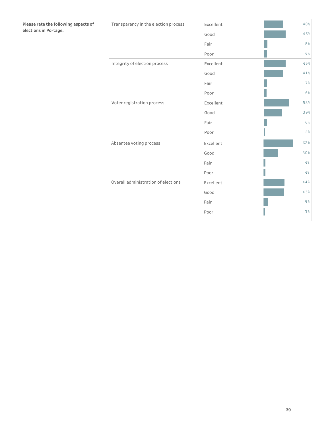|                                     | Good      | 46%            |
|-------------------------------------|-----------|----------------|
|                                     | Fair      | 8%             |
|                                     | Poor      | 6%             |
| Integrity of election process       | Excellent | 46%            |
|                                     | Good      | 41%            |
|                                     | Fair      | 7%             |
|                                     | Poor      | 6%             |
| Voter registration process          | Excellent | 53%            |
|                                     | Good      | 39%            |
|                                     | Fair      | 6%             |
|                                     | Poor      | 2%             |
| Absentee voting process             | Excellent | 62%            |
|                                     | Good      | 30%            |
|                                     | Fair      | $4\,$          |
|                                     | Poor      | 4%             |
| Overall administration of elections | Excellent | 44%            |
|                                     | Good      | 43%            |
|                                     | Fair      | $9\frac{6}{6}$ |
|                                     | Poor      | 3%             |
|                                     |           |                |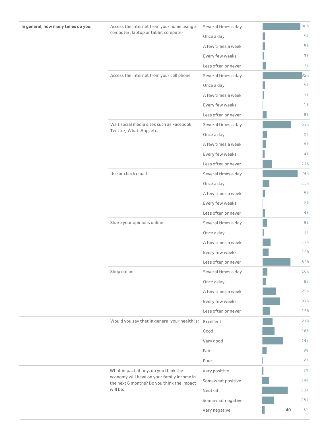| Access the internet from your home using a                                               | Several times a day |    | 80%            |  |
|------------------------------------------------------------------------------------------|---------------------|----|----------------|--|
| computer, laptop or tablet computer                                                      | Once a day          |    | $5\%$          |  |
|                                                                                          | A few times a week  |    | $5\%$          |  |
|                                                                                          | Every few weeks     |    | 3 <sup>°</sup> |  |
|                                                                                          | Less often or never |    | $7\%$          |  |
| Access the internet from your cell phone                                                 | Several times a day |    | 82%            |  |
|                                                                                          | Once a day          |    | 5%             |  |
|                                                                                          | A few times a week  |    | 3%             |  |
|                                                                                          | Every few weeks     |    | $1\%$          |  |
|                                                                                          | Less often or never |    | 8 <sup>°</sup> |  |
| Visit social media sites such as Facebook,                                               | Several times a day |    | 59%            |  |
| Twitter, WhatsApp, etc.                                                                  | Once a day          |    | 9%             |  |
|                                                                                          | A few times a week  |    | 8 <sup>°</sup> |  |
|                                                                                          | Every few weeks     |    | 4%             |  |
|                                                                                          | Less often or never |    | 19%            |  |
| Use or check email                                                                       | Several times a day |    | 74%            |  |
|                                                                                          | Once a day          |    | 15%            |  |
|                                                                                          | A few times a week  |    | 5%             |  |
|                                                                                          | Every few weeks     |    | 2%             |  |
|                                                                                          | Less often or never |    | 4%             |  |
| Share your opinions online                                                               | Several times a day |    | 9%             |  |
|                                                                                          | Once a day          |    | $3\%$          |  |
|                                                                                          | A few times a week  |    | 17%            |  |
|                                                                                          | Every few weeks     |    | 12%            |  |
|                                                                                          | Less often or never |    | 59%            |  |
| Shop online                                                                              | Several times a day |    | 10%            |  |
|                                                                                          | Once a day          |    | 8 <sup>°</sup> |  |
|                                                                                          | A few times a week  |    | 29%            |  |
|                                                                                          | Every few weeks     |    | 37%            |  |
|                                                                                          | Less often or never |    | 16%            |  |
| Would you say that in general your health is:                                            | Excellent           |    | 21%            |  |
|                                                                                          | Good                |    | 26%            |  |
|                                                                                          | Very good           |    | 44%            |  |
|                                                                                          | Fair                |    | 9%             |  |
|                                                                                          | Poor                |    | 2%             |  |
| What impact, if any, do you think the                                                    | Very positive       |    | $3\%$          |  |
| economy will have on your family income in<br>the next 6 months? Do you think the impact | Somewhat positive   |    | 14%            |  |
| will be:                                                                                 | Neutral             |    | 53%            |  |
|                                                                                          | Somewhat negative   |    | 25%            |  |
|                                                                                          | Very negative       | 40 | 5%             |  |
|                                                                                          |                     |    |                |  |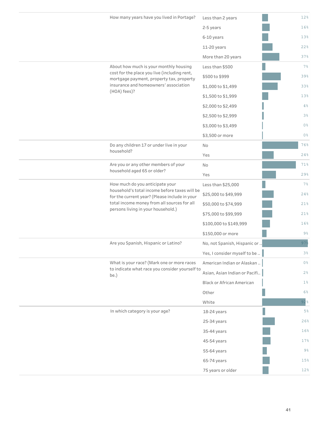| How many years have you lived in Portage?                                                                                         | Less than 2 years                | 12%            |
|-----------------------------------------------------------------------------------------------------------------------------------|----------------------------------|----------------|
|                                                                                                                                   | 2-5 years                        | 16%            |
|                                                                                                                                   | 6-10 years                       | 13%            |
|                                                                                                                                   | 11-20 years                      | 22%            |
|                                                                                                                                   | More than 20 years               | 37%            |
| About how much is your monthly housing                                                                                            | Less than \$500                  | 7%             |
| cost for the place you live (including rent,<br>mortgage payment, property tax, property                                          | \$500 to \$999                   | 39%            |
| insurance and homeowners' association                                                                                             | \$1,000 to \$1,499               | 33%            |
| (HOA) fees)?                                                                                                                      | \$1,500 to \$1,999               | 13%            |
|                                                                                                                                   | \$2,000 to \$2,499               | 4%             |
|                                                                                                                                   | \$2,500 to \$2,999               | $3\frac{6}{6}$ |
|                                                                                                                                   | \$3,000 to \$3,499               | 0 <sup>°</sup> |
|                                                                                                                                   | \$3,500 or more                  | 0 <sup>°</sup> |
| Do any children 17 or under live in your                                                                                          | No                               | 76%            |
| household?                                                                                                                        | Yes                              | 24%            |
| Are you or any other members of your                                                                                              | No                               | 71%            |
| household aged 65 or older?                                                                                                       | Yes                              | 29%            |
| How much do you anticipate your<br>household's total income before taxes will be<br>for the current year? (Please include in your | Less than \$25,000               | 7%             |
|                                                                                                                                   | \$25,000 to \$49,999             | 24%            |
| total income money from all sources for all<br>persons living in your household.)                                                 | \$50,000 to \$74,999             | 21%            |
|                                                                                                                                   | \$75,000 to \$99,999             | 21%            |
|                                                                                                                                   | \$100,000 to \$149,999           | 16%            |
|                                                                                                                                   | \$150,000 or more                | $9\frac{6}{6}$ |
| Are you Spanish, Hispanic or Latino?                                                                                              | No, not Spanish, Hispanic or.    | 97%            |
|                                                                                                                                   | Yes, I consider myself to be     | 3%             |
| What is your race? (Mark one or more races                                                                                        | American Indian or Alaskan       | 0 <sup>°</sup> |
| to indicate what race you consider yourself to<br>be.)                                                                            | Asian, Asian Indian or Pacifi    | 2%             |
|                                                                                                                                   | <b>Black or African American</b> | $1\%$          |
|                                                                                                                                   | Other                            | 6%             |
|                                                                                                                                   | White                            | 92%            |
| In which category is your age?                                                                                                    | 18-24 years                      | 5%             |
|                                                                                                                                   | 25-34 years                      | 26%            |
|                                                                                                                                   | 35-44 years                      | 16%            |
|                                                                                                                                   | 45-54 years                      | 17%            |
|                                                                                                                                   | 55-64 years                      | $9\frac{6}{6}$ |
|                                                                                                                                   | 65-74 years                      | 15%            |
|                                                                                                                                   | 75 years or older                | 12%            |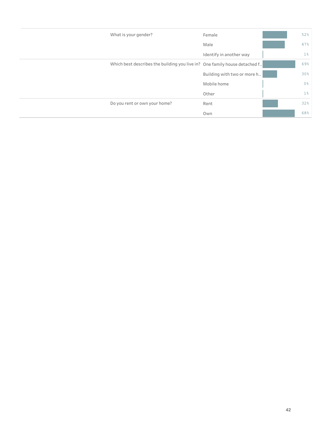| What is your gender?                                                       | Female                      | 52%            |
|----------------------------------------------------------------------------|-----------------------------|----------------|
|                                                                            | Male                        | 47%            |
|                                                                            | Identify in another way     | $1\%$          |
| Which best describes the building you live in? One family house detached f |                             | 69%            |
|                                                                            | Building with two or more h | 30%            |
|                                                                            | Mobile home                 | 0 <sup>°</sup> |
|                                                                            | Other                       | $1\%$          |
| Do you rent or own your home?                                              | Rent                        | 32%            |
|                                                                            | Own                         | 68%            |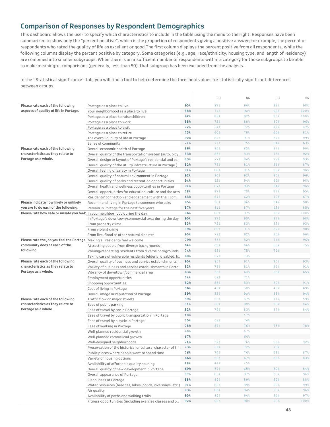## **Comparison of Responses by Respondent Demographics**

This dashboard allows the user to specify which characteristics to include in the table using the menu to the right. Responses have been summarized to show only the "percent positive", which is the proportion of respondents giving a positive answer; for example, the percent of respondents who rated the quality of life as excellent or good.The first column displays the percent positive from all respondents, while the following columns display the percent positive by category. Some categories (e.g., age, race/ethnicity, housing type, and length of residency) are combined into smaller subgroups. When there is an insufficient number of respondents within a category for those subgroups to be able to make meaningful comparisons (generally, less than 50), that subgroup has been excluded from the analysis.

In the "Statistical significance" tab, you will find a tool to help determine the threshold values for statistically significant differences between groups.

|                                                                              |                                                            |                 | $\rm NE$ | ΝW  | $\mathbb{SE}{}$ | SW   |
|------------------------------------------------------------------------------|------------------------------------------------------------|-----------------|----------|-----|-----------------|------|
| Please rate each of the following                                            | Portage as a place to live                                 | 95%             | 87%      | 96% | 98%             | 98%  |
| aspects of quality of life in Portage.                                       | Your neighborhood as a place to live                       | 88%             | 71%      | 90% | 92%             | 100% |
|                                                                              | Portage as a place to raise children                       | 92%             | 89%      | 92% | 90%             | 100% |
|                                                                              | Portage as a place to work                                 | 85%             | 73%      | 88% | 80%             | 96%  |
|                                                                              | Portage as a place to visit                                | 72%             | 64%      | 72% | 72%             | 87%  |
|                                                                              | Portage as a place to retire                               | 73%             | 60%      | 78% | 65%             | 81%  |
|                                                                              | The overall quality of life in Portage                     | 90%             | 84%      | 91% | 87%             | 99%  |
|                                                                              | Sense of community                                         | 71%             | 71%      | 75% | 64%             | 63%  |
| Please rate each of the following                                            | Overall economic health of Portage                         | 86%             | 85%      | 85% | 87%             | 90%  |
| characteristics as they relate to                                            | Overall quality of the transportation system (auto, bicy   | 83%             | 86%      | 83% | 73%             | 92%  |
| Portage as a whole.                                                          | Overall design or layout of Portage's residential and co   | 83%             | 77%      | 84% | 77%             | 93%  |
|                                                                              | Overall quality of the utility infrastructure in Portage ( | 82%             | 75%      | 81% | 86%             | 87%  |
|                                                                              | Overall feeling of safety in Portage                       | 91%             | 88%      | 91% | 88%             | 96%  |
|                                                                              | Overall quality of natural environment in Portage          | 92%             | 90%      | 92% | 95%             | 96%  |
|                                                                              | Overall quality of parks and recreation opportunities      | 94%             | 92%      | 94% | 92%             | 98%  |
|                                                                              | Overall health and wellness opportunities in Portage       | 91%             | 87%      | 93% | 84%             | 96%  |
|                                                                              | Overall opportunities for education, culture and the arts  | 78%             | 87%      | 70% | 77%             | 95%  |
|                                                                              | Residents' connection and engagement with their com        | 63%             | 57%      | 62% | 72%             | 67%  |
| Please indicate how likely or unlikely                                       | Recommend living in Portage to someone who asks            | 95%             | 90%      | 96% | 94%             | 98%  |
| you are to do each of the following.                                         | Remain in Portage for the next five years                  | 87%             | 81%      | 87% | 93%             | 85%  |
| Please rate how safe or unsafe you feel: In your neighborhood during the day |                                                            | 96%             | 88%      | 97% | 99%             | 100% |
|                                                                              | In Portage's downtown/commercial area during the day       | 90 <sub>8</sub> | 87%      | 90% | 87%             | 98%  |
|                                                                              | From property crime                                        | 83%             | 73%      | 83% | 83%             | 93%  |
|                                                                              | From violent crime                                         | 89%             | 80%      | 91% | 87%             | 98%  |
|                                                                              | From fire, flood or other natural disaster                 | 90%             | 79%      | 92% | 90%             | 96%  |
| Please rate the job you feel the Portage Making all residents feel welcome   |                                                            | 79%             | 65%      | 82% | 74%             | 96%  |
| community does at each of the<br>following.                                  | Attracting people from diverse backgrounds                 | 64%             | 62%      | 66% | 50%             | 75%  |
|                                                                              | Valuing/respecting residents from diverse backgrounds      | 74%             | 68%      | 75% | 72%             |      |
|                                                                              | Taking care of vulnerable residents (elderly, disabled, h  | 68%             | 57%      | 73% |                 |      |
| Please rate each of the following                                            | Overall quality of business and service establishments i   | 90 <sub>8</sub> | 85%      | 91% | 90%             | 93%  |
| characteristics as they relate to                                            | Variety of business and service establishments in Porta    | 82%             | 79%      | 81% | 82%             | 91%  |
| Portage as a whole.                                                          | Vibrancy of downtown/commercial area                       | 63%             | 65%      | 64% | 56%             | 65%  |
|                                                                              | Employment opportunities                                   | 74%             | 69%      | 71% |                 |      |
|                                                                              | Shopping opportunities                                     | 82%             | 86%      | 83% | 69%             | 91%  |
|                                                                              | Cost of living in Portage                                  | 56%             | 49%      | 58% | 48%             | 69%  |
|                                                                              | Overall image or reputation of Portage                     | 89%             | 83%      | 90% | 88%             | 94%  |
| Please rate each of the following                                            | Traffic flow on major streets                              | 59%             | 55%      | 57% | 71%             | 59%  |
| characteristics as they relate to                                            | Ease of public parking                                     | 81%             | 68%      | 80% | 93%             | 84%  |
| Portage as a whole.                                                          | Ease of travel by car in Portage                           | 82%             | 75%      | 83% | 87%             | 84%  |
|                                                                              | Ease of travel by public transportation in Portage         | 48%             |          | 47% |                 |      |
|                                                                              | Ease of travel by bicycle in Portage                       | 75%             | 69%      | 74% |                 |      |
|                                                                              | Ease of walking in Portage                                 | 78%             | 87%      | 76% | 75%             | 78%  |
|                                                                              | Well-planned residential growth                            | 70%             |          | 67% |                 |      |
|                                                                              | Well-planned commercial growth                             | 67%             |          | 64% |                 |      |
|                                                                              | Well-designed neighborhoods                                | 74%             | 64%      | 76% | 65%             | 92%  |
|                                                                              | Preservation of the historical or cultural character of th | 73%             | 69%      | 72% | 75%             |      |
|                                                                              | Public places where people want to spend time              | 76%             | 76%      | 76% | 69%             | 87%  |
|                                                                              | Variety of housing options                                 | 66%             | 59%      | 67% | 58%             | 83%  |
|                                                                              | Availability of affordable quality housing                 | 48%             | 44%      | 45% |                 |      |
|                                                                              | Overall quality of new development in Portage              | 69%             | 67%      | 65% | 69%             | 84%  |
|                                                                              | Overall appearance of Portage                              | 87%             | 83%      | 87% | 83%             | 96%  |
|                                                                              | Cleanliness of Portage                                     | 88%             | 84%      | 89% | 90%             | 88%  |
|                                                                              | Water resources (beaches, lakes, ponds, riverways, etc.)   | 91%             | 82%      | 89% | 99%             | 99%  |
|                                                                              | Air quality                                                | 93%             | 86%      | 94% | 93%             | 96%  |
|                                                                              | Availability of paths and walking trails                   | 95%             | 94%      | 94% | 95%             | 97%  |
|                                                                              | Fitness opportunities (including exercise classes and p    | 92%             | 92%      | 90% | 90%             | 100% |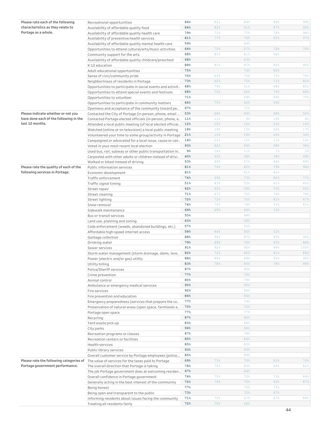| Please rate each of the following       | Recreational opportunities                                 | 86%            | 81%        | 84%   | 89%   | 99%            |
|-----------------------------------------|------------------------------------------------------------|----------------|------------|-------|-------|----------------|
| characteristics as they relate to       | Availability of affordable quality food                    | 84%            | 82%        | 81%   | 87%   | 95%            |
| Portage as a whole.                     | Availability of affordable quality health care             | 79%            | 71%        | 77%   | 76%   | 98%            |
|                                         | Availability of preventive health services                 | 81%            | 77%        | 76%   | 85%   | 97%            |
|                                         | Availability of affordable quality mental health care      | 59%            |            | 64%   |       |                |
|                                         | Opportunities to attend cultural/arts/music activities     | 64%            | 72%        | 57%   | 70%   | 70%            |
|                                         | Community support for the arts                             | 68%            | 81%        | 61%   | 66%   |                |
|                                         | Availability of affordable quality childcare/preschool     | 68%            |            | 63%   |       |                |
|                                         | K-12 education                                             | 88%            | 81%        | 87%   | 90%   | 96%            |
|                                         | Adult educational opportunities                            | 75%            |            | 73%   | 82%   |                |
|                                         |                                                            | 70%            | 63%        | 70%   | 73%   | 78%            |
|                                         | Sense of civic/community pride                             | 73%            | 62%        | 75%   | 71%   | 82%            |
|                                         | Neighborliness of residents in Portage                     |                |            |       |       |                |
|                                         | Opportunities to participate in social events and activit  | 68%            | 79%        | 61%   | 64%   | 80%            |
|                                         | Opportunities to attend special events and festivals       | 68%            | 72%        | 66%   | 70%   | 68%            |
|                                         | Opportunities to volunteer                                 | 71%            |            | 69%   | 69%   | 75%            |
|                                         | Opportunities to participate in community matters          | 66%            | 75%        | 62%   | 59%   |                |
|                                         | Openness and acceptance of the community toward pe         | 67%            |            | 72%   |       |                |
| Please indicate whether or not you      | Contacted the City of Portage (in-person, phone, email     | 53%            | 66%        | 44%   | 68%   | 50%            |
| have done each of the following in the  | Contacted Portage elected officials (in-person, phone, e   | 11%            | 11%        | $9\%$ | 19%   | 8 <sup>°</sup> |
| last 12 months.                         | Attended a local public meeting (of local elected official | 12%            | 10%        | 10%   | 24%   | 10%            |
|                                         | Watched (online or on television) a local public meeting   | 18%            | 19%        | 15%   | 26%   | 17%            |
|                                         | Volunteered your time to some group/activity in Portage    | 21%            | 15%        | 19%   | 20%   | 36%            |
|                                         | Campaigned or advocated for a local issue, cause or can    | 16%            | 22%        | 15%   | 11%   | 16%            |
|                                         | Voted in your most recent local election                   | 93%            | 82%        | 94%   | 99%   | 96%            |
|                                         | Used bus, rail, subway or other public transportation in   | 9 <sub>8</sub> | 14%        | 11%   | $1\%$ | $2\frac{6}{9}$ |
|                                         | Carpooled with other adults or children instead of drivi   | 40%            | 40%        | 38%   | 38%   | 49%            |
|                                         |                                                            | 53%            | 49%        | 57%   | 46%   | 49%            |
|                                         | Walked or biked instead of driving                         |                |            |       |       |                |
| Please rate the quality of each of the  | Public information services                                | 81%            | 74%        | 80%   | 79%   | 94%            |
| following services in Portage.          | Economic development                                       | 81%            |            | 81%   | 81%   |                |
|                                         | Traffic enforcement                                        | 74%            | 69%        | 73%   | 80%   | 77%            |
|                                         | Traffic signal timing                                      | 51%            | 43%        | 52%   | 61%   | 42%            |
|                                         | Street repair                                              | 62%            | 63%        | 59%   | 70%   | 60%            |
|                                         | Street cleaning                                            | 71%            | 67%        | 70%   | 76%   | 78%            |
|                                         | Street lighting                                            | 72%            | 72%        | 70%   | 81%   | 67%            |
|                                         | Snow removal                                               | 74%            | 70%        | 74%   | 71%   | 81%            |
|                                         | Sidewalk maintenance                                       | 69%            | 69%        | 69%   | 72%   |                |
|                                         | Bus or transit services                                    | 55%            |            | 48%   |       |                |
|                                         | Land use, planning and zoning                              | 63%            |            | 58%   |       |                |
|                                         | Code enforcement (weeds, abandoned buildings, etc.)        | 57%            |            | 50%   |       |                |
|                                         | Affordable high-speed internet access                      | 58%            | 44%        | 60%   | 52%   |                |
|                                         | Garbage collection                                         | 88%            | 90%        | 87%   | 85%   | 96%            |
|                                         | Drinking water                                             | 79%            | 69%        | 76%   | 93%   | 86%            |
|                                         | Sewer services                                             | 91%            | 92%        | 90%   | 88%   | 100%           |
|                                         | Storm water management (storm drainage, dams, leve         | 82%            | 72%        | 85%   | 81%   | 86%            |
|                                         | Power (electric and/or gas) utility                        | 88%            | 85%        | 89%   | 91%   | 90%            |
|                                         |                                                            | 83%            |            | 85%   |       |                |
|                                         | Utility billing                                            |                | 78%        |       | 78%   | 88%            |
|                                         | Police/Sheriff services                                    | 87%            |            | 90%   |       |                |
|                                         | Crime prevention                                           | 77%            |            | 76%   |       |                |
|                                         | Animal control                                             | 80%            |            | 79%   |       |                |
|                                         | Ambulance or emergency medical services                    | 90%            |            | 95%   |       |                |
|                                         | Fire services                                              | 92%            |            | 96%   |       |                |
|                                         | Fire prevention and education                              | 86%            |            | 84%   |       |                |
|                                         | Emergency preparedness (services that prepare the co       | 77%            |            | 74%   |       |                |
|                                         | Preservation of natural areas (open space, farmlands a     | 75%            |            | 72%   |       |                |
|                                         | Portage open space                                         | 77%            |            | 77%   |       |                |
|                                         | Recycling                                                  | 87%            |            | 86%   |       |                |
|                                         | Yard waste pick-up                                         | 83%            |            | 88%   |       |                |
|                                         | City parks                                                 | 94%            |            | 94%   |       |                |
|                                         | Recreation programs or classes                             | 87%            |            | 78%   |       |                |
|                                         | Recreation centers or facilities                           | 80%            |            | 64%   |       |                |
|                                         | Health services                                            | 85%            |            | 83%   |       |                |
|                                         | Public library services                                    | 93%            |            | 93%   |       |                |
|                                         | Overall customer service by Portage employees (police,     | 85%            |            | 89%   |       |                |
| Please rate the following categories of | The value of services for the taxes paid to Portage        | 69%            | 73%        | 70%   | 61%   | 70%            |
| Portage government performance.         |                                                            | 78%            | 70%        | 83%   | 66%   | 82%            |
|                                         | The overall direction that Portage is taking               | 67%            |            | 64%   |       |                |
|                                         | The job Portage government does at welcoming residen       |                |            |       |       |                |
|                                         | Overall confidence in Portage government                   | 74%            | 70%        | 72%   | 73%   | 86%            |
|                                         | Generally acting in the best interest of the community     | 75%            | 75%        | 75%   | 65%   | 87%            |
|                                         | Being honest                                               | 77%            |            | 75%   | 75%   |                |
|                                         | Being open and transparent to the public                   | 73%            |            | 72%   | 67%   |                |
|                                         | Informing residents about issues facing the community      | 71%            | 75%<br>70% | 67%   | 67%   | 84%            |
|                                         | Treating all residents fairly                              | 72%            |            | 66%   |       |                |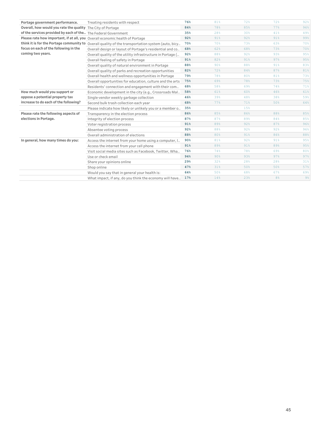| Portage government performance.                                              | Treating residents with respect                                                                   | 76% | 81%             | 72% | 72% | 92%   |
|------------------------------------------------------------------------------|---------------------------------------------------------------------------------------------------|-----|-----------------|-----|-----|-------|
| Overall, how would you rate the quality The City of Portage                  |                                                                                                   | 84% | 78%             | 85% | 77% | 96%   |
| of the services provided by each of the The Federal Government               |                                                                                                   | 35% | 28%             | 30% | 41% | 49%   |
| Please rate how important, if at all, you Overall economic health of Portage |                                                                                                   | 92% | 91%             | 92% | 91% | 99%   |
|                                                                              | think it is for the Portage community to Overall quality of the transportation system (auto, bicy | 70% | 70%             | 73% | 63% | 70%   |
| focus on each of the following in the                                        | Overall design or layout of Portage's residential and co                                          | 68% | 62%             | 68% | 73% | 70%   |
| coming two years.                                                            | Overall quality of the utility infrastructure in Portage (                                        | 92% | 88%             | 92% | 93% | 95%   |
|                                                                              | Overall feeling of safety in Portage                                                              | 91% | 82%             | 91% | 97% | 95%   |
|                                                                              | Overall quality of natural environment in Portage                                                 | 88% | 90%             | 88% | 91% | 83%   |
|                                                                              | Overall quality of parks and recreation opportunities                                             | 82% | 72%             | 84% | 87% | 81%   |
|                                                                              | Overall health and wellness opportunities in Portage                                              | 79% | 78%             | 80% | 81% | 73%   |
|                                                                              | Overall opportunities for education, culture and the arts                                         | 75% | 69%             | 78% | 73% | 75%   |
|                                                                              | Residents' connection and engagement with their com                                               | 68% | 58%             | 69% | 74% | 71%   |
| How much would you support or                                                | Economic development in the city (e.g., Crossroads Mal                                            | 58% | 61%             | 60% | 46% | 61%   |
| oppose a potential property tax                                              | Single-vendor weekly garbage collection                                                           | 46% | 39%             | 48% | 38% | 59%   |
| increase to do each of the following?                                        | Second bulk trash collection each year                                                            | 68% | 77%             | 71% | 50% | 64%   |
|                                                                              | Please indicate how likely or unlikely you or a member o                                          | 35% |                 | 15% |     |       |
| Please rate the following aspects of                                         | Transparency in the election process                                                              | 86% | 85%             | 86% | 88% | 85%   |
| elections in Portage.                                                        | Integrity of election process                                                                     | 87% | 87%             | 89% | 84% | 85%   |
|                                                                              | Voter registration process                                                                        | 91% | 89%             | 92% | 87% | 96%   |
|                                                                              | Absentee voting process                                                                           | 92% | 88%             | 92% | 92% | 96%   |
|                                                                              | Overall administration of elections                                                               | 88% | 80%             | 91% | 86% | 88%   |
| In general, how many times do you:                                           | Access the internet from your home using a computer, I                                            | 90% | 81%             | 92% | 91% | 95%   |
|                                                                              | Access the internet from your cell phone                                                          | 91% | 89%             | 91% | 89% | 95%   |
|                                                                              | Visit social media sites such as Facebook, Twitter, Wha                                           | 76% | 74%             | 78% | 69% | 80%   |
|                                                                              | Use or check email                                                                                | 94% | 90 <sup>8</sup> | 93% | 97% | 97%   |
|                                                                              | Share your opinions online                                                                        | 29% | 32%             | 28% | 28% | 31%   |
|                                                                              | Shop online                                                                                       | 47% | 31%             | 50% | 50% | 57%   |
|                                                                              | Would you say that in general your health is:                                                     | 64% | 50%             | 68% | 67% | 69%   |
|                                                                              | What impact, if any, do you think the economy will have                                           | 17% | 14%             | 23% | 8%  | $9\%$ |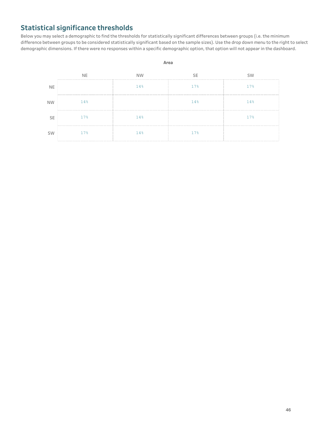# **Statistical significance thresholds**

Below you may select a demographic to find the thresholds for statistically significant differences between groups (i.e. the minimum difference between groups to be considered statistically significant based on the sample sizes). Use the drop down menu to the right to select demographic dimensions. If there were no responses within a specific demographic option, that option will not appear in the dashboard.



#### **46**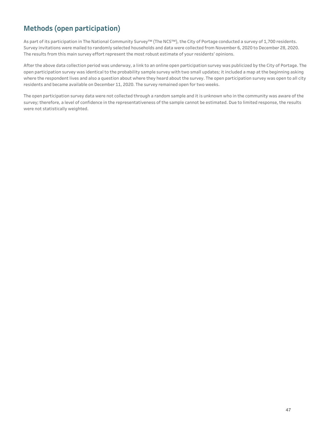# **Methods** (open participation)

As part of its participation in The National Community Survey™ (The NCS™), the City of Portage conducted a survey of 1,700 residents. Survey invitations were mailed to randomly selected households and data were collected from November 6, 2020 to December 28, 2020. The results from this main survey effort represent the most robust estimate of your residents' opinions.

After the above data collection period was underway, a link to an online open participation survey was publicized by the City of Portage. The open participation survey was identical to the probability sample survey with two small updates; it included a map at the beginning asking where the respondent lives and also a question about where they heard about the survey. The open participation survey was open to all city residents and became available on December 11, 2020. The survey remained open for two weeks.

The open participation survey data were not collected through a random sample and it is unknown who in the community was aware of the survey; therefore, a level of confidence in the representativeness of the sample cannot be estimated. Due to limited response, the results were not statistically weighted.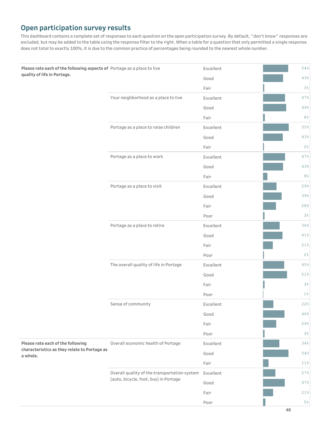# **Open participation survey results**

This dashboard contains a complete set of responses to each question on the open participation survey. By default, "don't know" responses are excluded, but may be added to the table using the response filter to the right. When a table for a question that only permitted a single response does not total to exactly 100%, it is due to the common practice of percentages being rounded to the nearest whole number.

| Please rate each of the following aspects of Portage as a place to live<br>quality of life in Portage. |                                              | Excellent | 54%            |
|--------------------------------------------------------------------------------------------------------|----------------------------------------------|-----------|----------------|
|                                                                                                        |                                              | Good      | 43%            |
|                                                                                                        |                                              | Fair      | $3\frac{6}{6}$ |
|                                                                                                        | Your neighborhood as a place to live         | Excellent | 47%            |
|                                                                                                        |                                              | Good      | 49%            |
|                                                                                                        |                                              | Fair      | 4%             |
|                                                                                                        | Portage as a place to raise children         | Excellent | 55%            |
|                                                                                                        |                                              | Good      | 43%            |
|                                                                                                        |                                              | Fair      | 2%             |
|                                                                                                        | Portage as a place to work                   | Excellent | 47%            |
|                                                                                                        |                                              | Good      | 43%            |
|                                                                                                        |                                              | Fair      | $9\%$          |
|                                                                                                        | Portage as a place to visit                  | Excellent | 29%            |
|                                                                                                        |                                              | Good      | 39%            |
|                                                                                                        |                                              | Fair      | 28%            |
|                                                                                                        |                                              | Poor      | 3%             |
|                                                                                                        | Portage as a place to retire                 | Excellent | 36%            |
|                                                                                                        |                                              | Good      | 41%            |
|                                                                                                        |                                              | Fair      | 21%            |
|                                                                                                        |                                              | Poor      | 2%             |
|                                                                                                        | The overall quality of life in Portage       | Excellent | 45%            |
|                                                                                                        |                                              | Good      | 51%            |
|                                                                                                        |                                              | Fair      | 3%             |
|                                                                                                        |                                              | Poor      | $1\%$          |
|                                                                                                        | Sense of community                           | Excellent | 22%            |
|                                                                                                        |                                              | Good      | 46%            |
|                                                                                                        |                                              | Fair      | 29%            |
|                                                                                                        |                                              | Poor      | $3\frac{6}{6}$ |
| Please rate each of the following                                                                      | Overall economic health of Portage           | Excellent | 34%            |
| characteristics as they relate to Portage as<br>a whole.                                               |                                              | Good      | 54%            |
|                                                                                                        |                                              | Fair      | 11%            |
|                                                                                                        | Overall quality of the transportation system | Excellent | 27%            |
|                                                                                                        | (auto, bicycle, foot, bus) in Portage        | Good      | 47%            |
|                                                                                                        |                                              | Fair      | 21%            |
|                                                                                                        |                                              | Poor      | $5\%$          |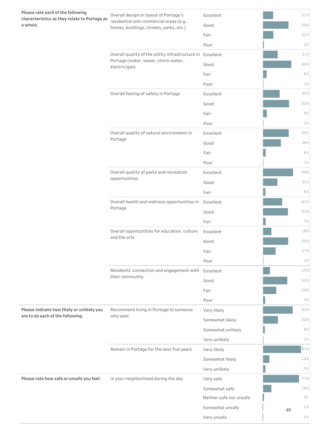| Please rate each of the following<br>characteristics as they relate to Portage as | Overall design or layout of Portage's                                              | Excellent               |    | 21%            |
|-----------------------------------------------------------------------------------|------------------------------------------------------------------------------------|-------------------------|----|----------------|
| a whole.                                                                          | residential and commercial areas (e.g.,<br>homes, buildings, streets, parks, etc.) | Good                    |    | 54%            |
|                                                                                   |                                                                                    | Fair                    |    | 22%            |
|                                                                                   |                                                                                    | Poor                    |    | 2%             |
|                                                                                   | Overall quality of the utility infrastructure in Excellent                         |                         |    | 31%            |
|                                                                                   | Portage (water, sewer, storm water,<br>electric/gas)                               | Good                    |    | 60%            |
|                                                                                   |                                                                                    | Fair                    |    | 8%             |
|                                                                                   |                                                                                    | Poor                    |    | $1\%$          |
|                                                                                   | Overall feeling of safety in Portage                                               | Excellent               |    | 35%            |
|                                                                                   |                                                                                    | Good                    |    | 55%            |
|                                                                                   |                                                                                    | Fair                    |    | $9\%$          |
|                                                                                   |                                                                                    | Poor                    |    | $1\%$          |
|                                                                                   | Overall quality of natural environment in                                          | Excellent               |    | 55%            |
|                                                                                   | Portage                                                                            | Good                    |    | 38%            |
|                                                                                   |                                                                                    | Fair                    |    | $6\%$          |
|                                                                                   |                                                                                    | Poor                    |    | $1\%$          |
|                                                                                   | Overall quality of parks and recreation                                            | Excellent               |    | 64%            |
|                                                                                   | opportunities                                                                      | Good                    |    | 31%            |
|                                                                                   |                                                                                    | Fair                    |    | 5 <sup>°</sup> |
|                                                                                   | Overall health and wellness opportunities in                                       | Excellent               |    | 41%            |
|                                                                                   | Portage                                                                            | Good                    |    | 53%            |
|                                                                                   |                                                                                    | Fair                    |    | $7\%$          |
|                                                                                   | Overall opportunities for education, culture                                       | Excellent               |    | 18%            |
|                                                                                   | and the arts                                                                       | Good                    |    | 54%            |
|                                                                                   |                                                                                    | Fair                    |    | 27%            |
|                                                                                   |                                                                                    | Poor                    |    | $1\%$          |
|                                                                                   | Residents' connection and engagement with Excellent                                |                         |    | 15%            |
|                                                                                   | their community                                                                    | Good                    |    | 52%            |
|                                                                                   |                                                                                    | Fair                    |    | 28%            |
|                                                                                   |                                                                                    | Poor                    |    | $5\%$          |
| Please indicate how likely or unlikely you<br>are to do each of the following.    | Recommend living in Portage to someone<br>who asks                                 | Very likely             |    | 63%            |
|                                                                                   |                                                                                    | Somewhat likely         |    | 32%            |
|                                                                                   |                                                                                    | Somewhat unlikely       |    | 4%             |
|                                                                                   |                                                                                    | Very unlikely           |    | $1\%$          |
|                                                                                   | Remain in Portage for the next five years                                          | Very likely             |    | 81%            |
|                                                                                   |                                                                                    | Somewhat likely         |    | 14%            |
|                                                                                   |                                                                                    | Very unlikely           |    | $5\%$          |
| Please rate how safe or unsafe you feel:                                          | In your neighborhood during the day                                                | Very safe               |    | 77%            |
|                                                                                   |                                                                                    | Somewhat safe           |    | 18%            |
|                                                                                   |                                                                                    | Neither safe nor unsafe |    | $3\%$          |
|                                                                                   |                                                                                    | Somewhat unsafe         | 49 | $1\%$          |
|                                                                                   |                                                                                    | Very unsafe             |    | $1\,$          |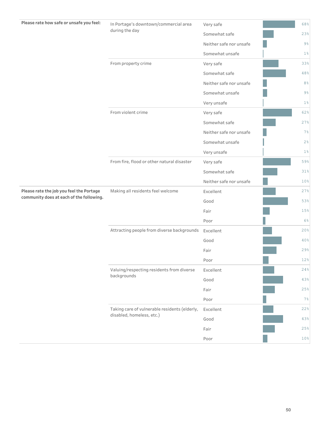| Please rate how safe or unsafe you feel: | In Portage's downtown/commercial area         | Very safe               | 68%            |
|------------------------------------------|-----------------------------------------------|-------------------------|----------------|
|                                          | during the day                                | Somewhat safe           | 23%            |
|                                          |                                               | Neither safe nor unsafe | $9\frac{6}{6}$ |
|                                          |                                               | Somewhat unsafe         | $1\%$          |
|                                          | From property crime                           | Very safe               | 33%            |
|                                          |                                               | Somewhat safe           | 48%            |
|                                          |                                               | Neither safe nor unsafe | $8\,$ %        |
|                                          |                                               | Somewhat unsafe         | $9\%$          |
|                                          |                                               | Very unsafe             | $1\,$          |
|                                          | From violent crime                            | Very safe               | 62%            |
|                                          |                                               | Somewhat safe           | 27%            |
|                                          |                                               | Neither safe nor unsafe | 7%             |
|                                          |                                               | Somewhat unsafe         | $2\frac{6}{6}$ |
|                                          |                                               | Very unsafe             | $1\,$          |
|                                          | From fire, flood or other natural disaster    | Very safe               | 59%            |
|                                          |                                               | Somewhat safe           | 31%            |
|                                          |                                               | Neither safe nor unsafe | 10%            |
| Please rate the job you feel the Portage | Making all residents feel welcome             | Excellent               | 27%            |
| community does at each of the following. |                                               | Good                    | 53%            |
|                                          |                                               | Fair                    | 15%            |
|                                          |                                               | Poor                    | 6%             |
|                                          | Attracting people from diverse backgrounds    | Excellent               | 20%            |
|                                          |                                               | Good                    | 40%            |
|                                          |                                               | Fair                    | 29%            |
|                                          |                                               | Poor                    | 12%            |
|                                          | Valuing/respecting residents from diverse     | Excellent               | 24%            |
|                                          | backgrounds                                   | Good                    | 43%            |
|                                          |                                               | Fair                    | 25%            |
|                                          |                                               | Poor                    | 7%             |
|                                          | Taking care of vulnerable residents (elderly, | Excellent               | 22%            |
|                                          | disabled, homeless, etc.)                     | Good                    | 43%            |
|                                          |                                               | Fair                    | 25%            |
|                                          |                                               | Poor                    | $10\,$         |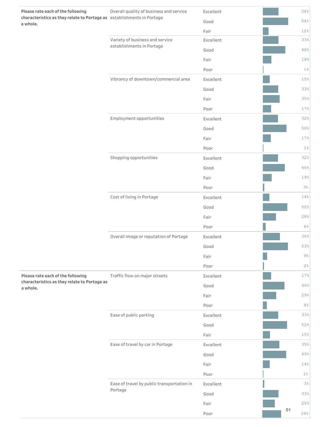| Please rate each of the following<br>characteristics as they relate to Portage as establishments in Portage | Overall quality of business and service               | Excellent<br>Good |    | 34%<br>54%     |
|-------------------------------------------------------------------------------------------------------------|-------------------------------------------------------|-------------------|----|----------------|
| a whole.                                                                                                    |                                                       | Fair              |    | 12%            |
|                                                                                                             | Variety of business and service                       | Excellent         |    | 33%            |
|                                                                                                             | establishments in Portage                             | Good              |    | 48%            |
|                                                                                                             |                                                       | Fair              |    | 18%            |
|                                                                                                             |                                                       | Poor              |    | $1\%$          |
|                                                                                                             | Vibrancy of downtown/commercial area                  | Excellent         |    | 15%            |
|                                                                                                             |                                                       | Good              |    | 33%            |
|                                                                                                             |                                                       | Fair              |    | 35%            |
|                                                                                                             |                                                       | Poor              |    | 17%            |
|                                                                                                             | Employment opportunities                              | Excellent         |    | 32%            |
|                                                                                                             |                                                       | Good              |    | 50%            |
|                                                                                                             |                                                       | Fair              |    | 17%            |
|                                                                                                             |                                                       | Poor              |    | $1\,$ °        |
|                                                                                                             | Shopping opportunities                                | Excellent         |    | 32%            |
|                                                                                                             |                                                       | Good              |    | 46%            |
|                                                                                                             |                                                       | Fair              |    | 19%            |
|                                                                                                             |                                                       | Poor              |    | 3%             |
|                                                                                                             | Cost of living in Portage                             | Excellent         |    | 14%            |
|                                                                                                             |                                                       | Good              |    | 52%            |
|                                                                                                             |                                                       | Fair              |    | 28%            |
|                                                                                                             |                                                       | Poor              |    | 6%             |
|                                                                                                             | Overall image or reputation of Portage                | Excellent         |    | 36%            |
|                                                                                                             |                                                       | Good              |    | 53%            |
|                                                                                                             |                                                       | Fair              |    | $9\frac{6}{6}$ |
|                                                                                                             |                                                       | Poor              |    | 2%             |
| Please rate each of the following                                                                           | Traffic flow on major streets                         | Excellent         |    | 17%            |
| characteristics as they relate to Portage as<br>a whole.                                                    |                                                       | Good              |    | 46%            |
|                                                                                                             |                                                       | Fair              |    | 29%            |
|                                                                                                             |                                                       | Poor              |    | 8 <sup>°</sup> |
|                                                                                                             | Ease of public parking                                | Excellent         |    | 33%            |
|                                                                                                             |                                                       | Good              |    | 52%            |
|                                                                                                             |                                                       | Fair              |    | 15%            |
|                                                                                                             | Ease of travel by car in Portage                      | Excellent         |    | 35%            |
|                                                                                                             |                                                       | Good              |    | 49%            |
|                                                                                                             |                                                       | Fair              |    | 14%            |
|                                                                                                             |                                                       | Poor              |    | $1\,$          |
|                                                                                                             | Ease of travel by public transportation in<br>Portage | Excellent         |    | 3%             |
|                                                                                                             |                                                       | Good              |    | 33%            |
|                                                                                                             |                                                       | Fair              | 51 | 25%            |
|                                                                                                             |                                                       | Poor              |    | 39%            |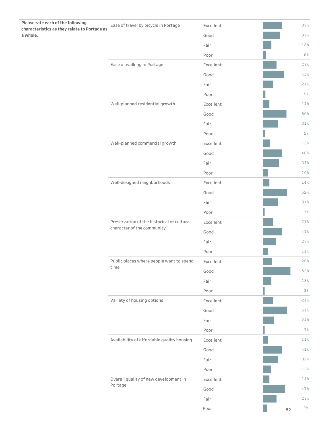| Please rate each of the following<br>characteristics as they relate to Portage as | Ease of travel by bicycle in Portage                                     | Excellent |    | 39%             |
|-----------------------------------------------------------------------------------|--------------------------------------------------------------------------|-----------|----|-----------------|
| a whole.                                                                          |                                                                          | Good      |    | 37%             |
|                                                                                   |                                                                          | Fair      |    | 18%             |
|                                                                                   |                                                                          | Poor      |    | 6%              |
|                                                                                   | Ease of walking in Portage                                               | Excellent |    | 29%             |
|                                                                                   |                                                                          | Good      |    | 45%             |
|                                                                                   |                                                                          | Fair      |    | 21%             |
|                                                                                   |                                                                          | Poor      |    | 5%              |
|                                                                                   | Well-planned residential growth                                          | Excellent |    | 14%             |
|                                                                                   |                                                                          | Good      |    | 50%             |
|                                                                                   |                                                                          | Fair      |    | 31%             |
|                                                                                   |                                                                          | Poor      |    | 5%              |
|                                                                                   | Well-planned commercial growth                                           | Excellent |    | 16%             |
|                                                                                   |                                                                          | Good      |    | 40%             |
|                                                                                   |                                                                          | Fair      |    | 34%             |
|                                                                                   |                                                                          | Poor      |    | 10 <sup>°</sup> |
|                                                                                   | Well-designed neighborhoods                                              | Excellent |    | 14%             |
|                                                                                   |                                                                          | Good      |    | 52%             |
|                                                                                   |                                                                          | Fair      |    | 31%             |
|                                                                                   |                                                                          | Poor      |    | 3%              |
|                                                                                   | Preservation of the historical or cultural<br>character of the community | Excellent |    | 21%             |
|                                                                                   |                                                                          | Good      |    | 41%             |
|                                                                                   |                                                                          | Fair      |    | 27%             |
|                                                                                   |                                                                          | Poor      |    | 11%             |
|                                                                                   | Public places where people want to spend                                 | Excellent |    | 20%             |
|                                                                                   | time                                                                     | Good      |    | 59%             |
|                                                                                   |                                                                          | Fair      |    | $18%$           |
|                                                                                   |                                                                          | Poor      |    | $3\,$           |
|                                                                                   | Variety of housing options                                               | Excellent |    | 21%             |
|                                                                                   |                                                                          | Good      |    | $51\,$          |
|                                                                                   |                                                                          | Fair      |    | 24%             |
|                                                                                   |                                                                          | Poor      |    | 3%              |
|                                                                                   | Availability of affordable quality housing                               | Excellent |    | 11%             |
|                                                                                   |                                                                          | Good      |    | 41%             |
|                                                                                   |                                                                          | Fair      |    | 32%             |
|                                                                                   |                                                                          | Poor      |    | 16%             |
|                                                                                   | Overall quality of new development in                                    | Excellent |    | 14%             |
|                                                                                   | Portage                                                                  | Good      |    | 47%             |
|                                                                                   |                                                                          | Fair      |    | 29%             |
|                                                                                   |                                                                          | Poor      | 52 | $9\,$           |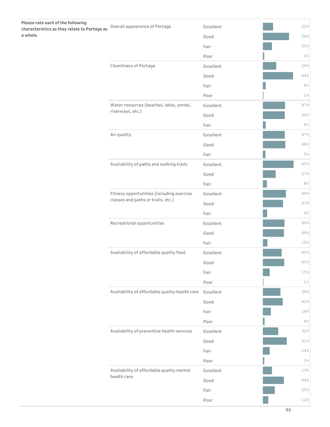| Please rate each of the following<br>characteristics as they relate to Portage as | Overall appearance of Portage                  | Excellent | 22%         |
|-----------------------------------------------------------------------------------|------------------------------------------------|-----------|-------------|
| a whole.                                                                          |                                                | Good      | 56%         |
|                                                                                   |                                                | Fair      | 20%         |
|                                                                                   |                                                | Poor      | 3%          |
|                                                                                   | Cleanliness of Portage                         | Excellent | 28%         |
|                                                                                   |                                                | Good      | 64%         |
|                                                                                   |                                                | Fair      | $6\%$       |
|                                                                                   |                                                | Poor      | $1\,$ °     |
|                                                                                   | Water resources (beaches, lakes, ponds,        | Excellent | 47%         |
|                                                                                   | riverways, etc.)                               | Good      | 46%         |
|                                                                                   |                                                | Fair      | $6\%$       |
|                                                                                   | Air quality                                    | Excellent | 47%         |
|                                                                                   |                                                | Good      | $48%$       |
|                                                                                   |                                                | Fair      | $5\,$ %     |
|                                                                                   | Availability of paths and walking trails       | Excellent | 65%         |
|                                                                                   |                                                | Good      | 27%         |
|                                                                                   |                                                | Fair      | $8\,$       |
|                                                                                   | Fitness opportunities (including exercise      | Excellent | 48%         |
|                                                                                   | classes and paths or trails, etc.)             | Good      | 43%         |
|                                                                                   |                                                | Fair      | $9\,$       |
|                                                                                   | Recreational opportunities                     | Excellent | 46%         |
|                                                                                   |                                                | Good      | 44%         |
|                                                                                   |                                                | Fair      | 10%         |
|                                                                                   | Availability of affordable quality food        | Excellent | 40%         |
|                                                                                   |                                                | Good      | 45%         |
|                                                                                   |                                                | Fair      | $15\,$      |
|                                                                                   |                                                | Poor      | $1\%$       |
|                                                                                   | Availability of affordable quality health care | Excellent | 38%         |
|                                                                                   |                                                | Good      | 42%         |
|                                                                                   |                                                | Fair      | 16%         |
|                                                                                   |                                                | Poor      | $4\,$ %     |
|                                                                                   | Availability of preventive health services     | Excellent | 32%         |
|                                                                                   |                                                | Good      | $51\,$      |
|                                                                                   |                                                | Fair      | $14\,$      |
|                                                                                   |                                                | Poor      | 3%          |
|                                                                                   | Availability of affordable quality mental      | Excellent | 19%         |
|                                                                                   | health care                                    | Good      | $4\,4\, \%$ |
|                                                                                   |                                                | Fair      | 25%         |
|                                                                                   |                                                | Poor      | $12\,$      |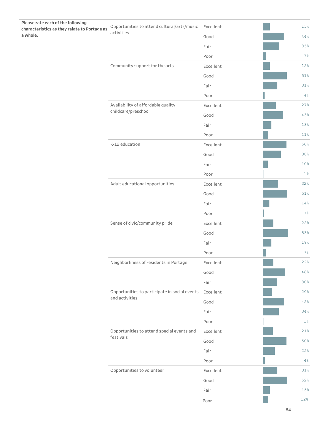| 44%<br>35%<br>Fair<br>$7\frac{6}{6}$<br>Poor<br>Community support for the arts<br>Excellent<br>15%<br>51%<br>Good<br>Fair<br>31%<br>4%<br>Poor<br>Availability of affordable quality<br>27%<br>Excellent<br>childcare/preschool<br>43%<br>Good<br>18%<br>Fair<br>$11\,$<br>Poor<br>K-12 education<br>50%<br>Excellent<br>38%<br>Good<br>10%<br>Fair<br>$1\%$<br>Poor<br>Adult educational opportunities<br>Excellent<br>32%<br>Good<br>51%<br>14%<br>Fair<br>Poor<br>3%<br>Sense of civic/community pride<br>22%<br>Excellent<br>53%<br>Good<br>18%<br>Fair<br>$7\frac{6}{6}$<br>Poor<br>Neighborliness of residents in Portage<br>22%<br>Excellent<br>48%<br>Good<br>30%<br>Fair<br>Opportunities to participate in social events<br>Excellent<br>20%<br>and activities<br>$45\,$<br>Good<br>34%<br>Fair<br>$1\%$<br>Poor<br>Opportunities to attend special events and<br>21%<br>Excellent<br>festivals<br>50%<br>Good<br>25%<br>Fair<br>Poor<br>$4\%$<br>Opportunities to volunteer<br>$31\,$<br>Excellent<br>52%<br>Good<br>15%<br>Fair<br>$12\,$<br>Poor | Please rate each of the following<br>characteristics as they relate to Portage as<br>a whole. | Opportunities to attend cultural/arts/music<br>activities | Excellent | 15% |
|---------------------------------------------------------------------------------------------------------------------------------------------------------------------------------------------------------------------------------------------------------------------------------------------------------------------------------------------------------------------------------------------------------------------------------------------------------------------------------------------------------------------------------------------------------------------------------------------------------------------------------------------------------------------------------------------------------------------------------------------------------------------------------------------------------------------------------------------------------------------------------------------------------------------------------------------------------------------------------------------------------------------------------------------------------------|-----------------------------------------------------------------------------------------------|-----------------------------------------------------------|-----------|-----|
|                                                                                                                                                                                                                                                                                                                                                                                                                                                                                                                                                                                                                                                                                                                                                                                                                                                                                                                                                                                                                                                               |                                                                                               |                                                           | Good      |     |
|                                                                                                                                                                                                                                                                                                                                                                                                                                                                                                                                                                                                                                                                                                                                                                                                                                                                                                                                                                                                                                                               |                                                                                               |                                                           |           |     |
|                                                                                                                                                                                                                                                                                                                                                                                                                                                                                                                                                                                                                                                                                                                                                                                                                                                                                                                                                                                                                                                               |                                                                                               |                                                           |           |     |
|                                                                                                                                                                                                                                                                                                                                                                                                                                                                                                                                                                                                                                                                                                                                                                                                                                                                                                                                                                                                                                                               |                                                                                               |                                                           |           |     |
|                                                                                                                                                                                                                                                                                                                                                                                                                                                                                                                                                                                                                                                                                                                                                                                                                                                                                                                                                                                                                                                               |                                                                                               |                                                           |           |     |
|                                                                                                                                                                                                                                                                                                                                                                                                                                                                                                                                                                                                                                                                                                                                                                                                                                                                                                                                                                                                                                                               |                                                                                               |                                                           |           |     |
|                                                                                                                                                                                                                                                                                                                                                                                                                                                                                                                                                                                                                                                                                                                                                                                                                                                                                                                                                                                                                                                               |                                                                                               |                                                           |           |     |
|                                                                                                                                                                                                                                                                                                                                                                                                                                                                                                                                                                                                                                                                                                                                                                                                                                                                                                                                                                                                                                                               |                                                                                               |                                                           |           |     |
|                                                                                                                                                                                                                                                                                                                                                                                                                                                                                                                                                                                                                                                                                                                                                                                                                                                                                                                                                                                                                                                               |                                                                                               |                                                           |           |     |
|                                                                                                                                                                                                                                                                                                                                                                                                                                                                                                                                                                                                                                                                                                                                                                                                                                                                                                                                                                                                                                                               |                                                                                               |                                                           |           |     |
|                                                                                                                                                                                                                                                                                                                                                                                                                                                                                                                                                                                                                                                                                                                                                                                                                                                                                                                                                                                                                                                               |                                                                                               |                                                           |           |     |
|                                                                                                                                                                                                                                                                                                                                                                                                                                                                                                                                                                                                                                                                                                                                                                                                                                                                                                                                                                                                                                                               |                                                                                               |                                                           |           |     |
|                                                                                                                                                                                                                                                                                                                                                                                                                                                                                                                                                                                                                                                                                                                                                                                                                                                                                                                                                                                                                                                               |                                                                                               |                                                           |           |     |
|                                                                                                                                                                                                                                                                                                                                                                                                                                                                                                                                                                                                                                                                                                                                                                                                                                                                                                                                                                                                                                                               |                                                                                               |                                                           |           |     |
|                                                                                                                                                                                                                                                                                                                                                                                                                                                                                                                                                                                                                                                                                                                                                                                                                                                                                                                                                                                                                                                               |                                                                                               |                                                           |           |     |
|                                                                                                                                                                                                                                                                                                                                                                                                                                                                                                                                                                                                                                                                                                                                                                                                                                                                                                                                                                                                                                                               |                                                                                               |                                                           |           |     |
|                                                                                                                                                                                                                                                                                                                                                                                                                                                                                                                                                                                                                                                                                                                                                                                                                                                                                                                                                                                                                                                               |                                                                                               |                                                           |           |     |
|                                                                                                                                                                                                                                                                                                                                                                                                                                                                                                                                                                                                                                                                                                                                                                                                                                                                                                                                                                                                                                                               |                                                                                               |                                                           |           |     |
|                                                                                                                                                                                                                                                                                                                                                                                                                                                                                                                                                                                                                                                                                                                                                                                                                                                                                                                                                                                                                                                               |                                                                                               |                                                           |           |     |
|                                                                                                                                                                                                                                                                                                                                                                                                                                                                                                                                                                                                                                                                                                                                                                                                                                                                                                                                                                                                                                                               |                                                                                               |                                                           |           |     |
|                                                                                                                                                                                                                                                                                                                                                                                                                                                                                                                                                                                                                                                                                                                                                                                                                                                                                                                                                                                                                                                               |                                                                                               |                                                           |           |     |
|                                                                                                                                                                                                                                                                                                                                                                                                                                                                                                                                                                                                                                                                                                                                                                                                                                                                                                                                                                                                                                                               |                                                                                               |                                                           |           |     |
|                                                                                                                                                                                                                                                                                                                                                                                                                                                                                                                                                                                                                                                                                                                                                                                                                                                                                                                                                                                                                                                               |                                                                                               |                                                           |           |     |
|                                                                                                                                                                                                                                                                                                                                                                                                                                                                                                                                                                                                                                                                                                                                                                                                                                                                                                                                                                                                                                                               |                                                                                               |                                                           |           |     |
|                                                                                                                                                                                                                                                                                                                                                                                                                                                                                                                                                                                                                                                                                                                                                                                                                                                                                                                                                                                                                                                               |                                                                                               |                                                           |           |     |
|                                                                                                                                                                                                                                                                                                                                                                                                                                                                                                                                                                                                                                                                                                                                                                                                                                                                                                                                                                                                                                                               |                                                                                               |                                                           |           |     |
|                                                                                                                                                                                                                                                                                                                                                                                                                                                                                                                                                                                                                                                                                                                                                                                                                                                                                                                                                                                                                                                               |                                                                                               |                                                           |           |     |
|                                                                                                                                                                                                                                                                                                                                                                                                                                                                                                                                                                                                                                                                                                                                                                                                                                                                                                                                                                                                                                                               |                                                                                               |                                                           |           |     |
|                                                                                                                                                                                                                                                                                                                                                                                                                                                                                                                                                                                                                                                                                                                                                                                                                                                                                                                                                                                                                                                               |                                                                                               |                                                           |           |     |
|                                                                                                                                                                                                                                                                                                                                                                                                                                                                                                                                                                                                                                                                                                                                                                                                                                                                                                                                                                                                                                                               |                                                                                               |                                                           |           |     |
|                                                                                                                                                                                                                                                                                                                                                                                                                                                                                                                                                                                                                                                                                                                                                                                                                                                                                                                                                                                                                                                               |                                                                                               |                                                           |           |     |
|                                                                                                                                                                                                                                                                                                                                                                                                                                                                                                                                                                                                                                                                                                                                                                                                                                                                                                                                                                                                                                                               |                                                                                               |                                                           |           |     |
|                                                                                                                                                                                                                                                                                                                                                                                                                                                                                                                                                                                                                                                                                                                                                                                                                                                                                                                                                                                                                                                               |                                                                                               |                                                           |           |     |
|                                                                                                                                                                                                                                                                                                                                                                                                                                                                                                                                                                                                                                                                                                                                                                                                                                                                                                                                                                                                                                                               |                                                                                               |                                                           |           |     |
|                                                                                                                                                                                                                                                                                                                                                                                                                                                                                                                                                                                                                                                                                                                                                                                                                                                                                                                                                                                                                                                               |                                                                                               |                                                           |           |     |
|                                                                                                                                                                                                                                                                                                                                                                                                                                                                                                                                                                                                                                                                                                                                                                                                                                                                                                                                                                                                                                                               |                                                                                               |                                                           |           |     |
|                                                                                                                                                                                                                                                                                                                                                                                                                                                                                                                                                                                                                                                                                                                                                                                                                                                                                                                                                                                                                                                               |                                                                                               |                                                           |           |     |
|                                                                                                                                                                                                                                                                                                                                                                                                                                                                                                                                                                                                                                                                                                                                                                                                                                                                                                                                                                                                                                                               |                                                                                               |                                                           |           |     |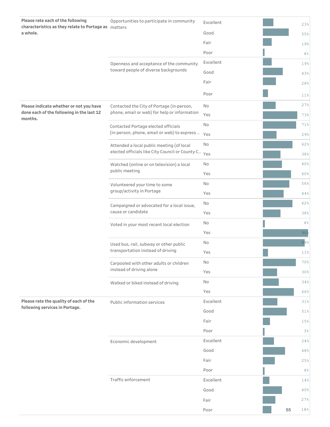| Please rate each of the following<br>characteristics as they relate to Portage as matters | Opportunities to participate in community       | Excellent |            |     | 23%             |
|-------------------------------------------------------------------------------------------|-------------------------------------------------|-----------|------------|-----|-----------------|
| a whole.                                                                                  |                                                 | Good      |            |     | 55%             |
|                                                                                           |                                                 | Fair      |            |     | 19%             |
|                                                                                           |                                                 | Poor      |            |     | 4%              |
|                                                                                           | Openness and acceptance of the community        | Excellent |            |     | 19%             |
|                                                                                           | toward people of diverse backgrounds            | Good      |            |     | 43%             |
|                                                                                           |                                                 | Fair      |            |     | 28%             |
|                                                                                           |                                                 | Poor      |            |     | 11 <sup>°</sup> |
| Please indicate whether or not you have                                                   | Contacted the City of Portage (in-person,       | No        |            |     | 27%             |
| done each of the following in the last 12<br>months.                                      | phone, email or web) for help or information    | Yes       |            |     | 73%             |
|                                                                                           | Contacted Portage elected officials             | No        |            |     | 71%             |
|                                                                                           | (in-person, phone, email or web) to express     | Yes       |            |     | 29%             |
|                                                                                           | Attended a local public meeting (of local       | No        |            |     | 62%             |
|                                                                                           | elected officials like City Council or County C | Yes       |            |     | 38%             |
|                                                                                           | Watched (online or on television) a local       | No        |            |     | 40%             |
|                                                                                           | public meeting                                  | Yes       | 60%        |     |                 |
|                                                                                           | Volunteered your time to some                   | No        |            |     | 56%             |
|                                                                                           | group/activity in Portage                       | Yes       |            |     | 44%             |
|                                                                                           | Campaigned or advocated for a local issue,      | No        | 62%<br>38% |     |                 |
|                                                                                           | cause or candidate                              | Yes       |            |     |                 |
|                                                                                           | Voted in your most recent local election        | No        |            | 4%  |                 |
|                                                                                           |                                                 | Yes       |            |     | 96%             |
|                                                                                           | Used bus, rail, subway or other public          | No        |            |     | 89%             |
|                                                                                           | transportation instead of driving               | Yes       |            | 11% |                 |
|                                                                                           | Carpooled with other adults or children         | No        |            |     | 70%             |
|                                                                                           | instead of driving alone                        | Yes       |            |     | 30%             |
|                                                                                           | Walked or biked instead of driving              | No        |            |     | 34%             |
|                                                                                           |                                                 | Yes       |            |     | 66%             |
| Please rate the quality of each of the<br>following services in Portage.                  | Public information services                     | Excellent |            |     | 31%             |
|                                                                                           |                                                 | Good      |            |     | 51%             |
|                                                                                           |                                                 | Fair      |            |     | 15%             |
|                                                                                           |                                                 | Poor      |            |     | 3 <sup>°</sup>  |
|                                                                                           | Economic development                            | Excellent |            |     | 24%             |
|                                                                                           |                                                 | Good      |            |     | 48%             |
|                                                                                           |                                                 | Fair      |            |     | 25%             |
|                                                                                           |                                                 | Poor      |            |     | 4%              |
|                                                                                           | Traffic enforcement                             | Excellent |            |     | 14%             |
|                                                                                           |                                                 | Good      |            |     | 40%             |
|                                                                                           |                                                 | Fair      |            |     | 27%             |
|                                                                                           |                                                 | Poor      |            | 55  | 18%             |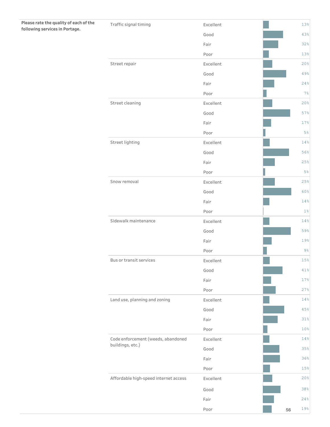| Please rate the quality of each of the<br>following services in Portage. | Traffic signal timing                 | Excellent |    | 13%    |
|--------------------------------------------------------------------------|---------------------------------------|-----------|----|--------|
|                                                                          |                                       | Good      |    | 43%    |
|                                                                          |                                       | Fair      |    | 32%    |
|                                                                          |                                       | Poor      |    | 13%    |
|                                                                          | Street repair                         | Excellent |    | 20%    |
|                                                                          |                                       | Good      |    | 49%    |
|                                                                          |                                       | Fair      |    | 24%    |
|                                                                          |                                       | Poor      |    | 7%     |
|                                                                          | Street cleaning                       | Excellent |    | 20%    |
|                                                                          |                                       | Good      |    | 57%    |
|                                                                          |                                       | Fair      |    | 17%    |
|                                                                          |                                       | Poor      |    | 5%     |
|                                                                          | Street lighting                       | Excellent |    | 14%    |
|                                                                          |                                       | Good      |    | 56%    |
|                                                                          |                                       | Fair      |    | 25%    |
|                                                                          |                                       | Poor      |    | 5%     |
|                                                                          | Snow removal                          | Excellent |    | 25%    |
|                                                                          |                                       | Good      |    | 60%    |
|                                                                          |                                       | Fair      |    | 14%    |
|                                                                          |                                       | Poor      |    | $1\%$  |
|                                                                          | Sidewalk maintenance                  | Excellent |    | 14%    |
|                                                                          |                                       | Good      |    | 59%    |
|                                                                          |                                       | Fair      |    | 19%    |
|                                                                          |                                       | Poor      |    | $9\,$  |
|                                                                          | Bus or transit services               | Excellent |    | 15%    |
|                                                                          |                                       | Good      |    | $41\,$ |
|                                                                          |                                       | Fair      |    | 17%    |
|                                                                          |                                       | Poor      |    | 27%    |
|                                                                          | Land use, planning and zoning         | Excellent |    | 14%    |
|                                                                          |                                       | Good      |    | 45%    |
|                                                                          |                                       | Fair      |    | 31%    |
|                                                                          |                                       | Poor      |    | 10%    |
|                                                                          | Code enforcement (weeds, abandoned    | Excellent |    | 14%    |
|                                                                          | buildings, etc.)                      | Good      |    | 35%    |
|                                                                          |                                       | Fair      |    | 36%    |
|                                                                          |                                       | Poor      |    | 15%    |
|                                                                          | Affordable high-speed internet access | Excellent |    | 20%    |
|                                                                          |                                       | Good      |    | 38%    |
|                                                                          |                                       | Fair      |    | 24%    |
|                                                                          |                                       | Poor      | 56 | $19\%$ |

 $\mathbb{R}^n$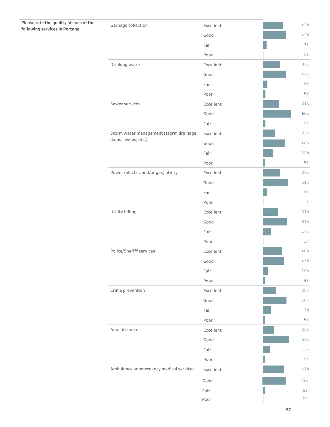## Please rate the quality of each of the **following services in Portage.**

| Garbage collection                      | Excellent | 42%             |
|-----------------------------------------|-----------|-----------------|
|                                         | Good      | 49%             |
|                                         | Fair      | 7%              |
|                                         | Poor      | $1\%$           |
| Drinking water                          | Excellent | 36%             |
|                                         | Good      | 49%             |
|                                         | Fair      | $9\frac{6}{6}$  |
|                                         | Poor      | $5\%$           |
| Sewer services                          | Excellent | 34%             |
|                                         | Good      | 60%             |
|                                         | Fair      | 5%              |
| Storm water management (storm drainage, | Excellent | 26%             |
| dams, levees, etc.)                     | Good      | 48%             |
|                                         | Fair      | 22%             |
|                                         | Poor      | 5%              |
| Power (electric and/or gas) utility     | Excellent | 37%             |
|                                         | Good      | 54%             |
|                                         | Fair      | 8 <sup>°</sup>  |
|                                         | Poor      | $1\%$           |
| Utility billing                         | Excellent | 31%             |
|                                         | Good      | 51%             |
|                                         | Fair      | 17%             |
|                                         | Poor      | $1\%$           |
| Police/Sheriff services                 | Excellent | 40%             |
|                                         | Good      | 45%             |
|                                         | Fair      | 10 <sup>°</sup> |
|                                         | Poor      | 4%              |
| Crime prevention                        | Excellent | 28%             |
|                                         | Good      | 50%             |
|                                         | Fair      | 17%             |
|                                         | Poor      | $5\%$           |
| Animal control                          | Excellent | 25%             |
|                                         | Good      | 56%             |
|                                         | Fair      | 15%             |
|                                         | Poor      | $5\%$           |
| Ambulance or emergency medical services | Excellent | 44%             |
|                                         | Good      | 49%             |
|                                         | Fair      | 5%              |
|                                         | Poor      | 2%              |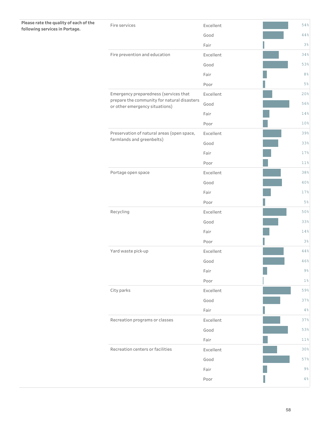### Please rate the quality of each of the **following services in Portage.**

| Fire services                                                                 | Excellent | 54%            |
|-------------------------------------------------------------------------------|-----------|----------------|
|                                                                               | Good      | 44%            |
|                                                                               | Fair      | $3\%$          |
| Fire prevention and education                                                 | Excellent | 34%            |
|                                                                               | Good      | 53%            |
|                                                                               | Fair      | 8 <sup>°</sup> |
|                                                                               | Poor      | $5\%$          |
| Emergency preparedness (services that                                         | Excellent | 20%            |
| prepare the community for natural disasters<br>or other emergency situations) | Good      | 56%            |
|                                                                               | Fair      | 14%            |
|                                                                               | Poor      | 10%            |
| Preservation of natural areas (open space,                                    | Excellent | 39%            |
| farmlands and greenbelts)                                                     | Good      | 33%            |
|                                                                               | Fair      | 17%            |
|                                                                               | Poor      | 11%            |
| Portage open space                                                            | Excellent | 38%            |
|                                                                               | Good      | 40%            |
|                                                                               | Fair      | 17%            |
|                                                                               | Poor      | $5\%$          |
| Recycling                                                                     | Excellent | 50%            |
|                                                                               | Good      | 33%            |
|                                                                               | Fair      | 14%            |
|                                                                               | Poor      | 3 <sup>°</sup> |
| Yard waste pick-up                                                            | Excellent | 44%            |
|                                                                               | Good      | 46%            |
|                                                                               | Fair      | $9\%$          |
|                                                                               | Poor      | $1\%$          |
| City parks                                                                    | Excellent | 59%            |
|                                                                               | Good      | 37%            |
|                                                                               | Fair      | 4%             |
| Recreation programs or classes                                                | Excellent | 37%            |
|                                                                               | Good      | 53%            |
|                                                                               | Fair      | 11%            |
| Recreation centers or facilities                                              | Excellent | 30%            |
|                                                                               | Good      | 57%            |
|                                                                               | Fair      | 9%             |
|                                                                               | Poor      | 4%             |
|                                                                               |           |                |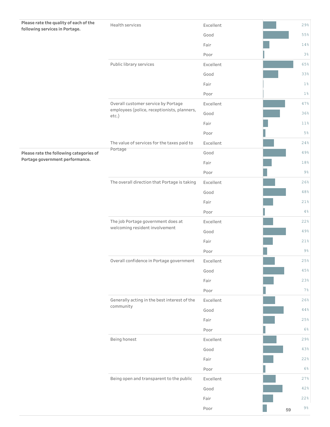| Please rate the quality of each of the<br>following services in Portage. | Health services                                                      | Excellent |  |     | 29%            |
|--------------------------------------------------------------------------|----------------------------------------------------------------------|-----------|--|-----|----------------|
|                                                                          |                                                                      | Good      |  |     | 55%            |
|                                                                          |                                                                      | Fair      |  |     | 14%            |
|                                                                          |                                                                      | Poor      |  |     | 3%             |
|                                                                          | Public library services                                              | Excellent |  |     | 65%            |
|                                                                          |                                                                      | Good      |  |     | 33%            |
|                                                                          |                                                                      | Fair      |  |     | $1\%$          |
|                                                                          |                                                                      | Poor      |  |     | $1\%$          |
|                                                                          | Overall customer service by Portage                                  | Excellent |  |     | 47%            |
|                                                                          | employees (police, receptionists, planners,<br>etc.)                 | Good      |  |     | 36%            |
|                                                                          |                                                                      | Fair      |  |     | 11%            |
|                                                                          |                                                                      | Poor      |  |     | $5\%$          |
|                                                                          | The value of services for the taxes paid to                          | Excellent |  |     | 24%            |
| Please rate the following categories of                                  | Portage                                                              | Good      |  |     | 49%            |
| Portage government performance.                                          |                                                                      | Fair      |  |     | 18%            |
|                                                                          |                                                                      | Poor      |  |     | $9\frac{6}{6}$ |
|                                                                          | The overall direction that Portage is taking                         | Excellent |  |     | 26%            |
|                                                                          |                                                                      | Good      |  |     | 48%            |
|                                                                          |                                                                      | Fair      |  |     | 21%            |
|                                                                          |                                                                      | Poor      |  |     | $4\frac{6}{6}$ |
|                                                                          | The job Portage government does at<br>welcoming resident involvement | Excellent |  | 22% |                |
|                                                                          |                                                                      | Good      |  |     | 49%            |
|                                                                          |                                                                      | Fair      |  |     | 21%            |
|                                                                          |                                                                      | Poor      |  |     | $9\%$          |
|                                                                          | Overall confidence in Portage government                             | Excellent |  |     | 25%            |
|                                                                          |                                                                      | Good      |  |     | 45%            |
|                                                                          |                                                                      | Fair      |  |     | 23%            |
|                                                                          |                                                                      | Poor      |  |     | 7%             |
|                                                                          | Generally acting in the best interest of the<br>community            | Excellent |  |     | 26%            |
|                                                                          |                                                                      | Good      |  |     | $4\,4\,$ %     |
|                                                                          |                                                                      | Fair      |  |     | 25%            |
|                                                                          |                                                                      | Poor      |  |     | 6%             |
|                                                                          | Being honest                                                         | Excellent |  |     | 29%            |
|                                                                          |                                                                      | Good      |  |     | 43%            |
|                                                                          |                                                                      | Fair      |  |     | 22%            |
|                                                                          |                                                                      | Poor      |  |     | 6%             |
|                                                                          | Being open and transparent to the public                             | Excellent |  |     | 27%            |
|                                                                          |                                                                      | Good      |  |     | 42%            |
|                                                                          |                                                                      | Fair      |  |     | 22%            |
|                                                                          |                                                                      | Poor      |  | 59  | $9\frac{6}{6}$ |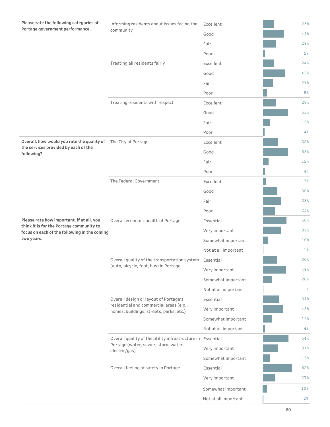| Please rate the following categories of                                               | Informing residents about issues facing the                                                       | Excellent            | 23%            |
|---------------------------------------------------------------------------------------|---------------------------------------------------------------------------------------------------|----------------------|----------------|
| Portage government performance.                                                       | community                                                                                         | Good                 | 44%            |
|                                                                                       |                                                                                                   | Fair                 | 28%            |
|                                                                                       |                                                                                                   | Poor                 | 5%             |
|                                                                                       | Treating all residents fairly                                                                     | Excellent            | 24%            |
|                                                                                       |                                                                                                   | Good                 | 46%            |
|                                                                                       |                                                                                                   | Fair                 | 21%            |
|                                                                                       |                                                                                                   | Poor                 | 8 <sup>°</sup> |
|                                                                                       | Treating residents with respect                                                                   | Excellent            | 28%            |
|                                                                                       |                                                                                                   | Good                 | 53%            |
|                                                                                       |                                                                                                   | Fair                 | 15%            |
|                                                                                       |                                                                                                   | Poor                 | 4%             |
| Overall, how would you rate the quality of<br>the services provided by each of the    | The City of Portage                                                                               | Excellent            | 32%            |
| following?                                                                            |                                                                                                   | Good                 | 53%            |
|                                                                                       |                                                                                                   | Fair                 | 12%            |
|                                                                                       |                                                                                                   | Poor                 | 4%             |
|                                                                                       | The Federal Government                                                                            | Excellent            | $7\%$          |
|                                                                                       |                                                                                                   | Good                 | 30%            |
|                                                                                       |                                                                                                   | Fair                 | 38%            |
|                                                                                       |                                                                                                   | Poor                 | 25%            |
| Please rate how important, if at all, you<br>think it is for the Portage community to | Overall economic health of Portage                                                                | Essential            | 50%            |
| focus on each of the following in the coming                                          |                                                                                                   | Very important       | 39%            |
| two years.                                                                            |                                                                                                   | Somewhat important   | 10%            |
|                                                                                       |                                                                                                   | Not at all important | $1\%$          |
|                                                                                       | Overall quality of the transportation system Essential<br>(auto, bicycle, foot, bus) in Portage   |                      | 30%            |
|                                                                                       |                                                                                                   | Very important       | 48%            |
|                                                                                       |                                                                                                   | Somewhat important   | 20%            |
|                                                                                       |                                                                                                   | Not at all important | $1\%$          |
|                                                                                       | Overall design or layout of Portage's<br>residential and commercial areas (e.g.,                  | Essential            | 34%            |
|                                                                                       | homes, buildings, streets, parks, etc.)                                                           | Very important       | 43%            |
|                                                                                       |                                                                                                   | Somewhat important   | 19%            |
|                                                                                       |                                                                                                   | Not at all important | 4%             |
|                                                                                       | Overall quality of the utility infrastructure in Essential<br>Portage (water, sewer, storm water, |                      | 54%            |
|                                                                                       | electric/gas)                                                                                     | Very important       | 31%            |
|                                                                                       |                                                                                                   | Somewhat important   | 15%            |
|                                                                                       | Overall feeling of safety in Portage                                                              | Essential            | 62%            |
|                                                                                       |                                                                                                   | Very important       | 27%            |
|                                                                                       |                                                                                                   | Somewhat important   | 10%            |
|                                                                                       |                                                                                                   | Not at all important | 2 <sup>°</sup> |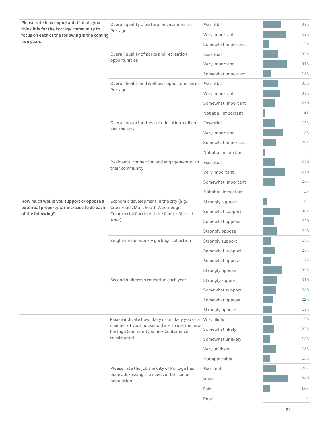| Please rate how important, if at all, you<br>think it is for the Portage community to                     | Overall quality of natural environment in                                                                  | Essential            | 39%   |
|-----------------------------------------------------------------------------------------------------------|------------------------------------------------------------------------------------------------------------|----------------------|-------|
| focus on each of the following in the coming                                                              | Portage                                                                                                    | Very important       | 49%   |
| two years.                                                                                                |                                                                                                            | Somewhat important   | 12%   |
|                                                                                                           | Overall quality of parks and recreation                                                                    | Essential            | 32%   |
|                                                                                                           | opportunities                                                                                              | Very important       | 51%   |
|                                                                                                           |                                                                                                            | Somewhat important   | 18%   |
|                                                                                                           | Overall health and wellness opportunities in                                                               | Essential            | 33%   |
|                                                                                                           | Portage                                                                                                    | Very important       | 37%   |
|                                                                                                           |                                                                                                            | Somewhat important   | 26%   |
|                                                                                                           |                                                                                                            | Not at all important | 4%    |
|                                                                                                           | Overall opportunities for education, culture                                                               | Essential            | 26%   |
|                                                                                                           | and the arts                                                                                               | Very important       | 42%   |
|                                                                                                           |                                                                                                            | Somewhat important   | 28%   |
|                                                                                                           |                                                                                                            | Not at all important | 3%    |
|                                                                                                           | Residents' connection and engagement with Essential                                                        |                      | 27%   |
|                                                                                                           | their community                                                                                            | Very important       | 47%   |
|                                                                                                           |                                                                                                            | Somewhat important   | 26%   |
|                                                                                                           |                                                                                                            | Not at all important | $1\%$ |
| How much would you support or oppose a<br>potential property tax increase to do each<br>of the following? | Economic development in the city (e.g.,<br>Crossroads Mall, South Westnedge                                | Strongly support     | $9\%$ |
|                                                                                                           | Commercial Corridor, Lake Center District<br>Area)                                                         | Somewhat support     | 38%   |
|                                                                                                           |                                                                                                            | Somewhat oppose      | 24%   |
|                                                                                                           |                                                                                                            | Strongly oppose      | 29%   |
|                                                                                                           | Single-vendor weekly garbage collection                                                                    | Strongly support     | 17%   |
|                                                                                                           |                                                                                                            | Somewhat support     | 26%   |
|                                                                                                           |                                                                                                            | Somewhat oppose      | 17%   |
|                                                                                                           |                                                                                                            | Strongly oppose      | 39%   |
|                                                                                                           | Second bulk trash collection each year                                                                     | Strongly support     | 31%   |
|                                                                                                           |                                                                                                            | Somewhat support     | 28%   |
|                                                                                                           |                                                                                                            | Somewhat oppose      | 22%   |
|                                                                                                           |                                                                                                            | Strongly oppose      | 19%   |
|                                                                                                           | Please indicate how likely or unlikely you or a Very likely<br>member of your household are to use the new |                      | 19%   |
|                                                                                                           | Portage Community Senior Center once                                                                       | Somewhat likely      | 23%   |
|                                                                                                           | constructed.                                                                                               | Somewhat unlikely    | 15%   |
|                                                                                                           |                                                                                                            | Very unlikely        | 28%   |
|                                                                                                           |                                                                                                            | Not applicable       | 15%   |
|                                                                                                           | Please rate the job the City of Portage has<br>done addressing the needs of the senior                     | Excellent            | 28%   |
|                                                                                                           | population.                                                                                                | Good                 | 54%   |
|                                                                                                           |                                                                                                            | Fair                 | 16%   |
|                                                                                                           |                                                                                                            | Poor                 | $1\%$ |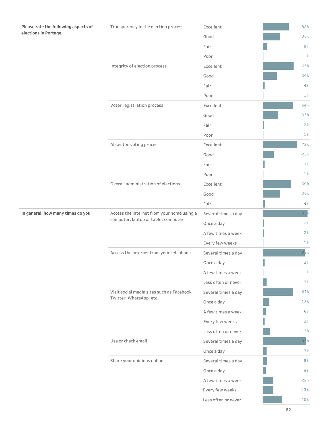| Please rate the following aspects of | Transparency in the election process       | Excellent           | 55%            |
|--------------------------------------|--------------------------------------------|---------------------|----------------|
| elections in Portage.                |                                            | Good                | 36%            |
|                                      |                                            | Fair                | 8%             |
|                                      |                                            | Poor                | $1\%$          |
|                                      | Integrity of election process              | Excellent           | 65%            |
|                                      |                                            | Good                | 30%            |
|                                      |                                            | Fair                | 4%             |
|                                      |                                            | Poor                | $1\%$          |
|                                      | Voter registration process                 | Excellent           | 64%            |
|                                      |                                            | Good                | 33%            |
|                                      |                                            | Fair                | 2%             |
|                                      |                                            | Poor                | $1\%$          |
|                                      | Absentee voting process                    | Excellent           | 73%            |
|                                      |                                            | Good                | 23%            |
|                                      |                                            | Fair                | 3%             |
|                                      |                                            | Poor                | 1 <sup>°</sup> |
|                                      | Overall administration of elections        | Excellent           | 60%            |
|                                      |                                            | Good                | 36%            |
|                                      |                                            | Fair                | 4%             |
| In general, how many times do you:   | Access the internet from your home using a | Several times a day | 95%            |
|                                      | computer, laptop or tablet computer        | Once a day          | 2%             |
|                                      |                                            | A few times a week  | 2%             |
|                                      |                                            | Every few weeks     | $1\%$          |
|                                      | Access the internet from your cell phone   | Several times a day | 89%            |
|                                      |                                            | Once a day          | $3\,$          |
|                                      |                                            | A few times a week  | $1\%$          |
|                                      |                                            | Less often or never | 7%             |
|                                      | Visit social media sites such as Facebook, | Several times a day | 64%            |
|                                      | Twitter, WhatsApp, etc.                    | Once a day          | 13%            |
|                                      |                                            | A few times a week  | 6%             |
|                                      |                                            | Every few weeks     | 3%             |
|                                      |                                            | Less often or never | 15%            |
|                                      | Use or check email                         | Several times a day | 93%            |
|                                      |                                            | Once a day          | 7%             |
|                                      | Share your opinions online                 | Several times a day | $8\,$ %        |
|                                      |                                            | Once a day          | $6\%$          |
|                                      |                                            | A few times a week  | 22%            |
|                                      |                                            | Every few weeks     | 23%            |
|                                      |                                            | Less often or never | 40%            |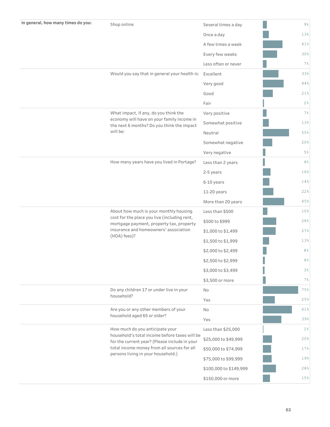| In general, how many times do you: | Shop online                                                                                    | Several times a day    | $9\%$          |
|------------------------------------|------------------------------------------------------------------------------------------------|------------------------|----------------|
|                                    |                                                                                                | Once a day             | 13%            |
|                                    |                                                                                                | A few times a week     | 41%            |
|                                    |                                                                                                | Every few weeks        | 30%            |
|                                    |                                                                                                | Less often or never    | 7%             |
|                                    | Would you say that in general your health is: Excellent                                        |                        | 33%            |
|                                    |                                                                                                | Very good              | 44%            |
|                                    |                                                                                                | Good                   | 21%            |
|                                    |                                                                                                | Fair                   | $2\frac{6}{6}$ |
|                                    | What impact, if any, do you think the                                                          | Very positive          | 7%             |
|                                    | economy will have on your family income in<br>the next 6 months? Do you think the impact       | Somewhat positive      | 13%            |
|                                    | will be:                                                                                       | Neutral                | 55%            |
|                                    |                                                                                                | Somewhat negative      | 20%            |
|                                    |                                                                                                | Very negative          | $5\%$          |
|                                    | How many years have you lived in Portage?                                                      | Less than 2 years      | 4%             |
|                                    |                                                                                                | 2-5 years              | 16%            |
|                                    |                                                                                                | 6-10 years             | 14%            |
|                                    |                                                                                                | 11-20 years            | 22%            |
|                                    |                                                                                                | More than 20 years     | 45%            |
|                                    | About how much is your monthly housing                                                         | Less than \$500        | 10%            |
|                                    | cost for the place you live (including rent,<br>mortgage payment, property tax, property       | \$500 to \$999         | 28%            |
|                                    | insurance and homeowners' association<br>(HOA) fees)?                                          | \$1,000 to \$1,499     | 27%            |
|                                    |                                                                                                | \$1,500 to \$1,999     | 13%            |
|                                    |                                                                                                | \$2,000 to \$2,499     | 8%             |
|                                    |                                                                                                | \$2,500 to \$2,999     | 4%             |
|                                    |                                                                                                | \$3,000 to \$3,499     | 3%             |
|                                    |                                                                                                | \$3,500 or more        | 7%             |
|                                    | Do any children 17 or under live in your                                                       | No                     | 75%            |
|                                    | household?                                                                                     | Yes                    | 25%            |
|                                    | Are you or any other members of your                                                           | <b>No</b>              | 61%            |
|                                    | household aged 65 or older?                                                                    | Yes                    | 39%            |
|                                    | How much do you anticipate your                                                                | Less than \$25,000     | $1\%$          |
|                                    | household's total income before taxes will be<br>for the current year? (Please include in your | \$25,000 to \$49,999   | 20%            |
|                                    | total income money from all sources for all<br>persons living in your household.)              | \$50,000 to \$74,999   | 17%            |
|                                    |                                                                                                | \$75,000 to \$99,999   | 19%            |
|                                    |                                                                                                | \$100,000 to \$149,999 | 28%            |
|                                    |                                                                                                | \$150,000 or more      | 15%            |